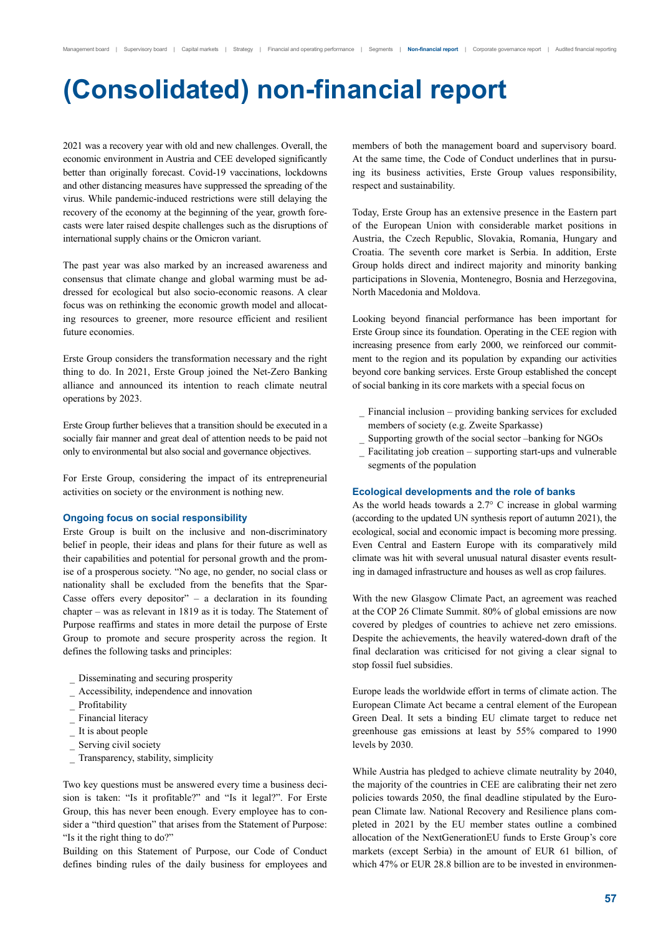# **(Consolidated) non-financial report**

2021 was a recovery year with old and new challenges. Overall, the economic environment in Austria and CEE developed significantly better than originally forecast. Covid-19 vaccinations, lockdowns and other distancing measures have suppressed the spreading of the virus. While pandemic-induced restrictions were still delaying the recovery of the economy at the beginning of the year, growth forecasts were later raised despite challenges such as the disruptions of international supply chains or the Omicron variant.

The past year was also marked by an increased awareness and consensus that climate change and global warming must be addressed for ecological but also socio-economic reasons. A clear focus was on rethinking the economic growth model and allocating resources to greener, more resource efficient and resilient future economies.

Erste Group considers the transformation necessary and the right thing to do. In 2021, Erste Group joined the Net-Zero Banking alliance and announced its intention to reach climate neutral operations by 2023.

Erste Group further believes that a transition should be executed in a socially fair manner and great deal of attention needs to be paid not only to environmental but also social and governance objectives.

For Erste Group, considering the impact of its entrepreneurial activities on society or the environment is nothing new.

### **Ongoing focus on social responsibility**

Erste Group is built on the inclusive and non-discriminatory belief in people, their ideas and plans for their future as well as their capabilities and potential for personal growth and the promise of a prosperous society. "No age, no gender, no social class or nationality shall be excluded from the benefits that the Spar-Casse offers every depositor" – a declaration in its founding chapter – was as relevant in 1819 as it is today. The Statement of Purpose reaffirms and states in more detail the purpose of Erste Group to promote and secure prosperity across the region. It defines the following tasks and principles:

- \_ Disseminating and securing prosperity
- Accessibility, independence and innovation
- Profitability
- Financial literacy
- It is about people
- Serving civil society
- Transparency, stability, simplicity

Two key questions must be answered every time a business decision is taken: "Is it profitable?" and "Is it legal?". For Erste Group, this has never been enough. Every employee has to consider a "third question" that arises from the Statement of Purpose: "Is it the right thing to do?"

Building on this Statement of Purpose, our Code of Conduct defines binding rules of the daily business for employees and members of both the management board and supervisory board. At the same time, the Code of Conduct underlines that in pursuing its business activities, Erste Group values responsibility, respect and sustainability.

Today, Erste Group has an extensive presence in the Eastern part of the European Union with considerable market positions in Austria, the Czech Republic, Slovakia, Romania, Hungary and Croatia. The seventh core market is Serbia. In addition, Erste Group holds direct and indirect majority and minority banking participations in Slovenia, Montenegro, Bosnia and Herzegovina, North Macedonia and Moldova.

Looking beyond financial performance has been important for Erste Group since its foundation. Operating in the CEE region with increasing presence from early 2000, we reinforced our commitment to the region and its population by expanding our activities beyond core banking services. Erste Group established the concept of social banking in its core markets with a special focus on

- Financial inclusion providing banking services for excluded members of society (e.g. Zweite Sparkasse)
- Supporting growth of the social sector –banking for NGOs
- Facilitating job creation supporting start-ups and vulnerable segments of the population

### **Ecological developments and the role of banks**

As the world heads towards a 2.7° C increase in global warming (according to the updated UN synthesis report of autumn 2021), the ecological, social and economic impact is becoming more pressing. Even Central and Eastern Europe with its comparatively mild climate was hit with several unusual natural disaster events resulting in damaged infrastructure and houses as well as crop failures.

With the new Glasgow Climate Pact, an agreement was reached at the COP 26 Climate Summit. 80% of global emissions are now covered by pledges of countries to achieve net zero emissions. Despite the achievements, the heavily watered-down draft of the final declaration was criticised for not giving a clear signal to stop fossil fuel subsidies.

Europe leads the worldwide effort in terms of climate action. The European Climate Act became a central element of the European Green Deal. It sets a binding EU climate target to reduce net greenhouse gas emissions at least by 55% compared to 1990 levels by 2030.

While Austria has pledged to achieve climate neutrality by 2040, the majority of the countries in CEE are calibrating their net zero policies towards 2050, the final deadline stipulated by the European Climate law. National Recovery and Resilience plans completed in 2021 by the EU member states outline a combined allocation of the NextGenerationEU funds to Erste Group's core markets (except Serbia) in the amount of EUR 61 billion, of which 47% or EUR 28.8 billion are to be invested in environmen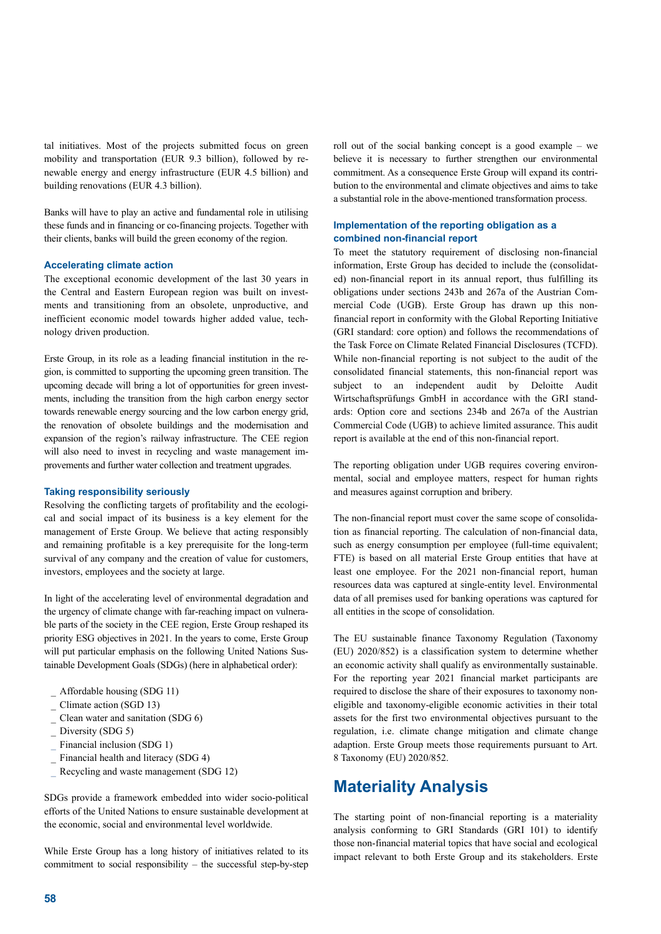tal initiatives. Most of the projects submitted focus on green mobility and transportation (EUR 9.3 billion), followed by renewable energy and energy infrastructure (EUR 4.5 billion) and building renovations (EUR 4.3 billion).

Banks will have to play an active and fundamental role in utilising these funds and in financing or co-financing projects. Together with their clients, banks will build the green economy of the region.

### **Accelerating climate action**

The exceptional economic development of the last 30 years in the Central and Eastern European region was built on investments and transitioning from an obsolete, unproductive, and inefficient economic model towards higher added value, technology driven production.

Erste Group, in its role as a leading financial institution in the region, is committed to supporting the upcoming green transition. The upcoming decade will bring a lot of opportunities for green investments, including the transition from the high carbon energy sector towards renewable energy sourcing and the low carbon energy grid, the renovation of obsolete buildings and the modernisation and expansion of the region's railway infrastructure. The CEE region will also need to invest in recycling and waste management improvements and further water collection and treatment upgrades.

### **Taking responsibility seriously**

Resolving the conflicting targets of profitability and the ecological and social impact of its business is a key element for the management of Erste Group. We believe that acting responsibly and remaining profitable is a key prerequisite for the long-term survival of any company and the creation of value for customers, investors, employees and the society at large.

In light of the accelerating level of environmental degradation and the urgency of climate change with far-reaching impact on vulnerable parts of the society in the CEE region, Erste Group reshaped its priority ESG objectives in 2021. In the years to come, Erste Group will put particular emphasis on the following United Nations Sustainable Development Goals (SDGs) (here in alphabetical order):

- \_ Affordable housing (SDG 11)
- Climate action (SGD 13)
- Clean water and sanitation (SDG 6)
- Diversity (SDG 5)
- Financial inclusion (SDG 1)
- Financial health and literacy (SDG 4)
- Recycling and waste management (SDG 12)

SDGs provide a framework embedded into wider socio-political efforts of the United Nations to ensure sustainable development at the economic, social and environmental level worldwide.

While Erste Group has a long history of initiatives related to its commitment to social responsibility – the successful step-by-step

roll out of the social banking concept is a good example – we believe it is necessary to further strengthen our environmental commitment. As a consequence Erste Group will expand its contribution to the environmental and climate objectives and aims to take a substantial role in the above-mentioned transformation process.

## **Implementation of the reporting obligation as a combined non-financial report**

To meet the statutory requirement of disclosing non-financial information, Erste Group has decided to include the (consolidated) non-financial report in its annual report, thus fulfilling its obligations under sections 243b and 267a of the Austrian Commercial Code (UGB). Erste Group has drawn up this nonfinancial report in conformity with the Global Reporting Initiative (GRI standard: core option) and follows the recommendations of the Task Force on Climate Related Financial Disclosures (TCFD). While non-financial reporting is not subject to the audit of the consolidated financial statements, this non-financial report was subject to an independent audit by Deloitte Audit Wirtschaftsprüfungs GmbH in accordance with the GRI standards: Option core and sections 234b and 267a of the Austrian Commercial Code (UGB) to achieve limited assurance. This audit report is available at the end of this non-financial report.

The reporting obligation under UGB requires covering environmental, social and employee matters, respect for human rights and measures against corruption and bribery.

The non-financial report must cover the same scope of consolidation as financial reporting. The calculation of non-financial data, such as energy consumption per employee (full-time equivalent; FTE) is based on all material Erste Group entities that have at least one employee. For the 2021 non-financial report, human resources data was captured at single-entity level. Environmental data of all premises used for banking operations was captured for all entities in the scope of consolidation.

The EU sustainable finance Taxonomy Regulation (Taxonomy (EU) 2020/852) is a classification system to determine whether an economic activity shall qualify as environmentally sustainable. For the reporting year 2021 financial market participants are required to disclose the share of their exposures to taxonomy noneligible and taxonomy-eligible economic activities in their total assets for the first two environmental objectives pursuant to the regulation, i.e. climate change mitigation and climate change adaption. Erste Group meets those requirements pursuant to Art. 8 Taxonomy (EU) 2020/852.

## **Materiality Analysis**

The starting point of non-financial reporting is a materiality analysis conforming to GRI Standards (GRI 101) to identify those non-financial material topics that have social and ecological impact relevant to both Erste Group and its stakeholders. Erste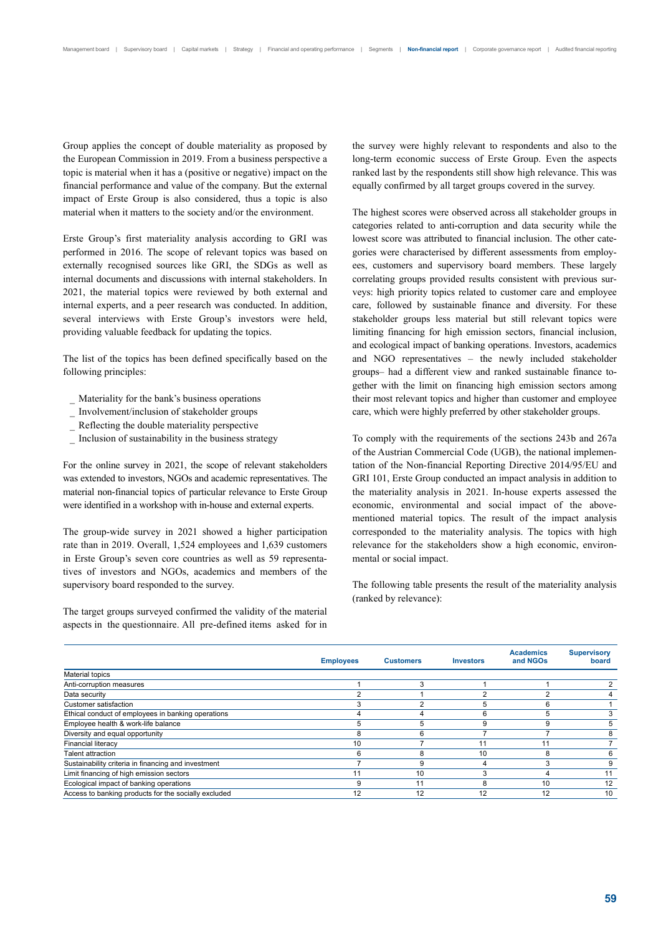Group applies the concept of double materiality as proposed by the European Commission in 2019. From a business perspective a topic is material when it has a (positive or negative) impact on the financial performance and value of the company. But the external impact of Erste Group is also considered, thus a topic is also material when it matters to the society and/or the environment.

Erste Group's first materiality analysis according to GRI was performed in 2016. The scope of relevant topics was based on externally recognised sources like GRI, the SDGs as well as internal documents and discussions with internal stakeholders. In 2021, the material topics were reviewed by both external and internal experts, and a peer research was conducted. In addition, several interviews with Erste Group's investors were held, providing valuable feedback for updating the topics.

The list of the topics has been defined specifically based on the following principles:

- Materiality for the bank's business operations
- \_ Involvement/inclusion of stakeholder groups
- Reflecting the double materiality perspective
- \_ Inclusion of sustainability in the business strategy

For the online survey in 2021, the scope of relevant stakeholders was extended to investors, NGOs and academic representatives. The material non-financial topics of particular relevance to Erste Group were identified in a workshop with in-house and external experts.

The group-wide survey in 2021 showed a higher participation rate than in 2019. Overall, 1,524 employees and 1,639 customers in Erste Group's seven core countries as well as 59 representatives of investors and NGOs, academics and members of the supervisory board responded to the survey.

The target groups surveyed confirmed the validity of the material aspects in the questionnaire. All pre-defined items asked for in the survey were highly relevant to respondents and also to the long-term economic success of Erste Group. Even the aspects ranked last by the respondents still show high relevance. This was equally confirmed by all target groups covered in the survey.

The highest scores were observed across all stakeholder groups in categories related to anti-corruption and data security while the lowest score was attributed to financial inclusion. The other categories were characterised by different assessments from employees, customers and supervisory board members. These largely correlating groups provided results consistent with previous surveys: high priority topics related to customer care and employee care, followed by sustainable finance and diversity. For these stakeholder groups less material but still relevant topics were limiting financing for high emission sectors, financial inclusion, and ecological impact of banking operations. Investors, academics and NGO representatives – the newly included stakeholder groups– had a different view and ranked sustainable finance together with the limit on financing high emission sectors among their most relevant topics and higher than customer and employee care, which were highly preferred by other stakeholder groups.

To comply with the requirements of the sections 243b and 267a of the Austrian Commercial Code (UGB), the national implementation of the Non-financial Reporting Directive 2014/95/EU and GRI 101, Erste Group conducted an impact analysis in addition to the materiality analysis in 2021. In-house experts assessed the economic, environmental and social impact of the abovementioned material topics. The result of the impact analysis corresponded to the materiality analysis. The topics with high relevance for the stakeholders show a high economic, environmental or social impact.

The following table presents the result of the materiality analysis (ranked by relevance):

|                                                      | <b>Employees</b> | <b>Customers</b> | <b>Investors</b> | <b>Academics</b><br>and NGOs | <b>Supervisory</b><br>board |
|------------------------------------------------------|------------------|------------------|------------------|------------------------------|-----------------------------|
| <b>Material topics</b>                               |                  |                  |                  |                              |                             |
| Anti-corruption measures                             |                  | 3                |                  |                              |                             |
| Data security                                        |                  |                  |                  |                              |                             |
| Customer satisfaction                                |                  |                  |                  | 6                            |                             |
| Ethical conduct of employees in banking operations   |                  | 4                | 6                | 5                            |                             |
| Employee health & work-life balance                  |                  | 5                |                  |                              | 5                           |
| Diversity and equal opportunity                      | 8                | 6                |                  |                              | 8                           |
| <b>Financial literacy</b>                            | 10               |                  | 11               |                              |                             |
| <b>Talent attraction</b>                             | 6                | 8                | 10               | 8                            | 6                           |
| Sustainability criteria in financing and investment  |                  | 9                |                  |                              | 9                           |
| Limit financing of high emission sectors             |                  | 10               |                  |                              |                             |
| Ecological impact of banking operations              | 9                | 11               | 8                | 10                           | 12                          |
| Access to banking products for the socially excluded | 12               | 12               | 12               |                              | 10                          |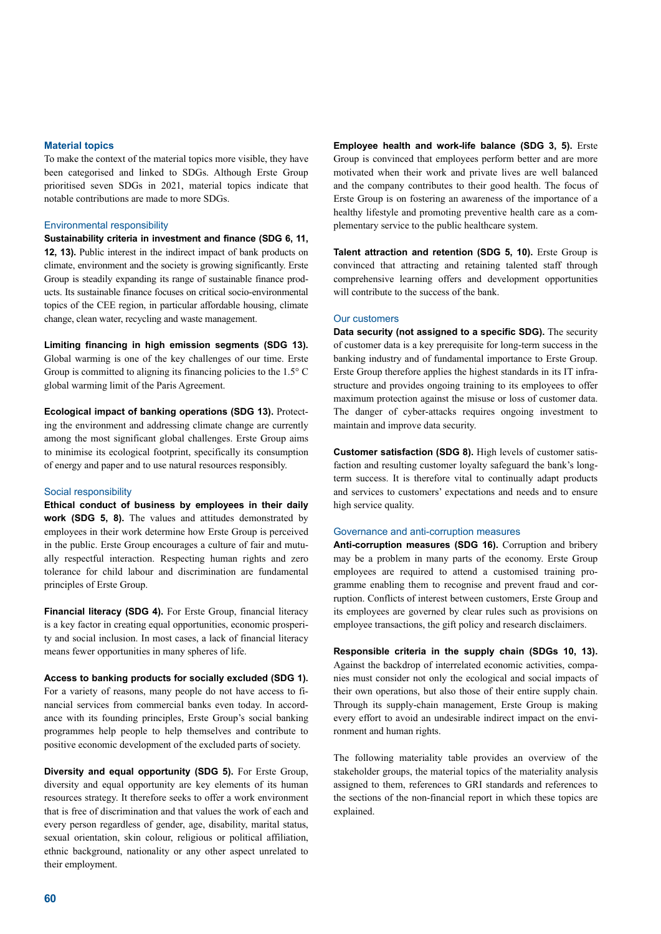### **Material topics**

To make the context of the material topics more visible, they have been categorised and linked to SDGs. Although Erste Group prioritised seven SDGs in 2021, material topics indicate that notable contributions are made to more SDGs.

### Environmental responsibility

**Sustainability criteria in investment and finance (SDG 6, 11, 12, 13).** Public interest in the indirect impact of bank products on climate, environment and the society is growing significantly. Erste Group is steadily expanding its range of sustainable finance products. Its sustainable finance focuses on critical socio-environmental topics of the CEE region, in particular affordable housing, climate change, clean water, recycling and waste management.

**Limiting financing in high emission segments (SDG 13).**  Global warming is one of the key challenges of our time. Erste Group is committed to aligning its financing policies to the  $1.5^{\circ}$  C global warming limit of the Paris Agreement.

**Ecological impact of banking operations (SDG 13).** Protecting the environment and addressing climate change are currently among the most significant global challenges. Erste Group aims to minimise its ecological footprint, specifically its consumption of energy and paper and to use natural resources responsibly.

### Social responsibility

**Ethical conduct of business by employees in their daily work (SDG 5, 8).** The values and attitudes demonstrated by employees in their work determine how Erste Group is perceived in the public. Erste Group encourages a culture of fair and mutually respectful interaction. Respecting human rights and zero tolerance for child labour and discrimination are fundamental principles of Erste Group.

**Financial literacy (SDG 4).** For Erste Group, financial literacy is a key factor in creating equal opportunities, economic prosperity and social inclusion. In most cases, a lack of financial literacy means fewer opportunities in many spheres of life.

#### **Access to banking products for socially excluded (SDG 1).**

For a variety of reasons, many people do not have access to financial services from commercial banks even today. In accordance with its founding principles, Erste Group's social banking programmes help people to help themselves and contribute to positive economic development of the excluded parts of society.

**Diversity and equal opportunity (SDG 5).** For Erste Group, diversity and equal opportunity are key elements of its human resources strategy. It therefore seeks to offer a work environment that is free of discrimination and that values the work of each and every person regardless of gender, age, disability, marital status, sexual orientation, skin colour, religious or political affiliation, ethnic background, nationality or any other aspect unrelated to their employment.

**Employee health and work-life balance (SDG 3, 5).** Erste Group is convinced that employees perform better and are more motivated when their work and private lives are well balanced and the company contributes to their good health. The focus of Erste Group is on fostering an awareness of the importance of a healthy lifestyle and promoting preventive health care as a complementary service to the public healthcare system.

**Talent attraction and retention (SDG 5, 10).** Erste Group is convinced that attracting and retaining talented staff through comprehensive learning offers and development opportunities will contribute to the success of the bank.

### Our customers

**Data security (not assigned to a specific SDG).** The security of customer data is a key prerequisite for long-term success in the banking industry and of fundamental importance to Erste Group. Erste Group therefore applies the highest standards in its IT infrastructure and provides ongoing training to its employees to offer maximum protection against the misuse or loss of customer data. The danger of cyber-attacks requires ongoing investment to maintain and improve data security.

**Customer satisfaction (SDG 8).** High levels of customer satisfaction and resulting customer loyalty safeguard the bank's longterm success. It is therefore vital to continually adapt products and services to customers' expectations and needs and to ensure high service quality.

### Governance and anti-corruption measures

**Anti-corruption measures (SDG 16).** Corruption and bribery may be a problem in many parts of the economy. Erste Group employees are required to attend a customised training programme enabling them to recognise and prevent fraud and corruption. Conflicts of interest between customers, Erste Group and its employees are governed by clear rules such as provisions on employee transactions, the gift policy and research disclaimers.

**Responsible criteria in the supply chain (SDGs 10, 13).** Against the backdrop of interrelated economic activities, companies must consider not only the ecological and social impacts of their own operations, but also those of their entire supply chain. Through its supply-chain management, Erste Group is making every effort to avoid an undesirable indirect impact on the environment and human rights.

The following materiality table provides an overview of the stakeholder groups, the material topics of the materiality analysis assigned to them, references to GRI standards and references to the sections of the non-financial report in which these topics are explained.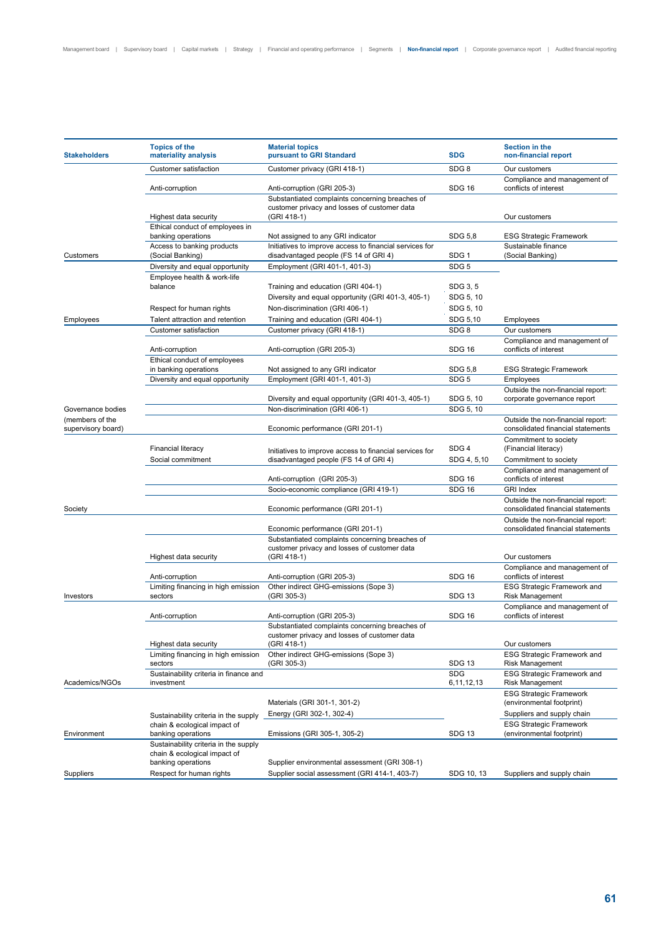| <b>Stakeholders</b>                   | <b>Topics of the</b><br>materiality analysis                          | <b>Material topics</b><br>pursuant to GRI Standard                                               | <b>SDG</b>               | Section in the<br>non-financial report                                 |  |
|---------------------------------------|-----------------------------------------------------------------------|--------------------------------------------------------------------------------------------------|--------------------------|------------------------------------------------------------------------|--|
|                                       | Customer satisfaction                                                 | Customer privacy (GRI 418-1)                                                                     | SDG <sub>8</sub>         | Our customers                                                          |  |
|                                       | Anti-corruption                                                       | Anti-corruption (GRI 205-3)<br>Substantiated complaints concerning breaches of                   | <b>SDG 16</b>            | Compliance and management of<br>conflicts of interest                  |  |
|                                       | Highest data security                                                 | customer privacy and losses of customer data<br>(GRI 418-1)                                      |                          | Our customers                                                          |  |
|                                       | Ethical conduct of employees in<br>banking operations                 | Not assigned to any GRI indicator                                                                | SDG 5,8                  | <b>ESG Strategic Framework</b>                                         |  |
| Customers                             | Access to banking products<br>(Social Banking)                        | Initiatives to improve access to financial services for<br>disadvantaged people (FS 14 of GRI 4) | SDG <sub>1</sub>         | Sustainable finance<br>(Social Banking)                                |  |
|                                       | Diversity and equal opportunity                                       | Employment (GRI 401-1, 401-3)                                                                    | SDG <sub>5</sub>         |                                                                        |  |
|                                       | Employee health & work-life<br>balance                                | Training and education (GRI 404-1)                                                               | SDG 3, 5                 |                                                                        |  |
|                                       |                                                                       |                                                                                                  |                          |                                                                        |  |
|                                       |                                                                       | Diversity and equal opportunity (GRI 401-3, 405-1)                                               | SDG 5, 10                |                                                                        |  |
|                                       | Respect for human rights                                              | Non-discrimination (GRI 406-1)                                                                   | SDG 5, 10                |                                                                        |  |
| Employees                             | Talent attraction and retention                                       | Training and education (GRI 404-1)                                                               | SDG 5,10                 | Employees                                                              |  |
|                                       | Customer satisfaction                                                 | Customer privacy (GRI 418-1)                                                                     | SDG <sub>8</sub>         | Our customers                                                          |  |
|                                       | Anti-corruption                                                       | Anti-corruption (GRI 205-3)                                                                      | <b>SDG 16</b>            | Compliance and management of<br>conflicts of interest                  |  |
|                                       | Ethical conduct of employees                                          |                                                                                                  |                          |                                                                        |  |
|                                       | in banking operations                                                 | Not assigned to any GRI indicator                                                                | SDG 5,8                  | <b>ESG Strategic Framework</b>                                         |  |
|                                       | Diversity and equal opportunity                                       | Employment (GRI 401-1, 401-3)                                                                    | SDG <sub>5</sub>         | Employees                                                              |  |
|                                       |                                                                       |                                                                                                  |                          | Outside the non-financial report:                                      |  |
|                                       |                                                                       | Diversity and equal opportunity (GRI 401-3, 405-1)                                               | SDG 5, 10                | corporate governance report                                            |  |
| Governance bodies                     |                                                                       | Non-discrimination (GRI 406-1)                                                                   | SDG 5, 10                |                                                                        |  |
| (members of the<br>supervisory board) |                                                                       | Economic performance (GRI 201-1)                                                                 |                          | Outside the non-financial report:<br>consolidated financial statements |  |
|                                       | <b>Financial literacy</b>                                             | Initiatives to improve access to financial services for                                          | SDG4                     | Commitment to society<br>(Financial literacy)                          |  |
|                                       | Social commitment                                                     | disadvantaged people (FS 14 of GRI 4)                                                            | SDG 4, 5,10              | Commitment to society                                                  |  |
|                                       |                                                                       | Anti-corruption (GRI 205-3)                                                                      | <b>SDG 16</b>            | Compliance and management of<br>conflicts of interest                  |  |
|                                       |                                                                       | Socio-economic compliance (GRI 419-1)                                                            | <b>SDG 16</b>            | <b>GRI Index</b>                                                       |  |
| Society                               |                                                                       | Economic performance (GRI 201-1)                                                                 |                          | Outside the non-financial report:<br>consolidated financial statements |  |
|                                       |                                                                       | Economic performance (GRI 201-1)                                                                 |                          | Outside the non-financial report:<br>consolidated financial statements |  |
|                                       |                                                                       | Substantiated complaints concerning breaches of                                                  |                          |                                                                        |  |
|                                       |                                                                       | customer privacy and losses of customer data                                                     |                          |                                                                        |  |
|                                       | Highest data security                                                 | (GRI 418-1)                                                                                      |                          | Our customers                                                          |  |
|                                       | Anti-corruption                                                       | Anti-corruption (GRI 205-3)                                                                      | <b>SDG 16</b>            | Compliance and management of<br>conflicts of interest                  |  |
|                                       | Limiting financing in high emission                                   | Other indirect GHG-emissions (Sope 3)                                                            |                          | <b>ESG Strategic Framework and</b>                                     |  |
| Investors                             | sectors                                                               | (GRI 305-3)                                                                                      | <b>SDG 13</b>            | Risk Management                                                        |  |
|                                       | Anti-corruption                                                       | Anti-corruption (GRI 205-3)                                                                      | <b>SDG 16</b>            | Compliance and management of<br>conflicts of interest                  |  |
|                                       |                                                                       | Substantiated complaints concerning breaches of<br>customer privacy and losses of customer data  |                          |                                                                        |  |
|                                       | Highest data security                                                 | (GRI 418-1)                                                                                      |                          | Our customers                                                          |  |
|                                       | Limiting financing in high emission<br>sectors                        | Other indirect GHG-emissions (Sope 3)<br>(GRI 305-3)                                             | <b>SDG 13</b>            | <b>ESG Strategic Framework and</b><br>Risk Management                  |  |
| Academics/NGOs                        | Sustainability criteria in finance and<br>investment                  |                                                                                                  | <b>SDG</b><br>6,11,12,13 | <b>ESG Strategic Framework and</b><br><b>Risk Management</b>           |  |
|                                       |                                                                       | Materials (GRI 301-1, 301-2)                                                                     |                          | <b>ESG Strategic Framework</b><br>(environmental footprint)            |  |
|                                       | Sustainability criteria in the supply                                 | Energy (GRI 302-1, 302-4)                                                                        |                          | Suppliers and supply chain                                             |  |
|                                       | chain & ecological impact of                                          |                                                                                                  |                          | <b>ESG Strategic Framework</b>                                         |  |
| Environment                           | banking operations                                                    | Emissions (GRI 305-1, 305-2)                                                                     | <b>SDG 13</b>            | (environmental footprint)                                              |  |
|                                       | Sustainability criteria in the supply<br>chain & ecological impact of |                                                                                                  |                          |                                                                        |  |
|                                       | banking operations                                                    | Supplier environmental assessment (GRI 308-1)                                                    |                          |                                                                        |  |
| Suppliers                             | Respect for human rights                                              | Supplier social assessment (GRI 414-1, 403-7)                                                    | SDG 10, 13               | Suppliers and supply chain                                             |  |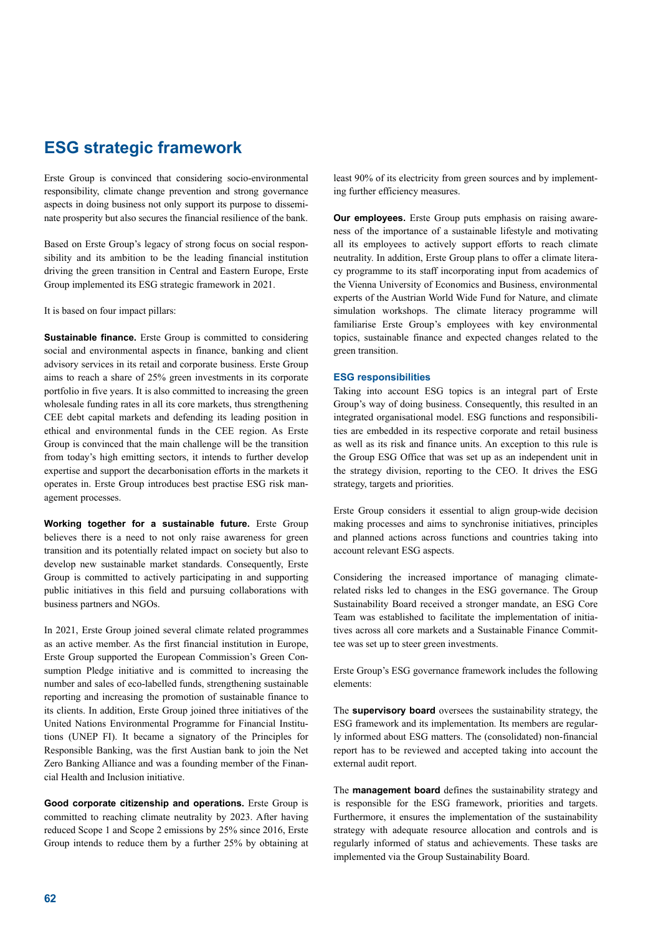## **ESG strategic framework**

Erste Group is convinced that considering socio-environmental responsibility, climate change prevention and strong governance aspects in doing business not only support its purpose to disseminate prosperity but also secures the financial resilience of the bank.

Based on Erste Group's legacy of strong focus on social responsibility and its ambition to be the leading financial institution driving the green transition in Central and Eastern Europe, Erste Group implemented its ESG strategic framework in 2021.

It is based on four impact pillars:

**Sustainable finance.** Erste Group is committed to considering social and environmental aspects in finance, banking and client advisory services in its retail and corporate business. Erste Group aims to reach a share of 25% green investments in its corporate portfolio in five years. It is also committed to increasing the green wholesale funding rates in all its core markets, thus strengthening CEE debt capital markets and defending its leading position in ethical and environmental funds in the CEE region. As Erste Group is convinced that the main challenge will be the transition from today's high emitting sectors, it intends to further develop expertise and support the decarbonisation efforts in the markets it operates in. Erste Group introduces best practise ESG risk management processes.

**Working together for a sustainable future.** Erste Group believes there is a need to not only raise awareness for green transition and its potentially related impact on society but also to develop new sustainable market standards. Consequently, Erste Group is committed to actively participating in and supporting public initiatives in this field and pursuing collaborations with business partners and NGOs.

In 2021, Erste Group joined several climate related programmes as an active member. As the first financial institution in Europe, Erste Group supported the European Commission's Green Consumption Pledge initiative and is committed to increasing the number and sales of eco-labelled funds, strengthening sustainable reporting and increasing the promotion of sustainable finance to its clients. In addition, Erste Group joined three initiatives of the United Nations Environmental Programme for Financial Institutions (UNEP FI). It became a signatory of the Principles for Responsible Banking, was the first Austian bank to join the Net Zero Banking Alliance and was a founding member of the Financial Health and Inclusion initiative.

**Good corporate citizenship and operations.** Erste Group is committed to reaching climate neutrality by 2023. After having reduced Scope 1 and Scope 2 emissions by 25% since 2016, Erste Group intends to reduce them by a further 25% by obtaining at

least 90% of its electricity from green sources and by implementing further efficiency measures.

**Our employees.** Erste Group puts emphasis on raising awareness of the importance of a sustainable lifestyle and motivating all its employees to actively support efforts to reach climate neutrality. In addition, Erste Group plans to offer a climate literacy programme to its staff incorporating input from academics of the Vienna University of Economics and Business, environmental experts of the Austrian World Wide Fund for Nature, and climate simulation workshops. The climate literacy programme will familiarise Erste Group's employees with key environmental topics, sustainable finance and expected changes related to the green transition.

### **ESG responsibilities**

Taking into account ESG topics is an integral part of Erste Group's way of doing business. Consequently, this resulted in an integrated organisational model. ESG functions and responsibilities are embedded in its respective corporate and retail business as well as its risk and finance units. An exception to this rule is the Group ESG Office that was set up as an independent unit in the strategy division, reporting to the CEO. It drives the ESG strategy, targets and priorities.

Erste Group considers it essential to align group-wide decision making processes and aims to synchronise initiatives, principles and planned actions across functions and countries taking into account relevant ESG aspects.

Considering the increased importance of managing climaterelated risks led to changes in the ESG governance. The Group Sustainability Board received a stronger mandate, an ESG Core Team was established to facilitate the implementation of initiatives across all core markets and a Sustainable Finance Committee was set up to steer green investments.

Erste Group's ESG governance framework includes the following elements:

The **supervisory board** oversees the sustainability strategy, the ESG framework and its implementation. Its members are regularly informed about ESG matters. The (consolidated) non-financial report has to be reviewed and accepted taking into account the external audit report.

The **management board** defines the sustainability strategy and is responsible for the ESG framework, priorities and targets. Furthermore, it ensures the implementation of the sustainability strategy with adequate resource allocation and controls and is regularly informed of status and achievements. These tasks are implemented via the Group Sustainability Board.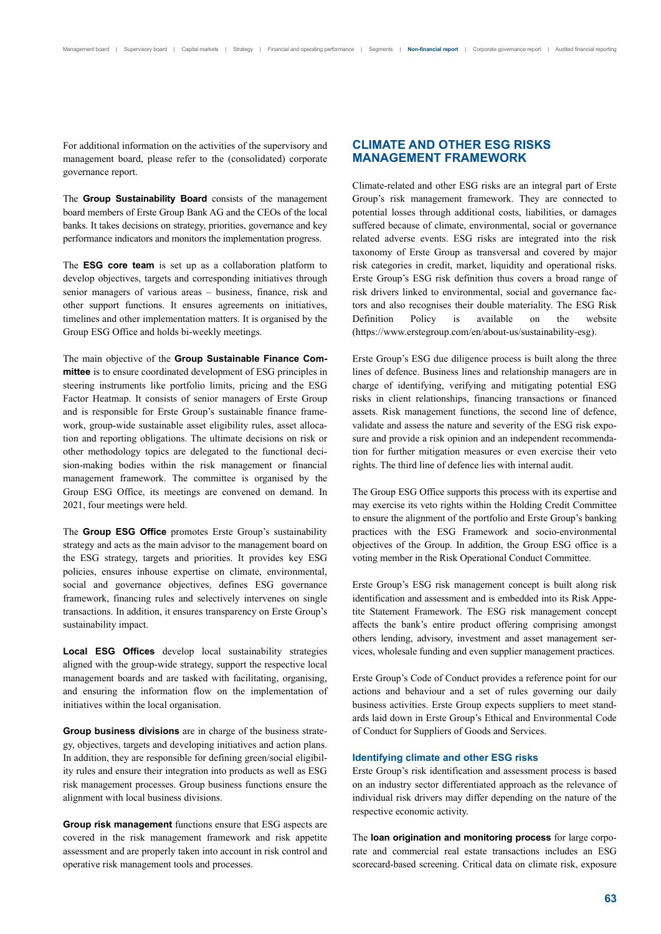For additional information on the activities of the supervisory and management board, please refer to the (consolidated) corporate governance report.

The **Group Sustainability Board** consists of the management board members of Erste Group Bank AG and the CEOs of the local banks. It takes decisions on strategy, priorities, governance and key performance indicators and monitors the implementation progress.

The **ESG core team** is set up as a collaboration platform to develop objectives, targets and corresponding initiatives through senior managers of various areas – business, finance, risk and other support functions. It ensures agreements on initiatives, timelines and other implementation matters. It is organised by the Group ESG Office and holds bi-weekly meetings.

The main objective of the **Group Sustainable Finance Committee** is to ensure coordinated development of ESG principles in steering instruments like portfolio limits, pricing and the ESG Factor Heatmap. It consists of senior managers of Erste Group and is responsible for Erste Group's sustainable finance framework, group-wide sustainable asset eligibility rules, asset allocation and reporting obligations. The ultimate decisions on risk or other methodology topics are delegated to the functional decision-making bodies within the risk management or financial management framework. The committee is organised by the Group ESG Office, its meetings are convened on demand. In 2021, four meetings were held.

The **Group ESG Office** promotes Erste Group's sustainability strategy and acts as the main advisor to the management board on the ESG strategy, targets and priorities. It provides key ESG policies, ensures inhouse expertise on climate, environmental, social and governance objectives, defines ESG governance framework, financing rules and selectively intervenes on single transactions. In addition, it ensures transparency on Erste Group's sustainability impact.

**Local ESG Offices** develop local sustainability strategies aligned with the group-wide strategy, support the respective local management boards and are tasked with facilitating, organising, and ensuring the information flow on the implementation of initiatives within the local organisation.

**Group business divisions** are in charge of the business strategy, objectives, targets and developing initiatives and action plans. In addition, they are responsible for defining green/social eligibility rules and ensure their integration into products as well as ESG risk management processes. Group business functions ensure the alignment with local business divisions.

**Group risk management** functions ensure that ESG aspects are covered in the risk management framework and risk appetite assessment and are properly taken into account in risk control and operative risk management tools and processes.

## **CLIMATE AND OTHER ESG RISKS MANAGEMENT FRAMEWORK**

Climate-related and other ESG risks are an integral part of Erste Group's risk management framework. They are connected to potential losses through additional costs, liabilities, or damages suffered because of climate, environmental, social or governance related adverse events. ESG risks are integrated into the risk taxonomy of Erste Group as transversal and covered by major risk categories in credit, market, liquidity and operational risks. Erste Group's ESG risk definition thus covers a broad range of risk drivers linked to environmental, social and governance factors and also recognises their double materiality. The ESG Risk Definition Policy is available on the website (https://www.erstegroup.com/en/about-us/sustainability-esg).

Erste Group's ESG due diligence process is built along the three lines of defence. Business lines and relationship managers are in charge of identifying, verifying and mitigating potential ESG risks in client relationships, financing transactions or financed assets. Risk management functions, the second line of defence, validate and assess the nature and severity of the ESG risk exposure and provide a risk opinion and an independent recommendation for further mitigation measures or even exercise their veto rights. The third line of defence lies with internal audit.

The Group ESG Office supports this process with its expertise and may exercise its veto rights within the Holding Credit Committee to ensure the alignment of the portfolio and Erste Group's banking practices with the ESG Framework and socio-environmental objectives of the Group. In addition, the Group ESG office is a voting member in the Risk Operational Conduct Committee.

Erste Group's ESG risk management concept is built along risk identification and assessment and is embedded into its Risk Appetite Statement Framework. The ESG risk management concept affects the bank's entire product offering comprising amongst others lending, advisory, investment and asset management services, wholesale funding and even supplier management practices.

Erste Group's Code of Conduct provides a reference point for our actions and behaviour and a set of rules governing our daily business activities. Erste Group expects suppliers to meet standards laid down in Erste Group's Ethical and Environmental Code of Conduct for Suppliers of Goods and Services.

### **Identifying climate and other ESG risks**

Erste Group's risk identification and assessment process is based on an industry sector differentiated approach as the relevance of individual risk drivers may differ depending on the nature of the respective economic activity.

The **loan origination and monitoring process** for large corporate and commercial real estate transactions includes an ESG scorecard-based screening. Critical data on climate risk, exposure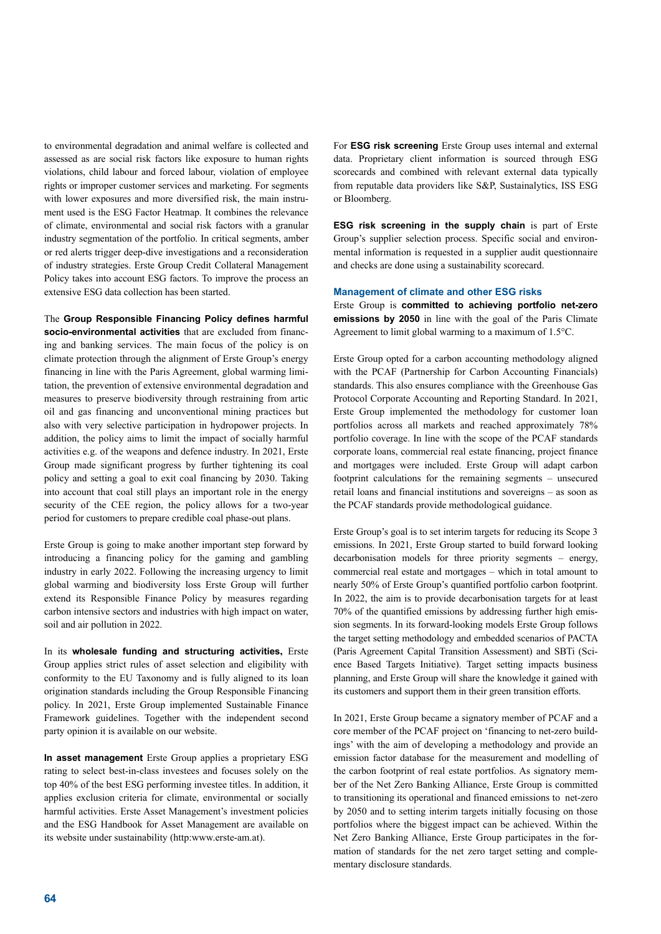to environmental degradation and animal welfare is collected and assessed as are social risk factors like exposure to human rights violations, child labour and forced labour, violation of employee rights or improper customer services and marketing. For segments with lower exposures and more diversified risk, the main instrument used is the ESG Factor Heatmap. It combines the relevance of climate, environmental and social risk factors with a granular industry segmentation of the portfolio. In critical segments, amber or red alerts trigger deep-dive investigations and a reconsideration of industry strategies. Erste Group Credit Collateral Management Policy takes into account ESG factors. To improve the process an extensive ESG data collection has been started.

The **Group Responsible Financing Policy defines harmful socio-environmental activities** that are excluded from financing and banking services. The main focus of the policy is on climate protection through the alignment of Erste Group's energy financing in line with the Paris Agreement, global warming limitation, the prevention of extensive environmental degradation and measures to preserve biodiversity through restraining from artic oil and gas financing and unconventional mining practices but also with very selective participation in hydropower projects. In addition, the policy aims to limit the impact of socially harmful activities e.g. of the weapons and defence industry. In 2021, Erste Group made significant progress by further tightening its coal policy and setting a goal to exit coal financing by 2030. Taking into account that coal still plays an important role in the energy security of the CEE region, the policy allows for a two-year period for customers to prepare credible coal phase-out plans.

Erste Group is going to make another important step forward by introducing a financing policy for the gaming and gambling industry in early 2022. Following the increasing urgency to limit global warming and biodiversity loss Erste Group will further extend its Responsible Finance Policy by measures regarding carbon intensive sectors and industries with high impact on water, soil and air pollution in 2022.

In its **wholesale funding and structuring activities,** Erste Group applies strict rules of asset selection and eligibility with conformity to the EU Taxonomy and is fully aligned to its loan origination standards including the Group Responsible Financing policy. In 2021, Erste Group implemented Sustainable Finance Framework guidelines. Together with the independent second party opinion it is available on our website.

**In asset management** Erste Group applies a proprietary ESG rating to select best-in-class investees and focuses solely on the top 40% of the best ESG performing investee titles. In addition, it applies exclusion criteria for climate, environmental or socially harmful activities. Erste Asset Management's investment policies and the ESG Handbook for Asset Management are available on its website under sustainability (http:www.erste-am.at).

For **ESG risk screening** Erste Group uses internal and external data. Proprietary client information is sourced through ESG scorecards and combined with relevant external data typically from reputable data providers like S&P, Sustainalytics, ISS ESG or Bloomberg.

**ESG risk screening in the supply chain** is part of Erste Group's supplier selection process. Specific social and environmental information is requested in a supplier audit questionnaire and checks are done using a sustainability scorecard.

### **Management of climate and other ESG risks**

Erste Group is **committed to achieving portfolio net-zero emissions by 2050** in line with the goal of the Paris Climate Agreement to limit global warming to a maximum of 1.5°C.

Erste Group opted for a carbon accounting methodology aligned with the PCAF (Partnership for Carbon Accounting Financials) standards. This also ensures compliance with the Greenhouse Gas Protocol Corporate Accounting and Reporting Standard. In 2021, Erste Group implemented the methodology for customer loan portfolios across all markets and reached approximately 78% portfolio coverage. In line with the scope of the PCAF standards corporate loans, commercial real estate financing, project finance and mortgages were included. Erste Group will adapt carbon footprint calculations for the remaining segments – unsecured retail loans and financial institutions and sovereigns – as soon as the PCAF standards provide methodological guidance.

Erste Group's goal is to set interim targets for reducing its Scope 3 emissions. In 2021, Erste Group started to build forward looking decarbonisation models for three priority segments – energy, commercial real estate and mortgages – which in total amount to nearly 50% of Erste Group's quantified portfolio carbon footprint. In 2022, the aim is to provide decarbonisation targets for at least 70% of the quantified emissions by addressing further high emission segments. In its forward-looking models Erste Group follows the target setting methodology and embedded scenarios of PACTA (Paris Agreement Capital Transition Assessment) and SBTi (Science Based Targets Initiative). Target setting impacts business planning, and Erste Group will share the knowledge it gained with its customers and support them in their green transition efforts.

In 2021, Erste Group became a signatory member of PCAF and a core member of the PCAF project on 'financing to net-zero buildings' with the aim of developing a methodology and provide an emission factor database for the measurement and modelling of the carbon footprint of real estate portfolios. As signatory member of the Net Zero Banking Alliance, Erste Group is committed to transitioning its operational and financed emissions to net-zero by 2050 and to setting interim targets initially focusing on those portfolios where the biggest impact can be achieved. Within the Net Zero Banking Alliance, Erste Group participates in the formation of standards for the net zero target setting and complementary disclosure standards.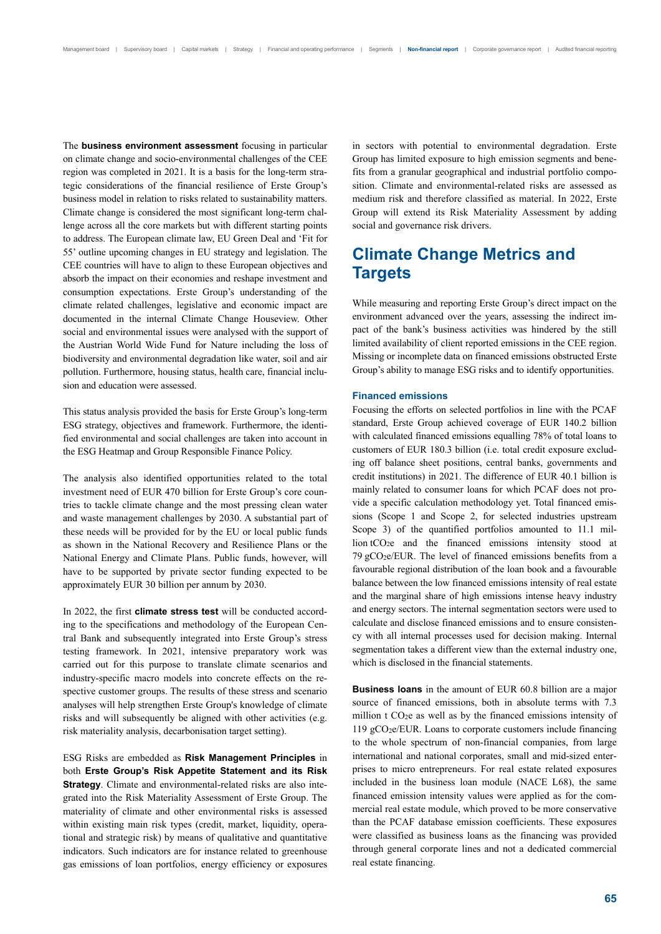The **business environment assessment** focusing in particular on climate change and socio-environmental challenges of the CEE region was completed in 2021. It is a basis for the long-term strategic considerations of the financial resilience of Erste Group's business model in relation to risks related to sustainability matters. Climate change is considered the most significant long-term challenge across all the core markets but with different starting points to address. The European climate law, EU Green Deal and 'Fit for 55' outline upcoming changes in EU strategy and legislation. The CEE countries will have to align to these European objectives and absorb the impact on their economies and reshape investment and consumption expectations. Erste Group's understanding of the climate related challenges, legislative and economic impact are documented in the internal Climate Change Houseview. Other social and environmental issues were analysed with the support of the Austrian World Wide Fund for Nature including the loss of biodiversity and environmental degradation like water, soil and air pollution. Furthermore, housing status, health care, financial inclusion and education were assessed.

This status analysis provided the basis for Erste Group's long-term ESG strategy, objectives and framework. Furthermore, the identified environmental and social challenges are taken into account in the ESG Heatmap and Group Responsible Finance Policy.

The analysis also identified opportunities related to the total investment need of EUR 470 billion for Erste Group's core countries to tackle climate change and the most pressing clean water and waste management challenges by 2030. A substantial part of these needs will be provided for by the EU or local public funds as shown in the National Recovery and Resilience Plans or the National Energy and Climate Plans. Public funds, however, will have to be supported by private sector funding expected to be approximately EUR 30 billion per annum by 2030.

In 2022, the first **climate stress test** will be conducted according to the specifications and methodology of the European Central Bank and subsequently integrated into Erste Group's stress testing framework. In 2021, intensive preparatory work was carried out for this purpose to translate climate scenarios and industry-specific macro models into concrete effects on the respective customer groups. The results of these stress and scenario analyses will help strengthen Erste Group's knowledge of climate risks and will subsequently be aligned with other activities (e.g. risk materiality analysis, decarbonisation target setting).

ESG Risks are embedded as **Risk Management Principles** in both **Erste Group's Risk Appetite Statement and its Risk Strategy**. Climate and environmental-related risks are also integrated into the Risk Materiality Assessment of Erste Group. The materiality of climate and other environmental risks is assessed within existing main risk types (credit, market, liquidity, operational and strategic risk) by means of qualitative and quantitative indicators. Such indicators are for instance related to greenhouse gas emissions of loan portfolios, energy efficiency or exposures in sectors with potential to environmental degradation. Erste Group has limited exposure to high emission segments and benefits from a granular geographical and industrial portfolio composition. Climate and environmental-related risks are assessed as medium risk and therefore classified as material. In 2022, Erste Group will extend its Risk Materiality Assessment by adding social and governance risk drivers.

## **Climate Change Metrics and Targets**

While measuring and reporting Erste Group's direct impact on the environment advanced over the years, assessing the indirect impact of the bank's business activities was hindered by the still limited availability of client reported emissions in the CEE region. Missing or incomplete data on financed emissions obstructed Erste Group's ability to manage ESG risks and to identify opportunities.

### **Financed emissions**

Focusing the efforts on selected portfolios in line with the PCAF standard, Erste Group achieved coverage of EUR 140.2 billion with calculated financed emissions equalling 78% of total loans to customers of EUR 180.3 billion (i.e. total credit exposure excluding off balance sheet positions, central banks, governments and credit institutions) in 2021. The difference of EUR 40.1 billion is mainly related to consumer loans for which PCAF does not provide a specific calculation methodology yet. Total financed emissions (Scope 1 and Scope 2, for selected industries upstream Scope 3) of the quantified portfolios amounted to 11.1 million tCO2e and the financed emissions intensity stood at 79 gCO2e/EUR. The level of financed emissions benefits from a favourable regional distribution of the loan book and a favourable balance between the low financed emissions intensity of real estate and the marginal share of high emissions intense heavy industry and energy sectors. The internal segmentation sectors were used to calculate and disclose financed emissions and to ensure consistency with all internal processes used for decision making. Internal segmentation takes a different view than the external industry one, which is disclosed in the financial statements.

**Business loans** in the amount of EUR 60.8 billion are a major source of financed emissions, both in absolute terms with 7.3 million  $t CO<sub>2</sub>e$  as well as by the financed emissions intensity of 119  $gCO<sub>2</sub>e/EUR$ . Loans to corporate customers include financing to the whole spectrum of non-financial companies, from large international and national corporates, small and mid-sized enterprises to micro entrepreneurs. For real estate related exposures included in the business loan module (NACE L68), the same financed emission intensity values were applied as for the commercial real estate module, which proved to be more conservative than the PCAF database emission coefficients. These exposures were classified as business loans as the financing was provided through general corporate lines and not a dedicated commercial real estate financing.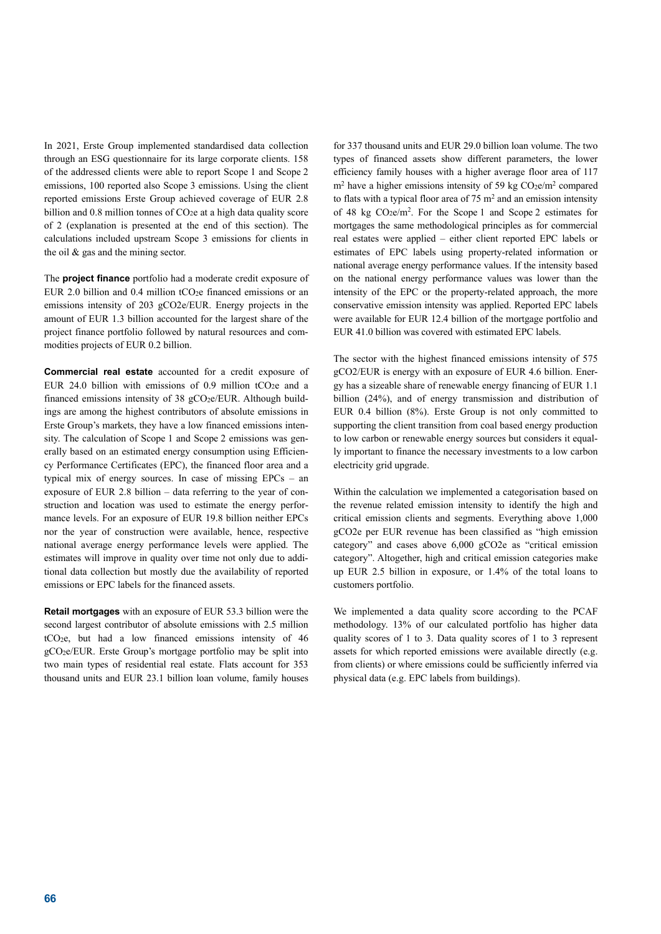In 2021, Erste Group implemented standardised data collection through an ESG questionnaire for its large corporate clients. 158 of the addressed clients were able to report Scope 1 and Scope 2 emissions, 100 reported also Scope 3 emissions. Using the client reported emissions Erste Group achieved coverage of EUR 2.8 billion and  $0.8$  million tonnes of  $CO<sub>2</sub>e$  at a high data quality score of 2 (explanation is presented at the end of this section). The calculations included upstream Scope 3 emissions for clients in the oil & gas and the mining sector.

The **project finance** portfolio had a moderate credit exposure of EUR 2.0 billion and 0.4 million  $tCO<sub>2</sub>e$  financed emissions or an emissions intensity of 203 gCO2e/EUR. Energy projects in the amount of EUR 1.3 billion accounted for the largest share of the project finance portfolio followed by natural resources and commodities projects of EUR 0.2 billion.

**Commercial real estate** accounted for a credit exposure of EUR 24.0 billion with emissions of 0.9 million tCO<sub>2</sub>e and a financed emissions intensity of 38  $gCO<sub>2</sub>e/EUR$ . Although buildings are among the highest contributors of absolute emissions in Erste Group's markets, they have a low financed emissions intensity. The calculation of Scope 1 and Scope 2 emissions was generally based on an estimated energy consumption using Efficiency Performance Certificates (EPC), the financed floor area and a typical mix of energy sources. In case of missing EPCs – an exposure of EUR 2.8 billion – data referring to the year of construction and location was used to estimate the energy performance levels. For an exposure of EUR 19.8 billion neither EPCs nor the year of construction were available, hence, respective national average energy performance levels were applied. The estimates will improve in quality over time not only due to additional data collection but mostly due the availability of reported emissions or EPC labels for the financed assets.

**Retail mortgages** with an exposure of EUR 53.3 billion were the second largest contributor of absolute emissions with 2.5 million tCO2e, but had a low financed emissions intensity of 46 gCO2e/EUR. Erste Group's mortgage portfolio may be split into two main types of residential real estate. Flats account for 353 thousand units and EUR 23.1 billion loan volume, family houses

for 337 thousand units and EUR 29.0 billion loan volume. The two types of financed assets show different parameters, the lower efficiency family houses with a higher average floor area of 117  $m<sup>2</sup>$  have a higher emissions intensity of 59 kg CO<sub>2</sub>e/m<sup>2</sup> compared to flats with a typical floor area of  $75 \text{ m}^2$  and an emission intensity of 48 kg  $CO<sub>2</sub>e/m<sup>2</sup>$ . For the Scope 1 and Scope 2 estimates for mortgages the same methodological principles as for commercial real estates were applied – either client reported EPC labels or estimates of EPC labels using property-related information or national average energy performance values. If the intensity based on the national energy performance values was lower than the intensity of the EPC or the property-related approach, the more conservative emission intensity was applied. Reported EPC labels were available for EUR 12.4 billion of the mortgage portfolio and EUR 41.0 billion was covered with estimated EPC labels.

The sector with the highest financed emissions intensity of 575 gCO2/EUR is energy with an exposure of EUR 4.6 billion. Energy has a sizeable share of renewable energy financing of EUR 1.1 billion (24%), and of energy transmission and distribution of EUR 0.4 billion (8%). Erste Group is not only committed to supporting the client transition from coal based energy production to low carbon or renewable energy sources but considers it equally important to finance the necessary investments to a low carbon electricity grid upgrade.

Within the calculation we implemented a categorisation based on the revenue related emission intensity to identify the high and critical emission clients and segments. Everything above 1,000 gCO2e per EUR revenue has been classified as "high emission category" and cases above 6,000 gCO2e as "critical emission category". Altogether, high and critical emission categories make up EUR 2.5 billion in exposure, or 1.4% of the total loans to customers portfolio.

We implemented a data quality score according to the PCAF methodology. 13% of our calculated portfolio has higher data quality scores of 1 to 3. Data quality scores of 1 to 3 represent assets for which reported emissions were available directly (e.g. from clients) or where emissions could be sufficiently inferred via physical data (e.g. EPC labels from buildings).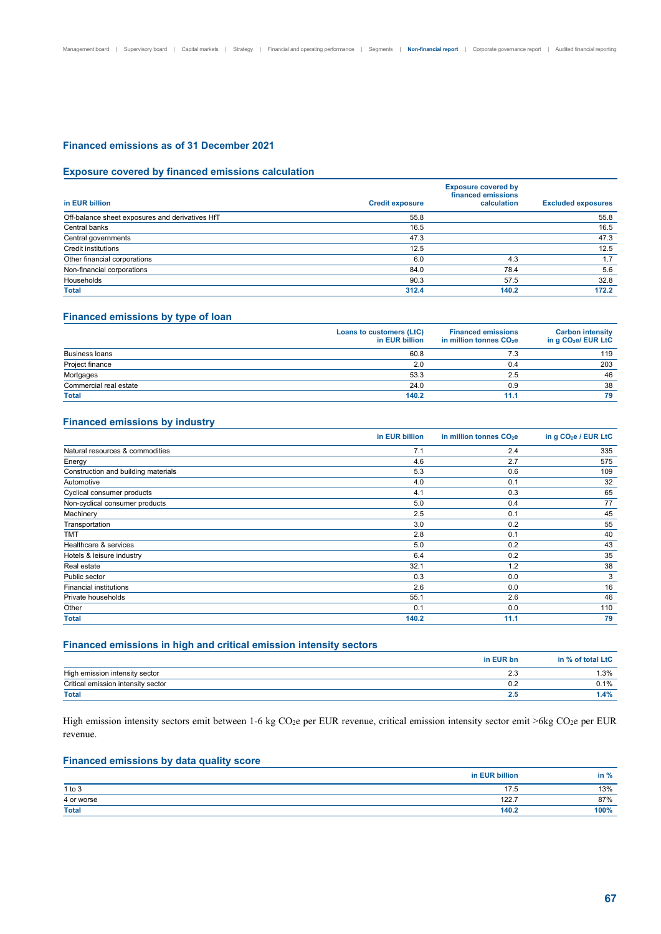## **Financed emissions as of 31 December 2021**

### **Exposure covered by financed emissions calculation**

|                                                 | <b>Exposure covered by</b><br>financed emissions |             |                           |  |  |  |  |  |  |
|-------------------------------------------------|--------------------------------------------------|-------------|---------------------------|--|--|--|--|--|--|
| in EUR billion                                  | <b>Credit exposure</b>                           | calculation | <b>Excluded exposures</b> |  |  |  |  |  |  |
| Off-balance sheet exposures and derivatives HfT | 55.8                                             |             | 55.8                      |  |  |  |  |  |  |
| Central banks                                   | 16.5                                             |             | 16.5                      |  |  |  |  |  |  |
| Central governments                             | 47.3                                             |             | 47.3                      |  |  |  |  |  |  |
| Credit institutions                             | 12.5                                             |             | 12.5                      |  |  |  |  |  |  |
| Other financial corporations                    | 6.0                                              | 4.3         | 1.7                       |  |  |  |  |  |  |
| Non-financial corporations                      | 84.0                                             | 78.4        | 5.6                       |  |  |  |  |  |  |
| Households                                      | 90.3                                             | 57.5        | 32.8                      |  |  |  |  |  |  |
| <b>Total</b>                                    | 312.4                                            | 140.2       | 172.2                     |  |  |  |  |  |  |

## **Financed emissions by type of loan**

|                        | Loans to customers (LtC)<br>in EUR billion | <b>Financed emissions</b><br>in million tonnes CO <sub>2</sub> e | <b>Carbon intensity</b><br>in g CO <sub>2</sub> e/ EUR LtC |
|------------------------|--------------------------------------------|------------------------------------------------------------------|------------------------------------------------------------|
| <b>Business loans</b>  | 60.8                                       | 7.3                                                              | 119                                                        |
| Project finance        | 2.0                                        | 0.4                                                              | 203                                                        |
| Mortgages              | 53.3                                       | 2.5                                                              | 46                                                         |
| Commercial real estate | 24.0                                       | 0.9                                                              | 38                                                         |
| <b>Total</b>           | 140.2                                      | 11.1                                                             | 79                                                         |

## **Financed emissions by industry**

|                                     | in EUR billion | in million tonnes CO <sub>2</sub> e | in g CO <sub>2</sub> e / EUR LtC |
|-------------------------------------|----------------|-------------------------------------|----------------------------------|
| Natural resources & commodities     | 7.1            | 2.4                                 | 335                              |
| Energy                              | 4.6            | 2.7                                 | 575                              |
| Construction and building materials | 5.3            | 0.6                                 | 109                              |
| Automotive                          | 4.0            | 0.1                                 | 32                               |
| Cyclical consumer products          | 4.1            | 0.3                                 | 65                               |
| Non-cyclical consumer products      | 5.0            | 0.4                                 | 77                               |
| Machinery                           | 2.5            | 0.1                                 | 45                               |
| Transportation                      | 3.0            | 0.2                                 | 55                               |
| <b>TMT</b>                          | 2.8            | 0.1                                 | 40                               |
| Healthcare & services               | 5.0            | 0.2                                 | 43                               |
| Hotels & leisure industry           | 6.4            | 0.2                                 | 35                               |
| Real estate                         | 32.1           | 1.2                                 | 38                               |
| Public sector                       | 0.3            | 0.0                                 | 3                                |
| <b>Financial institutions</b>       | 2.6            | 0.0                                 | 16                               |
| Private households                  | 55.1           | 2.6                                 | 46                               |
| Other                               | 0.1            | 0.0                                 | 110                              |
| <b>Total</b>                        | 140.2          | 11.1                                | 79                               |

### **Financed emissions in high and critical emission intensity sectors**

|                                    | in EUR bn | in % of total LtC |
|------------------------------------|-----------|-------------------|
| High emission intensity sector     | ن ک       | . .3%             |
| Critical emission intensity sector | v.z       | 0.1%              |
| <b>Total</b>                       |           | $.4\%$            |

High emission intensity sectors emit between 1-6 kg CO<sub>2</sub>e per EUR revenue, critical emission intensity sector emit >6kg CO<sub>2</sub>e per EUR revenue.

## **Financed emissions by data quality score**

|              | in EUR billion | in % |
|--------------|----------------|------|
| $1$ to $3$   | 175<br>.       | 13%  |
| 4 or worse   | 122.7          | 87%  |
| <b>Total</b> | 140.2          | 100% |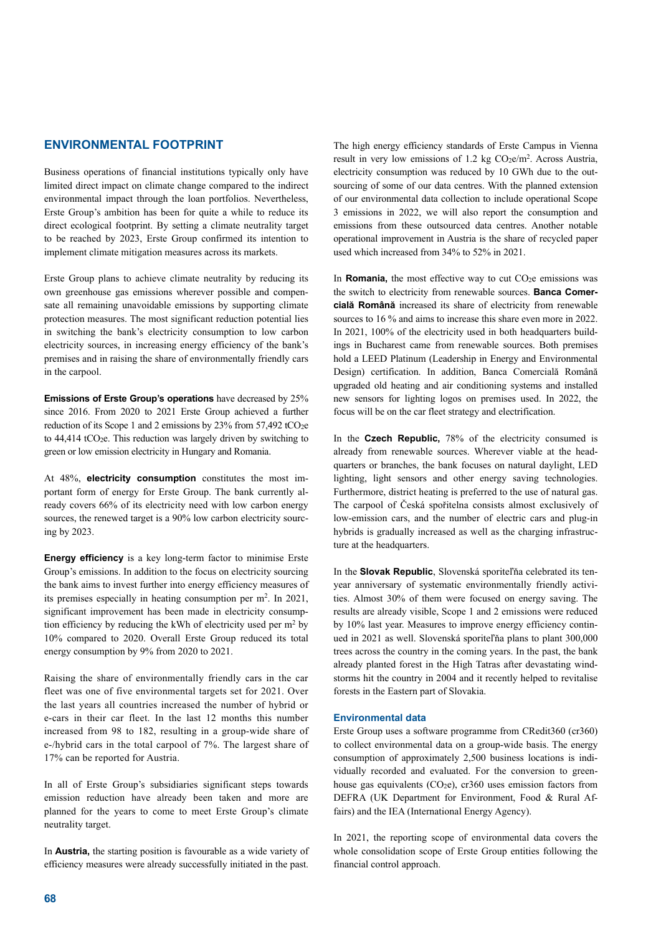## **ENVIRONMENTAL FOOTPRINT**

Business operations of financial institutions typically only have limited direct impact on climate change compared to the indirect environmental impact through the loan portfolios. Nevertheless, Erste Group's ambition has been for quite a while to reduce its direct ecological footprint. By setting a climate neutrality target to be reached by 2023, Erste Group confirmed its intention to implement climate mitigation measures across its markets.

Erste Group plans to achieve climate neutrality by reducing its own greenhouse gas emissions wherever possible and compensate all remaining unavoidable emissions by supporting climate protection measures. The most significant reduction potential lies in switching the bank's electricity consumption to low carbon electricity sources, in increasing energy efficiency of the bank's premises and in raising the share of environmentally friendly cars in the carpool.

**Emissions of Erste Group's operations** have decreased by 25% since 2016. From 2020 to 2021 Erste Group achieved a further reduction of its Scope 1 and 2 emissions by  $23\%$  from  $57,492$  tCO<sub>2</sub>e to  $44,414$  tCO<sub>2</sub>e. This reduction was largely driven by switching to green or low emission electricity in Hungary and Romania.

At 48%, **electricity consumption** constitutes the most important form of energy for Erste Group. The bank currently already covers 66% of its electricity need with low carbon energy sources, the renewed target is a 90% low carbon electricity sourcing by 2023.

**Energy efficiency** is a key long-term factor to minimise Erste Group's emissions. In addition to the focus on electricity sourcing the bank aims to invest further into energy efficiency measures of its premises especially in heating consumption per m<sup>2</sup>. In 2021, significant improvement has been made in electricity consumption efficiency by reducing the kWh of electricity used per m2 by 10% compared to 2020. Overall Erste Group reduced its total energy consumption by 9% from 2020 to 2021.

Raising the share of environmentally friendly cars in the car fleet was one of five environmental targets set for 2021. Over the last years all countries increased the number of hybrid or e-cars in their car fleet. In the last 12 months this number increased from 98 to 182, resulting in a group-wide share of e-/hybrid cars in the total carpool of 7%. The largest share of 17% can be reported for Austria.

In all of Erste Group's subsidiaries significant steps towards emission reduction have already been taken and more are planned for the years to come to meet Erste Group's climate neutrality target.

In **Austria,** the starting position is favourable as a wide variety of efficiency measures were already successfully initiated in the past.

The high energy efficiency standards of Erste Campus in Vienna result in very low emissions of 1.2 kg  $CO<sub>2</sub>e/m<sup>2</sup>$ . Across Austria, electricity consumption was reduced by 10 GWh due to the outsourcing of some of our data centres. With the planned extension of our environmental data collection to include operational Scope 3 emissions in 2022, we will also report the consumption and emissions from these outsourced data centres. Another notable operational improvement in Austria is the share of recycled paper used which increased from 34% to 52% in 2021.

In **Romania**, the most effective way to cut CO<sub>2</sub>e emissions was the switch to electricity from renewable sources. **Banca Comercială Română** increased its share of electricity from renewable sources to 16 % and aims to increase this share even more in 2022. In 2021, 100% of the electricity used in both headquarters buildings in Bucharest came from renewable sources. Both premises hold a LEED Platinum (Leadership in Energy and Environmental Design) certification. In addition, Banca Comercială Română upgraded old heating and air conditioning systems and installed new sensors for lighting logos on premises used. In 2022, the focus will be on the car fleet strategy and electrification.

In the **Czech Republic,** 78% of the electricity consumed is already from renewable sources. Wherever viable at the headquarters or branches, the bank focuses on natural daylight, LED lighting, light sensors and other energy saving technologies. Furthermore, district heating is preferred to the use of natural gas. The carpool of Česká spořitelna consists almost exclusively of low-emission cars, and the number of electric cars and plug-in hybrids is gradually increased as well as the charging infrastructure at the headquarters.

In the **Slovak Republic**, Slovenská sporiteľňa celebrated its tenyear anniversary of systematic environmentally friendly activities. Almost 30% of them were focused on energy saving. The results are already visible, Scope 1 and 2 emissions were reduced by 10% last year. Measures to improve energy efficiency continued in 2021 as well. Slovenská sporiteľňa plans to plant 300,000 trees across the country in the coming years. In the past, the bank already planted forest in the High Tatras after devastating windstorms hit the country in 2004 and it recently helped to revitalise forests in the Eastern part of Slovakia.

#### **Environmental data**

Erste Group uses a software programme from CRedit360 (cr360) to collect environmental data on a group-wide basis. The energy consumption of approximately 2,500 business locations is individually recorded and evaluated. For the conversion to greenhouse gas equivalents  $(CO<sub>2</sub>e)$ , cr360 uses emission factors from DEFRA (UK Department for Environment, Food & Rural Affairs) and the IEA (International Energy Agency).

In 2021, the reporting scope of environmental data covers the whole consolidation scope of Erste Group entities following the financial control approach.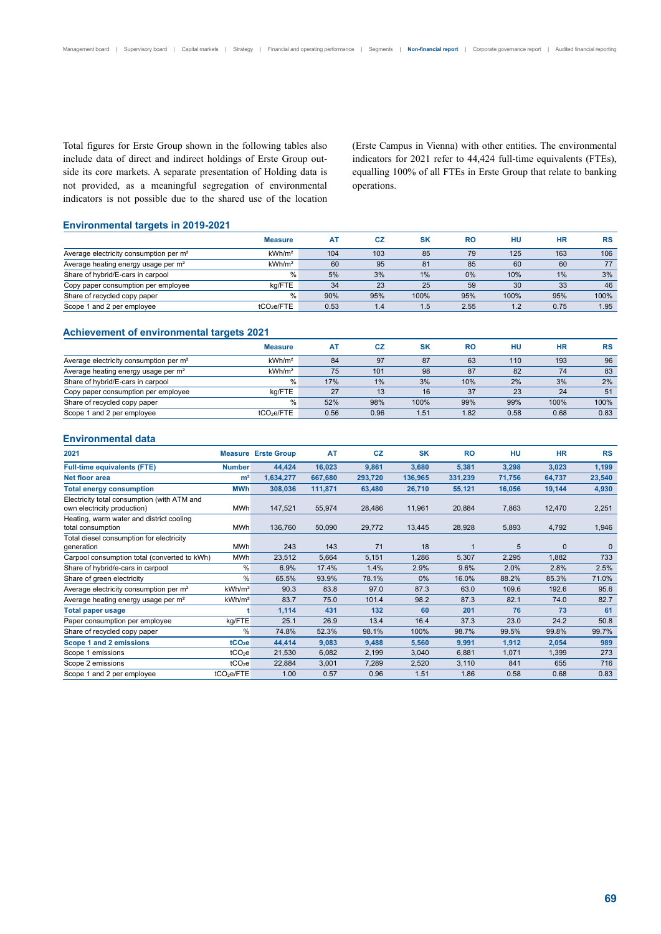Total figures for Erste Group shown in the following tables also include data of direct and indirect holdings of Erste Group outside its core markets. A separate presentation of Holding data is not provided, as a meaningful segregation of environmental indicators is not possible due to the shared use of the location (Erste Campus in Vienna) with other entities. The environmental indicators for 2021 refer to 44,424 full-time equivalents (FTEs), equalling 100% of all FTEs in Erste Group that relate to banking operations.

### **Environmental targets in 2019-2021**

|                                                    | <b>Measure</b>         | A٦   | CZ  | SK   | <b>RO</b> | HU   | НR   | <b>RS</b> |
|----------------------------------------------------|------------------------|------|-----|------|-----------|------|------|-----------|
| Average electricity consumption per m <sup>2</sup> | kWh/m <sup>2</sup>     | 104  | 103 | 85   | 79        | 125  | 163  | 106       |
| Average heating energy usage per m <sup>2</sup>    | kWh/m <sup>2</sup>     | 60   | 95  | 81   | 85        | 60   | 60   | 77        |
| Share of hybrid/E-cars in carpool                  | %                      | 5%   | 3%  | 1%   | 0%        | 10%  | 1%   | 3%        |
| Copy paper consumption per employee                | ka/FTE                 | 34   | 23  | 25   | 59        | 30   | 33   | 46        |
| Share of recycled copy paper                       | $\%$                   | 90%  | 95% | 100% | 95%       | 100% | 95%  | 100%      |
| Scope 1 and 2 per employee                         | tCO <sub>2</sub> e/FTE | 0.53 | 1.4 | 1.5  | 2.55      | 1.2  | 0.75 | 1.95      |

### **Achievement of environmental targets 2021**

|                                                    | <b>Measure</b>         | A <sub>T</sub> | CZ   | <b>SK</b> | RO   | HU   | <b>HR</b> | <b>RS</b> |
|----------------------------------------------------|------------------------|----------------|------|-----------|------|------|-----------|-----------|
| Average electricity consumption per m <sup>2</sup> | kWh/m <sup>2</sup>     | 84             | 97   | 87        | 63   | 110  | 193       | 96        |
| Average heating energy usage per m <sup>2</sup>    | kWh/m <sup>2</sup>     | 75             | 101  | 98        | 87   | 82   | 74        | 83        |
| Share of hybrid/E-cars in carpool                  | %                      | 17%            | 1%   | 3%        | 10%  | 2%   | 3%        | 2%        |
| Copy paper consumption per employee                | kg/FTE                 | 27             | 13   | 16        | 37   | 23   | 24        | 51        |
| Share of recycled copy paper                       | %                      | 52%            | 98%  | 100%      | 99%  | 99%  | 100%      | 100%      |
| Scope 1 and 2 per employee                         | tCO <sub>2</sub> e/FTE | 0.56           | 0.96 | 1.51      | 1.82 | 0.58 | 0.68      | 0.83      |

### **Environmental data**

| 2021                                                          |                        | <b>Measure Erste Group</b> | AT      | CZ      | <b>SK</b> | <b>RO</b> | HU     | <b>HR</b>    | <b>RS</b>    |
|---------------------------------------------------------------|------------------------|----------------------------|---------|---------|-----------|-----------|--------|--------------|--------------|
| <b>Full-time equivalents (FTE)</b>                            | <b>Number</b>          | 44,424                     | 16,023  | 9,861   | 3,680     | 5,381     | 3,298  | 3,023        | 1,199        |
| Net floor area                                                | m <sup>2</sup>         | 1,634,277                  | 667,680 | 293,720 | 136,965   | 331,239   | 71,756 | 64,737       | 23,540       |
| <b>Total energy consumption</b>                               | <b>MWh</b>             | 308,036                    | 111,871 | 63,480  | 26,710    | 55,121    | 16,056 | 19,144       | 4,930        |
| Electricity total consumption (with ATM and                   |                        |                            |         |         |           |           |        |              |              |
| own electricity production)                                   | <b>MWh</b>             | 147,521                    | 55,974  | 28,486  | 11,961    | 20,884    | 7,863  | 12,470       | 2,251        |
| Heating, warm water and district cooling<br>total consumption | <b>MWh</b>             | 136,760                    | 50,090  | 29,772  | 13,445    | 28,928    | 5,893  | 4,792        | 1,946        |
| Total diesel consumption for electricity                      |                        |                            |         |         |           |           |        |              |              |
| generation                                                    | <b>MWh</b>             | 243                        | 143     | 71      | 18        |           | 5      | $\mathbf{0}$ | $\mathbf{0}$ |
| Carpool consumption total (converted to kWh)                  | <b>MWh</b>             | 23,512                     | 5,664   | 5,151   | 1,286     | 5,307     | 2,295  | 1,882        | 733          |
| Share of hybrid/e-cars in carpool                             | %                      | 6.9%                       | 17.4%   | 1.4%    | 2.9%      | 9.6%      | 2.0%   | 2.8%         | 2.5%         |
| Share of green electricity                                    | %                      | 65.5%                      | 93.9%   | 78.1%   | 0%        | 16.0%     | 88.2%  | 85.3%        | 71.0%        |
| Average electricity consumption per m <sup>2</sup>            | kWh/m <sup>2</sup>     | 90.3                       | 83.8    | 97.0    | 87.3      | 63.0      | 109.6  | 192.6        | 95.6         |
| Average heating energy usage per m <sup>2</sup>               | kWh/m <sup>2</sup>     | 83.7                       | 75.0    | 101.4   | 98.2      | 87.3      | 82.1   | 74.0         | 82.7         |
| Total paper usage                                             |                        | 1,114                      | 431     | 132     | 60        | 201       | 76     | 73           | 61           |
| Paper consumption per employee                                | kg/FTE                 | 25.1                       | 26.9    | 13.4    | 16.4      | 37.3      | 23.0   | 24.2         | 50.8         |
| Share of recycled copy paper                                  | %                      | 74.8%                      | 52.3%   | 98.1%   | 100%      | 98.7%     | 99.5%  | 99.8%        | 99.7%        |
| Scope 1 and 2 emissions                                       | tCO <sub>2</sub> e     | 44,414                     | 9,083   | 9,488   | 5,560     | 9,991     | 1,912  | 2,054        | 989          |
| Scope 1 emissions                                             | tCO <sub>2</sub> e     | 21,530                     | 6,082   | 2,199   | 3,040     | 6,881     | 1,071  | 1,399        | 273          |
| Scope 2 emissions                                             | tCO <sub>2</sub> e     | 22,884                     | 3,001   | 7,289   | 2,520     | 3,110     | 841    | 655          | 716          |
| Scope 1 and 2 per employee                                    | tCO <sub>2</sub> e/FTE | 1.00                       | 0.57    | 0.96    | 1.51      | 1.86      | 0.58   | 0.68         | 0.83         |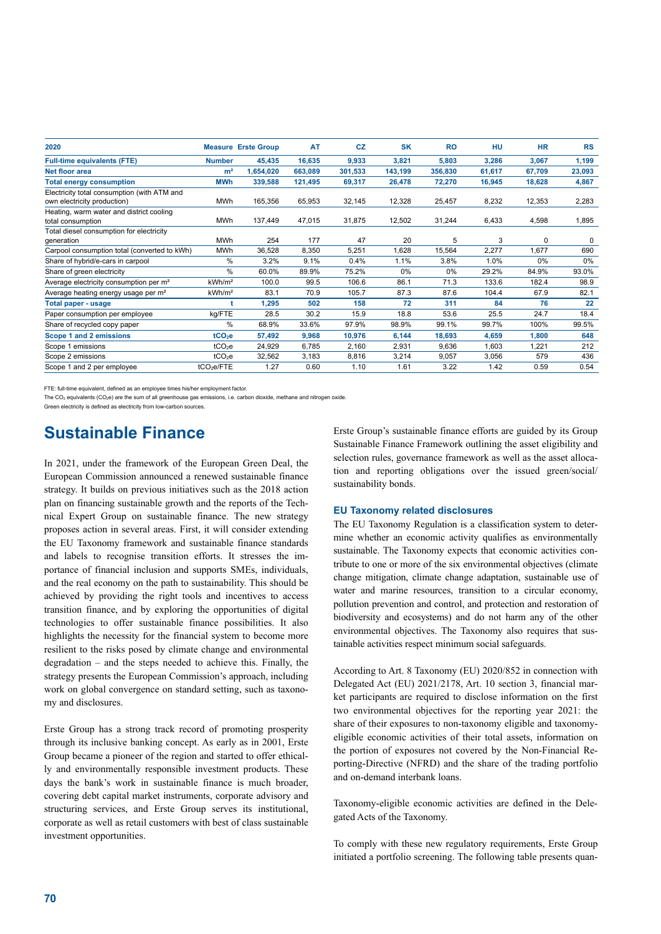| 2020                                               |                        | <b>Measure Erste Group</b> | <b>AT</b> | <b>CZ</b> | <b>SK</b> | <b>RO</b> | HU     | <b>HR</b> | <b>RS</b> |
|----------------------------------------------------|------------------------|----------------------------|-----------|-----------|-----------|-----------|--------|-----------|-----------|
| <b>Full-time equivalents (FTE)</b>                 | <b>Number</b>          | 45,435                     | 16,635    | 9,933     | 3,821     | 5,803     | 3,286  | 3,067     | 1,199     |
| Net floor area                                     | m <sup>2</sup>         | 1,654,020                  | 663,089   | 301,533   | 143,199   | 356,830   | 61,617 | 67,709    | 23,093    |
| <b>Total energy consumption</b>                    | <b>MWh</b>             | 339,588                    | 121,495   | 69,317    | 26,478    | 72,270    | 16,945 | 18,628    | 4,867     |
| Electricity total consumption (with ATM and        |                        |                            |           |           |           |           |        |           |           |
| own electricity production)                        | <b>MWh</b>             | 165,356                    | 65,953    | 32,145    | 12,328    | 25,457    | 8,232  | 12,353    | 2,283     |
| Heating, warm water and district cooling           |                        |                            |           |           |           |           |        |           |           |
| total consumption                                  | <b>MWh</b>             | 137,449                    | 47,015    | 31,875    | 12,502    | 31,244    | 6,433  | 4,598     | 1,895     |
| Total diesel consumption for electricity           |                        |                            |           |           |           |           |        |           |           |
| generation                                         | <b>MWh</b>             | 254                        | 177       | 47        | 20        | 5         | 3      | $\Omega$  | $\Omega$  |
| Carpool consumption total (converted to kWh)       | MWh                    | 36,528                     | 8,350     | 5,251     | 1,628     | 15,564    | 2,277  | 1,677     | 690       |
| Share of hybrid/e-cars in carpool                  | $\%$                   | 3.2%                       | 9.1%      | 0.4%      | 1.1%      | 3.8%      | 1.0%   | 0%        | $0\%$     |
| Share of green electricity                         | $\%$                   | 60.0%                      | 89.9%     | 75.2%     | 0%        | 0%        | 29.2%  | 84.9%     | 93.0%     |
| Average electricity consumption per m <sup>2</sup> | kWh/m <sup>2</sup>     | 100.0                      | 99.5      | 106.6     | 86.1      | 71.3      | 133.6  | 182.4     | 98.9      |
| Average heating energy usage per m <sup>2</sup>    | kWh/m <sup>2</sup>     | 83.1                       | 70.9      | 105.7     | 87.3      | 87.6      | 104.4  | 67.9      | 82.1      |
| <b>Total paper - usage</b>                         |                        | 1,295                      | 502       | 158       | 72        | 311       | 84     | 76        | 22        |
| Paper consumption per employee                     | kg/FTE                 | 28.5                       | 30.2      | 15.9      | 18.8      | 53.6      | 25.5   | 24.7      | 18.4      |
| Share of recycled copy paper                       | %                      | 68.9%                      | 33.6%     | 97.9%     | 98.9%     | 99.1%     | 99.7%  | 100%      | 99.5%     |
| Scope 1 and 2 emissions                            | tCO <sub>2</sub> e     | 57,492                     | 9,968     | 10,976    | 6,144     | 18,693    | 4,659  | 1,800     | 648       |
| Scope 1 emissions                                  | tCO <sub>2</sub> e     | 24,929                     | 6,785     | 2,160     | 2,931     | 9,636     | 1,603  | 1,221     | 212       |
| Scope 2 emissions                                  | tCO <sub>2</sub> e     | 32,562                     | 3,183     | 8,816     | 3,214     | 9,057     | 3,056  | 579       | 436       |
| Scope 1 and 2 per employee                         | tCO <sub>2</sub> e/FTE | 1.27                       | 0.60      | 1.10      | 1.61      | 3.22      | 1.42   | 0.59      | 0.54      |

FTE: full-time equivalent, defined as an employee times his/her employment factor.

The CO<sub>2</sub> equivalents (CO<sub>2</sub>e) are the sum of all greenhouse gas emissions, i.e. carbon dioxide, methane and nitrogen oxide

Green electricity is defined as electricity from low-carbon sources.

## **Sustainable Finance**

In 2021, under the framework of the European Green Deal, the European Commission announced a renewed sustainable finance strategy. It builds on previous initiatives such as the 2018 action plan on financing sustainable growth and the reports of the Technical Expert Group on sustainable finance. The new strategy proposes action in several areas. First, it will consider extending the EU Taxonomy framework and sustainable finance standards and labels to recognise transition efforts. It stresses the importance of financial inclusion and supports SMEs, individuals, and the real economy on the path to sustainability. This should be achieved by providing the right tools and incentives to access transition finance, and by exploring the opportunities of digital technologies to offer sustainable finance possibilities. It also highlights the necessity for the financial system to become more resilient to the risks posed by climate change and environmental degradation – and the steps needed to achieve this. Finally, the strategy presents the European Commission's approach, including work on global convergence on standard setting, such as taxonomy and disclosures.

Erste Group has a strong track record of promoting prosperity through its inclusive banking concept. As early as in 2001, Erste Group became a pioneer of the region and started to offer ethically and environmentally responsible investment products. These days the bank's work in sustainable finance is much broader, covering debt capital market instruments, corporate advisory and structuring services, and Erste Group serves its institutional, corporate as well as retail customers with best of class sustainable investment opportunities.

Erste Group's sustainable finance efforts are guided by its Group Sustainable Finance Framework outlining the asset eligibility and selection rules, governance framework as well as the asset allocation and reporting obligations over the issued green/social/ sustainability bonds.

### **EU Taxonomy related disclosures**

The EU Taxonomy Regulation is a classification system to determine whether an economic activity qualifies as environmentally sustainable. The Taxonomy expects that economic activities contribute to one or more of the six environmental objectives (climate change mitigation, climate change adaptation, sustainable use of water and marine resources, transition to a circular economy, pollution prevention and control, and protection and restoration of biodiversity and ecosystems) and do not harm any of the other environmental objectives. The Taxonomy also requires that sustainable activities respect minimum social safeguards.

According to Art. 8 Taxonomy (EU) 2020/852 in connection with Delegated Act (EU) 2021/2178, Art. 10 section 3, financial market participants are required to disclose information on the first two environmental objectives for the reporting year 2021: the share of their exposures to non-taxonomy eligible and taxonomyeligible economic activities of their total assets, information on the portion of exposures not covered by the Non-Financial Reporting-Directive (NFRD) and the share of the trading portfolio and on-demand interbank loans.

Taxonomy-eligible economic activities are defined in the Delegated Acts of the Taxonomy.

To comply with these new regulatory requirements, Erste Group initiated a portfolio screening. The following table presents quan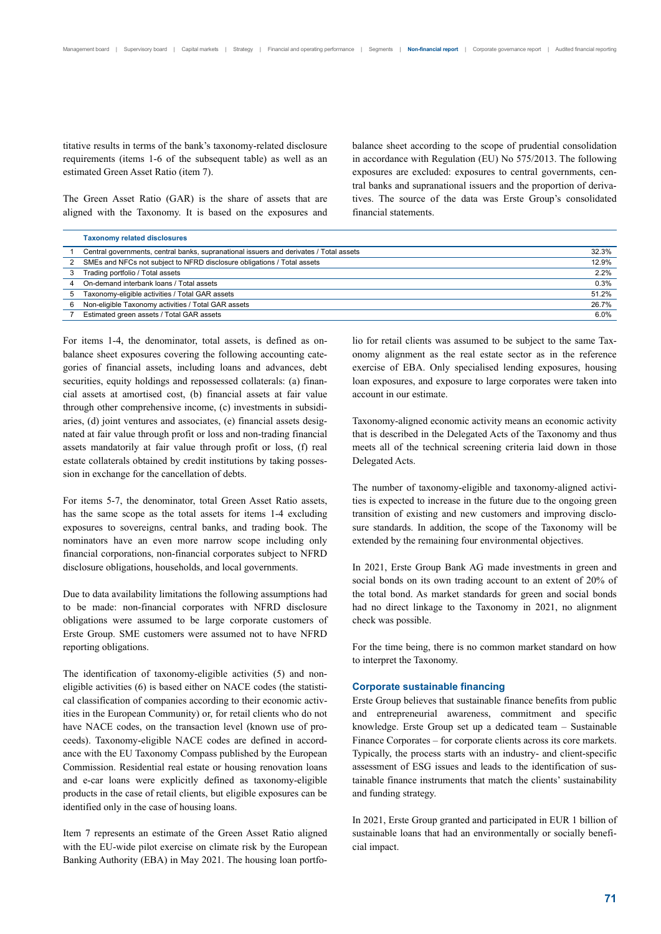titative results in terms of the bank's taxonomy-related disclosure requirements (items 1-6 of the subsequent table) as well as an estimated Green Asset Ratio (item 7).

The Green Asset Ratio (GAR) is the share of assets that are aligned with the Taxonomy. It is based on the exposures and balance sheet according to the scope of prudential consolidation in accordance with Regulation (EU) No 575/2013. The following exposures are excluded: exposures to central governments, central banks and supranational issuers and the proportion of derivatives. The source of the data was Erste Group's consolidated financial statements.

|  |  |  |  |  | The Green Asset Ratio (GAR) is the share of assets that are |  |
|--|--|--|--|--|-------------------------------------------------------------|--|
|  |  |  |  |  | aligned with the Taxonomy. It is based on the exposures and |  |

|   | <b>Taxonomy related disclosures</b>                                                    |       |
|---|----------------------------------------------------------------------------------------|-------|
|   | Central governments, central banks, supranational issuers and derivates / Total assets | 32.3% |
|   | SMEs and NFCs not subject to NFRD disclosure obligations / Total assets                | 12.9% |
|   | Trading portfolio / Total assets                                                       | 2.2%  |
| 4 | On-demand interbank loans / Total assets                                               | 0.3%  |
|   | Taxonomy-eligible activities / Total GAR assets                                        | 51.2% |
| 6 | Non-eligible Taxonomy activities / Total GAR assets                                    | 26.7% |
|   | Estimated green assets / Total GAR assets                                              | 6.0%  |

For items 1-4, the denominator, total assets, is defined as onbalance sheet exposures covering the following accounting categories of financial assets, including loans and advances, debt securities, equity holdings and repossessed collaterals: (a) financial assets at amortised cost, (b) financial assets at fair value through other comprehensive income, (c) investments in subsidiaries, (d) joint ventures and associates, (e) financial assets designated at fair value through profit or loss and non-trading financial assets mandatorily at fair value through profit or loss, (f) real estate collaterals obtained by credit institutions by taking possession in exchange for the cancellation of debts.

For items 5-7, the denominator, total Green Asset Ratio assets, has the same scope as the total assets for items 1-4 excluding exposures to sovereigns, central banks, and trading book. The nominators have an even more narrow scope including only financial corporations, non-financial corporates subject to NFRD disclosure obligations, households, and local governments.

Due to data availability limitations the following assumptions had to be made: non-financial corporates with NFRD disclosure obligations were assumed to be large corporate customers of Erste Group. SME customers were assumed not to have NFRD reporting obligations.

The identification of taxonomy-eligible activities (5) and noneligible activities (6) is based either on NACE codes (the statistical classification of companies according to their economic activities in the European Community) or, for retail clients who do not have NACE codes, on the transaction level (known use of proceeds). Taxonomy-eligible NACE codes are defined in accordance with the EU Taxonomy Compass published by the European Commission. Residential real estate or housing renovation loans and e-car loans were explicitly defined as taxonomy-eligible products in the case of retail clients, but eligible exposures can be identified only in the case of housing loans.

Item 7 represents an estimate of the Green Asset Ratio aligned with the EU-wide pilot exercise on climate risk by the European Banking Authority (EBA) in May 2021. The housing loan portfolio for retail clients was assumed to be subject to the same Taxonomy alignment as the real estate sector as in the reference exercise of EBA. Only specialised lending exposures, housing loan exposures, and exposure to large corporates were taken into account in our estimate.

Taxonomy-aligned economic activity means an economic activity that is described in the Delegated Acts of the Taxonomy and thus meets all of the technical screening criteria laid down in those Delegated Acts.

The number of taxonomy-eligible and taxonomy-aligned activities is expected to increase in the future due to the ongoing green transition of existing and new customers and improving disclosure standards. In addition, the scope of the Taxonomy will be extended by the remaining four environmental objectives.

In 2021, Erste Group Bank AG made investments in green and social bonds on its own trading account to an extent of 20% of the total bond. As market standards for green and social bonds had no direct linkage to the Taxonomy in 2021, no alignment check was possible.

For the time being, there is no common market standard on how to interpret the Taxonomy.

### **Corporate sustainable financing**

Erste Group believes that sustainable finance benefits from public and entrepreneurial awareness, commitment and specific knowledge. Erste Group set up a dedicated team – Sustainable Finance Corporates – for corporate clients across its core markets. Typically, the process starts with an industry- and client-specific assessment of ESG issues and leads to the identification of sustainable finance instruments that match the clients' sustainability and funding strategy.

In 2021, Erste Group granted and participated in EUR 1 billion of sustainable loans that had an environmentally or socially beneficial impact.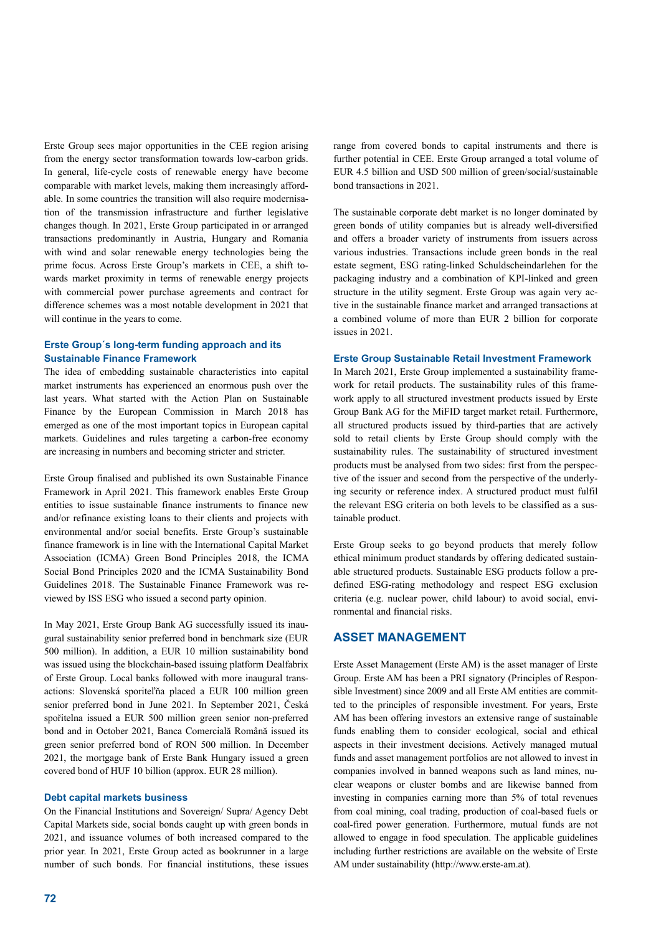Erste Group sees major opportunities in the CEE region arising from the energy sector transformation towards low-carbon grids. In general, life-cycle costs of renewable energy have become comparable with market levels, making them increasingly affordable. In some countries the transition will also require modernisation of the transmission infrastructure and further legislative changes though. In 2021, Erste Group participated in or arranged transactions predominantly in Austria, Hungary and Romania with wind and solar renewable energy technologies being the prime focus. Across Erste Group's markets in CEE, a shift towards market proximity in terms of renewable energy projects with commercial power purchase agreements and contract for difference schemes was a most notable development in 2021 that will continue in the years to come.

### **Erste Group´s long-term funding approach and its Sustainable Finance Framework**

The idea of embedding sustainable characteristics into capital market instruments has experienced an enormous push over the last years. What started with the Action Plan on Sustainable Finance by the European Commission in March 2018 has emerged as one of the most important topics in European capital markets. Guidelines and rules targeting a carbon-free economy are increasing in numbers and becoming stricter and stricter.

Erste Group finalised and published its own Sustainable Finance Framework in April 2021. This framework enables Erste Group entities to issue sustainable finance instruments to finance new and/or refinance existing loans to their clients and projects with environmental and/or social benefits. Erste Group's sustainable finance framework is in line with the International Capital Market Association (ICMA) Green Bond Principles 2018, the ICMA Social Bond Principles 2020 and the ICMA Sustainability Bond Guidelines 2018. The Sustainable Finance Framework was reviewed by ISS ESG who issued a second party opinion.

In May 2021, Erste Group Bank AG successfully issued its inaugural sustainability senior preferred bond in benchmark size (EUR 500 million). In addition, a EUR 10 million sustainability bond was issued using the blockchain-based issuing platform Dealfabrix of Erste Group. Local banks followed with more inaugural transactions: Slovenská sporiteľňa placed a EUR 100 million green senior preferred bond in June 2021. In September 2021, Česká spořitelna issued a EUR 500 million green senior non-preferred bond and in October 2021, Banca Comercială Română issued its green senior preferred bond of RON 500 million. In December 2021, the mortgage bank of Erste Bank Hungary issued a green covered bond of HUF 10 billion (approx. EUR 28 million).

### **Debt capital markets business**

On the Financial Institutions and Sovereign/ Supra/ Agency Debt Capital Markets side, social bonds caught up with green bonds in 2021, and issuance volumes of both increased compared to the prior year. In 2021, Erste Group acted as bookrunner in a large number of such bonds. For financial institutions, these issues range from covered bonds to capital instruments and there is further potential in CEE. Erste Group arranged a total volume of EUR 4.5 billion and USD 500 million of green/social/sustainable bond transactions in 2021.

The sustainable corporate debt market is no longer dominated by green bonds of utility companies but is already well-diversified and offers a broader variety of instruments from issuers across various industries. Transactions include green bonds in the real estate segment, ESG rating-linked Schuldscheindarlehen for the packaging industry and a combination of KPI-linked and green structure in the utility segment. Erste Group was again very active in the sustainable finance market and arranged transactions at a combined volume of more than EUR 2 billion for corporate issues in 2021.

### **Erste Group Sustainable Retail Investment Framework**

In March 2021, Erste Group implemented a sustainability framework for retail products. The sustainability rules of this framework apply to all structured investment products issued by Erste Group Bank AG for the MiFID target market retail. Furthermore, all structured products issued by third-parties that are actively sold to retail clients by Erste Group should comply with the sustainability rules. The sustainability of structured investment products must be analysed from two sides: first from the perspective of the issuer and second from the perspective of the underlying security or reference index. A structured product must fulfil the relevant ESG criteria on both levels to be classified as a sustainable product.

Erste Group seeks to go beyond products that merely follow ethical minimum product standards by offering dedicated sustainable structured products. Sustainable ESG products follow a predefined ESG-rating methodology and respect ESG exclusion criteria (e.g. nuclear power, child labour) to avoid social, environmental and financial risks.

## **ASSET MANAGEMENT**

Erste Asset Management (Erste AM) is the asset manager of Erste Group. Erste AM has been a PRI signatory (Principles of Responsible Investment) since 2009 and all Erste AM entities are committed to the principles of responsible investment. For years, Erste AM has been offering investors an extensive range of sustainable funds enabling them to consider ecological, social and ethical aspects in their investment decisions. Actively managed mutual funds and asset management portfolios are not allowed to invest in companies involved in banned weapons such as land mines, nuclear weapons or cluster bombs and are likewise banned from investing in companies earning more than 5% of total revenues from coal mining, coal trading, production of coal-based fuels or coal-fired power generation. Furthermore, mutual funds are not allowed to engage in food speculation. The applicable guidelines including further restrictions are available on the website of Erste AM under sustainability (http://www.erste-am.at).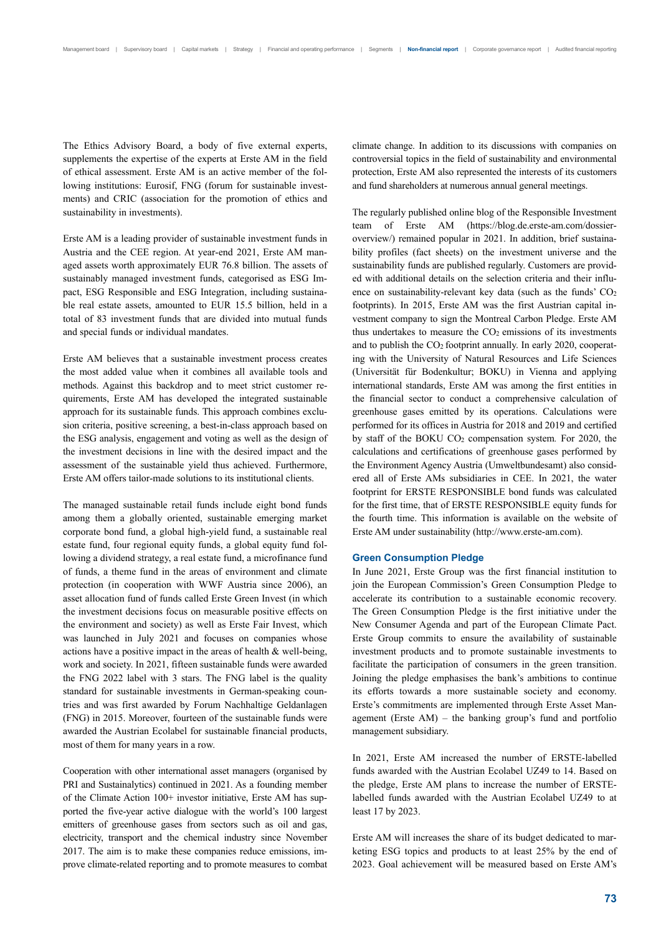The Ethics Advisory Board, a body of five external experts, supplements the expertise of the experts at Erste AM in the field of ethical assessment. Erste AM is an active member of the following institutions: Eurosif, FNG (forum for sustainable investments) and CRIC (association for the promotion of ethics and sustainability in investments).

Erste AM is a leading provider of sustainable investment funds in Austria and the CEE region. At year-end 2021, Erste AM managed assets worth approximately EUR 76.8 billion. The assets of sustainably managed investment funds, categorised as ESG Impact, ESG Responsible and ESG Integration, including sustainable real estate assets, amounted to EUR 15.5 billion, held in a total of 83 investment funds that are divided into mutual funds and special funds or individual mandates.

Erste AM believes that a sustainable investment process creates the most added value when it combines all available tools and methods. Against this backdrop and to meet strict customer requirements, Erste AM has developed the integrated sustainable approach for its sustainable funds. This approach combines exclusion criteria, positive screening, a best-in-class approach based on the ESG analysis, engagement and voting as well as the design of the investment decisions in line with the desired impact and the assessment of the sustainable yield thus achieved. Furthermore, Erste AM offers tailor-made solutions to its institutional clients.

The managed sustainable retail funds include eight bond funds among them a globally oriented, sustainable emerging market corporate bond fund, a global high-yield fund, a sustainable real estate fund, four regional equity funds, a global equity fund following a dividend strategy, a real estate fund, a microfinance fund of funds, a theme fund in the areas of environment and climate protection (in cooperation with WWF Austria since 2006), an asset allocation fund of funds called Erste Green Invest (in which the investment decisions focus on measurable positive effects on the environment and society) as well as Erste Fair Invest, which was launched in July 2021 and focuses on companies whose actions have a positive impact in the areas of health & well-being, work and society. In 2021, fifteen sustainable funds were awarded the FNG 2022 label with 3 stars. The FNG label is the quality standard for sustainable investments in German-speaking countries and was first awarded by Forum Nachhaltige Geldanlagen (FNG) in 2015. Moreover, fourteen of the sustainable funds were awarded the Austrian Ecolabel for sustainable financial products, most of them for many years in a row.

Cooperation with other international asset managers (organised by PRI and Sustainalytics) continued in 2021. As a founding member of the Climate Action 100+ investor initiative, Erste AM has supported the five-year active dialogue with the world's 100 largest emitters of greenhouse gases from sectors such as oil and gas, electricity, transport and the chemical industry since November 2017. The aim is to make these companies reduce emissions, improve climate-related reporting and to promote measures to combat climate change. In addition to its discussions with companies on controversial topics in the field of sustainability and environmental protection, Erste AM also represented the interests of its customers and fund shareholders at numerous annual general meetings.

The regularly published online blog of the Responsible Investment team of Erste AM (https://blog.de.erste-am.com/dossieroverview/) remained popular in 2021. In addition, brief sustainability profiles (fact sheets) on the investment universe and the sustainability funds are published regularly. Customers are provided with additional details on the selection criteria and their influence on sustainability-relevant key data (such as the funds'  $CO<sub>2</sub>$ footprints). In 2015, Erste AM was the first Austrian capital investment company to sign the Montreal Carbon Pledge. Erste AM thus undertakes to measure the  $CO<sub>2</sub>$  emissions of its investments and to publish the CO2 footprint annually. In early 2020, cooperating with the University of Natural Resources and Life Sciences (Universität für Bodenkultur; BOKU) in Vienna and applying international standards, Erste AM was among the first entities in the financial sector to conduct a comprehensive calculation of greenhouse gases emitted by its operations. Calculations were performed for its offices in Austria for 2018 and 2019 and certified by staff of the BOKU CO2 compensation system*.* For 2020, the calculations and certifications of greenhouse gases performed by the Environment Agency Austria (Umweltbundesamt) also considered all of Erste AMs subsidiaries in CEE. In 2021, the water footprint for ERSTE RESPONSIBLE bond funds was calculated for the first time, that of ERSTE RESPONSIBLE equity funds for the fourth time. This information is available on the website of Erste AM under sustainability (http://www.erste-am.com).

### **Green Consumption Pledge**

In June 2021, Erste Group was the first financial institution to join the European Commission's Green Consumption Pledge to accelerate its contribution to a sustainable economic recovery. The Green Consumption Pledge is the first initiative under the New Consumer Agenda and part of the European Climate Pact. Erste Group commits to ensure the availability of sustainable investment products and to promote sustainable investments to facilitate the participation of consumers in the green transition. Joining the pledge emphasises the bank's ambitions to continue its efforts towards a more sustainable society and economy. Erste's commitments are implemented through Erste Asset Management (Erste AM) – the banking group's fund and portfolio management subsidiary.

In 2021, Erste AM increased the number of ERSTE-labelled funds awarded with the Austrian Ecolabel UZ49 to 14. Based on the pledge, Erste AM plans to increase the number of ERSTElabelled funds awarded with the Austrian Ecolabel UZ49 to at least 17 by 2023.

Erste AM will increases the share of its budget dedicated to marketing ESG topics and products to at least 25% by the end of 2023. Goal achievement will be measured based on Erste AM's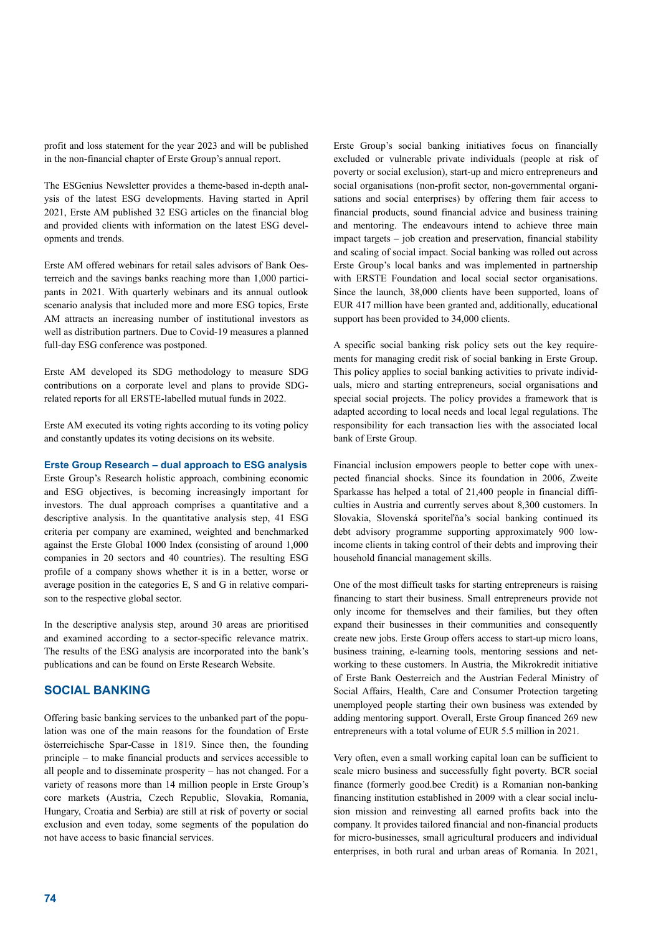profit and loss statement for the year 2023 and will be published in the non-financial chapter of Erste Group's annual report.

The ESGenius Newsletter provides a theme-based in-depth analysis of the latest ESG developments. Having started in April 2021, Erste AM published 32 ESG articles on the financial blog and provided clients with information on the latest ESG developments and trends.

Erste AM offered webinars for retail sales advisors of Bank Oesterreich and the savings banks reaching more than 1,000 participants in 2021. With quarterly webinars and its annual outlook scenario analysis that included more and more ESG topics, Erste AM attracts an increasing number of institutional investors as well as distribution partners. Due to Covid-19 measures a planned full-day ESG conference was postponed.

Erste AM developed its SDG methodology to measure SDG contributions on a corporate level and plans to provide SDGrelated reports for all ERSTE-labelled mutual funds in 2022.

Erste AM executed its voting rights according to its voting policy and constantly updates its voting decisions on its website.

### **Erste Group Research – dual approach to ESG analysis**

Erste Group's Research holistic approach, combining economic and ESG objectives, is becoming increasingly important for investors. The dual approach comprises a quantitative and a descriptive analysis. In the quantitative analysis step, 41 ESG criteria per company are examined, weighted and benchmarked against the Erste Global 1000 Index (consisting of around 1,000 companies in 20 sectors and 40 countries). The resulting ESG profile of a company shows whether it is in a better, worse or average position in the categories E, S and G in relative comparison to the respective global sector.

In the descriptive analysis step, around 30 areas are prioritised and examined according to a sector-specific relevance matrix. The results of the ESG analysis are incorporated into the bank's publications and can be found on Erste Research Website.

## **SOCIAL BANKING**

Offering basic banking services to the unbanked part of the population was one of the main reasons for the foundation of Erste österreichische Spar-Casse in 1819. Since then, the founding principle – to make financial products and services accessible to all people and to disseminate prosperity – has not changed. For a variety of reasons more than 14 million people in Erste Group's core markets (Austria, Czech Republic, Slovakia, Romania, Hungary, Croatia and Serbia) are still at risk of poverty or social exclusion and even today, some segments of the population do not have access to basic financial services.

Erste Group's social banking initiatives focus on financially excluded or vulnerable private individuals (people at risk of poverty or social exclusion), start-up and micro entrepreneurs and social organisations (non-profit sector, non-governmental organisations and social enterprises) by offering them fair access to financial products, sound financial advice and business training and mentoring. The endeavours intend to achieve three main impact targets – job creation and preservation, financial stability and scaling of social impact. Social banking was rolled out across Erste Group's local banks and was implemented in partnership with ERSTE Foundation and local social sector organisations. Since the launch, 38,000 clients have been supported, loans of EUR 417 million have been granted and, additionally, educational support has been provided to 34,000 clients.

A specific social banking risk policy sets out the key requirements for managing credit risk of social banking in Erste Group. This policy applies to social banking activities to private individuals, micro and starting entrepreneurs, social organisations and special social projects. The policy provides a framework that is adapted according to local needs and local legal regulations. The responsibility for each transaction lies with the associated local bank of Erste Group.

Financial inclusion empowers people to better cope with unexpected financial shocks. Since its foundation in 2006, Zweite Sparkasse has helped a total of 21,400 people in financial difficulties in Austria and currently serves about 8,300 customers. In Slovakia, Slovenská sporiteľňa's social banking continued its debt advisory programme supporting approximately 900 lowincome clients in taking control of their debts and improving their household financial management skills.

One of the most difficult tasks for starting entrepreneurs is raising financing to start their business. Small entrepreneurs provide not only income for themselves and their families, but they often expand their businesses in their communities and consequently create new jobs. Erste Group offers access to start-up micro loans, business training, e-learning tools, mentoring sessions and networking to these customers. In Austria, the Mikrokredit initiative of Erste Bank Oesterreich and the Austrian Federal Ministry of Social Affairs, Health, Care and Consumer Protection targeting unemployed people starting their own business was extended by adding mentoring support. Overall, Erste Group financed 269 new entrepreneurs with a total volume of EUR 5.5 million in 2021.

Very often, even a small working capital loan can be sufficient to scale micro business and successfully fight poverty. BCR social finance (formerly good.bee Credit) is a Romanian non-banking financing institution established in 2009 with a clear social inclusion mission and reinvesting all earned profits back into the company. It provides tailored financial and non-financial products for micro-businesses, small agricultural producers and individual enterprises, in both rural and urban areas of Romania. In 2021,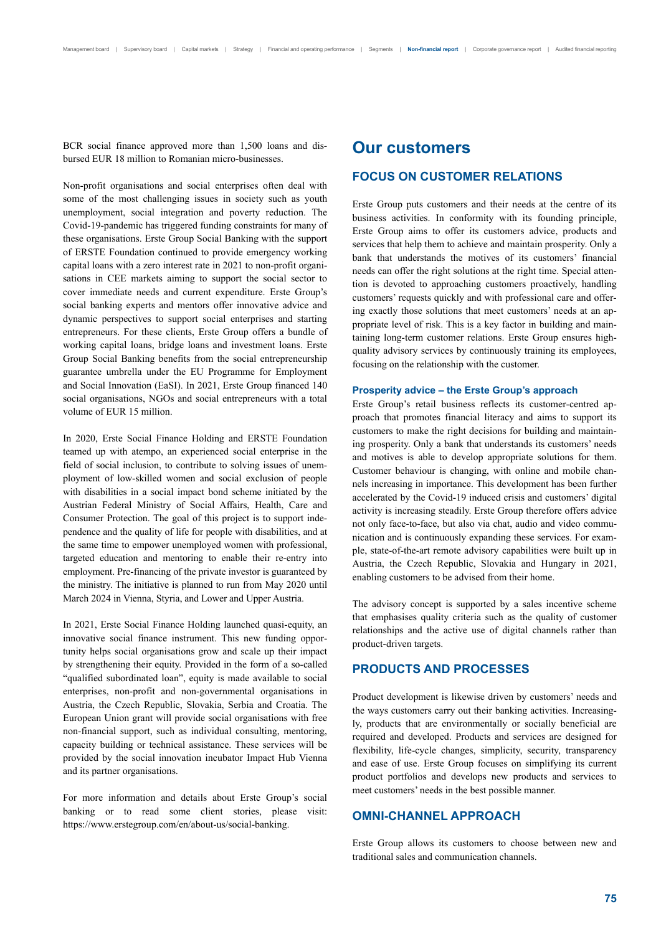BCR social finance approved more than 1,500 loans and disbursed EUR 18 million to Romanian micro-businesses.

Non-profit organisations and social enterprises often deal with some of the most challenging issues in society such as youth unemployment, social integration and poverty reduction. The Covid-19-pandemic has triggered funding constraints for many of these organisations. Erste Group Social Banking with the support of ERSTE Foundation continued to provide emergency working capital loans with a zero interest rate in 2021 to non-profit organisations in CEE markets aiming to support the social sector to cover immediate needs and current expenditure. Erste Group's social banking experts and mentors offer innovative advice and dynamic perspectives to support social enterprises and starting entrepreneurs. For these clients, Erste Group offers a bundle of working capital loans, bridge loans and investment loans. Erste Group Social Banking benefits from the social entrepreneurship guarantee umbrella under the EU Programme for Employment and Social Innovation (EaSI). In 2021, Erste Group financed 140 social organisations, NGOs and social entrepreneurs with a total volume of EUR 15 million.

In 2020, Erste Social Finance Holding and ERSTE Foundation teamed up with atempo, an experienced social enterprise in the field of social inclusion, to contribute to solving issues of unemployment of low-skilled women and social exclusion of people with disabilities in a social impact bond scheme initiated by the Austrian Federal Ministry of Social Affairs, Health, Care and Consumer Protection. The goal of this project is to support independence and the quality of life for people with disabilities, and at the same time to empower unemployed women with professional, targeted education and mentoring to enable their re-entry into employment. Pre-financing of the private investor is guaranteed by the ministry. The initiative is planned to run from May 2020 until March 2024 in Vienna, Styria, and Lower and Upper Austria.

In 2021, Erste Social Finance Holding launched quasi-equity, an innovative social finance instrument. This new funding opportunity helps social organisations grow and scale up their impact by strengthening their equity. Provided in the form of a so-called "qualified subordinated loan", equity is made available to social enterprises, non-profit and non-governmental organisations in Austria, the Czech Republic, Slovakia, Serbia and Croatia. The European Union grant will provide social organisations with free non-financial support, such as individual consulting, mentoring, capacity building or technical assistance. These services will be provided by the social innovation incubator Impact Hub Vienna and its partner organisations.

For more information and details about Erste Group's social banking or to read some client stories, please visit: https://www.erstegroup.com/en/about-us/social-banking.

## **Our customers**

### **FOCUS ON CUSTOMER RELATIONS**

Erste Group puts customers and their needs at the centre of its business activities. In conformity with its founding principle, Erste Group aims to offer its customers advice, products and services that help them to achieve and maintain prosperity. Only a bank that understands the motives of its customers' financial needs can offer the right solutions at the right time. Special attention is devoted to approaching customers proactively, handling customers' requests quickly and with professional care and offering exactly those solutions that meet customers' needs at an appropriate level of risk. This is a key factor in building and maintaining long-term customer relations. Erste Group ensures highquality advisory services by continuously training its employees, focusing on the relationship with the customer.

#### **Prosperity advice – the Erste Group's approach**

Erste Group's retail business reflects its customer-centred approach that promotes financial literacy and aims to support its customers to make the right decisions for building and maintaining prosperity. Only a bank that understands its customers' needs and motives is able to develop appropriate solutions for them. Customer behaviour is changing, with online and mobile channels increasing in importance. This development has been further accelerated by the Covid-19 induced crisis and customers' digital activity is increasing steadily. Erste Group therefore offers advice not only face-to-face, but also via chat, audio and video communication and is continuously expanding these services. For example, state-of-the-art remote advisory capabilities were built up in Austria, the Czech Republic, Slovakia and Hungary in 2021, enabling customers to be advised from their home.

The advisory concept is supported by a sales incentive scheme that emphasises quality criteria such as the quality of customer relationships and the active use of digital channels rather than product-driven targets.

### **PRODUCTS AND PROCESSES**

Product development is likewise driven by customers' needs and the ways customers carry out their banking activities. Increasingly, products that are environmentally or socially beneficial are required and developed. Products and services are designed for flexibility, life-cycle changes, simplicity, security, transparency and ease of use. Erste Group focuses on simplifying its current product portfolios and develops new products and services to meet customers' needs in the best possible manner.

## **OMNI-CHANNEL APPROACH**

Erste Group allows its customers to choose between new and traditional sales and communication channels.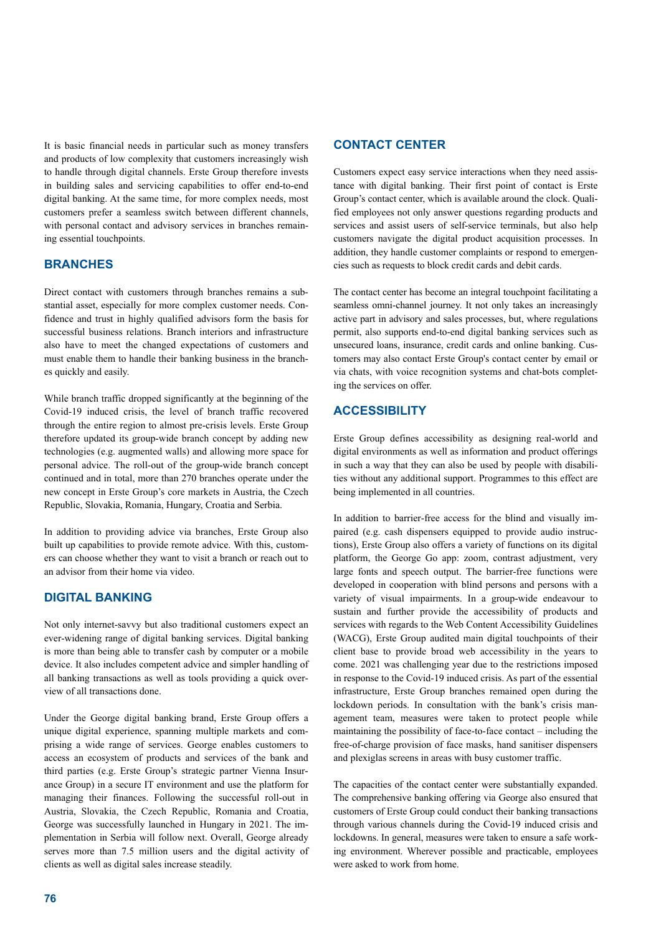It is basic financial needs in particular such as money transfers and products of low complexity that customers increasingly wish to handle through digital channels. Erste Group therefore invests in building sales and servicing capabilities to offer end-to-end digital banking. At the same time, for more complex needs, most customers prefer a seamless switch between different channels, with personal contact and advisory services in branches remaining essential touchpoints.

## **BRANCHES**

Direct contact with customers through branches remains a substantial asset, especially for more complex customer needs. Confidence and trust in highly qualified advisors form the basis for successful business relations. Branch interiors and infrastructure also have to meet the changed expectations of customers and must enable them to handle their banking business in the branches quickly and easily.

While branch traffic dropped significantly at the beginning of the Covid-19 induced crisis, the level of branch traffic recovered through the entire region to almost pre-crisis levels. Erste Group therefore updated its group-wide branch concept by adding new technologies (e.g. augmented walls) and allowing more space for personal advice. The roll-out of the group-wide branch concept continued and in total, more than 270 branches operate under the new concept in Erste Group's core markets in Austria, the Czech Republic, Slovakia, Romania, Hungary, Croatia and Serbia.

In addition to providing advice via branches, Erste Group also built up capabilities to provide remote advice. With this, customers can choose whether they want to visit a branch or reach out to an advisor from their home via video.

## **DIGITAL BANKING**

Not only internet-savvy but also traditional customers expect an ever-widening range of digital banking services. Digital banking is more than being able to transfer cash by computer or a mobile device. It also includes competent advice and simpler handling of all banking transactions as well as tools providing a quick overview of all transactions done.

Under the George digital banking brand, Erste Group offers a unique digital experience, spanning multiple markets and comprising a wide range of services. George enables customers to access an ecosystem of products and services of the bank and third parties (e.g. Erste Group's strategic partner Vienna Insurance Group) in a secure IT environment and use the platform for managing their finances. Following the successful roll-out in Austria, Slovakia, the Czech Republic, Romania and Croatia, George was successfully launched in Hungary in 2021. The implementation in Serbia will follow next. Overall, George already serves more than 7.5 million users and the digital activity of clients as well as digital sales increase steadily.

## **CONTACT CENTER**

Customers expect easy service interactions when they need assistance with digital banking. Their first point of contact is Erste Group's contact center, which is available around the clock. Qualified employees not only answer questions regarding products and services and assist users of self-service terminals, but also help customers navigate the digital product acquisition processes. In addition, they handle customer complaints or respond to emergencies such as requests to block credit cards and debit cards.

The contact center has become an integral touchpoint facilitating a seamless omni-channel journey. It not only takes an increasingly active part in advisory and sales processes, but, where regulations permit, also supports end-to-end digital banking services such as unsecured loans, insurance, credit cards and online banking. Customers may also contact Erste Group's contact center by email or via chats, with voice recognition systems and chat-bots completing the services on offer.

## **ACCESSIBILITY**

Erste Group defines accessibility as designing real-world and digital environments as well as information and product offerings in such a way that they can also be used by people with disabilities without any additional support. Programmes to this effect are being implemented in all countries.

In addition to barrier-free access for the blind and visually impaired (e.g. cash dispensers equipped to provide audio instructions), Erste Group also offers a variety of functions on its digital platform, the George Go app: zoom, contrast adjustment, very large fonts and speech output. The barrier-free functions were developed in cooperation with blind persons and persons with a variety of visual impairments. In a group-wide endeavour to sustain and further provide the accessibility of products and services with regards to the Web Content Accessibility Guidelines (WACG), Erste Group audited main digital touchpoints of their client base to provide broad web accessibility in the years to come. 2021 was challenging year due to the restrictions imposed in response to the Covid-19 induced crisis. As part of the essential infrastructure, Erste Group branches remained open during the lockdown periods. In consultation with the bank's crisis management team, measures were taken to protect people while maintaining the possibility of face-to-face contact – including the free-of-charge provision of face masks, hand sanitiser dispensers and plexiglas screens in areas with busy customer traffic.

The capacities of the contact center were substantially expanded. The comprehensive banking offering via George also ensured that customers of Erste Group could conduct their banking transactions through various channels during the Covid-19 induced crisis and lockdowns. In general, measures were taken to ensure a safe working environment. Wherever possible and practicable, employees were asked to work from home.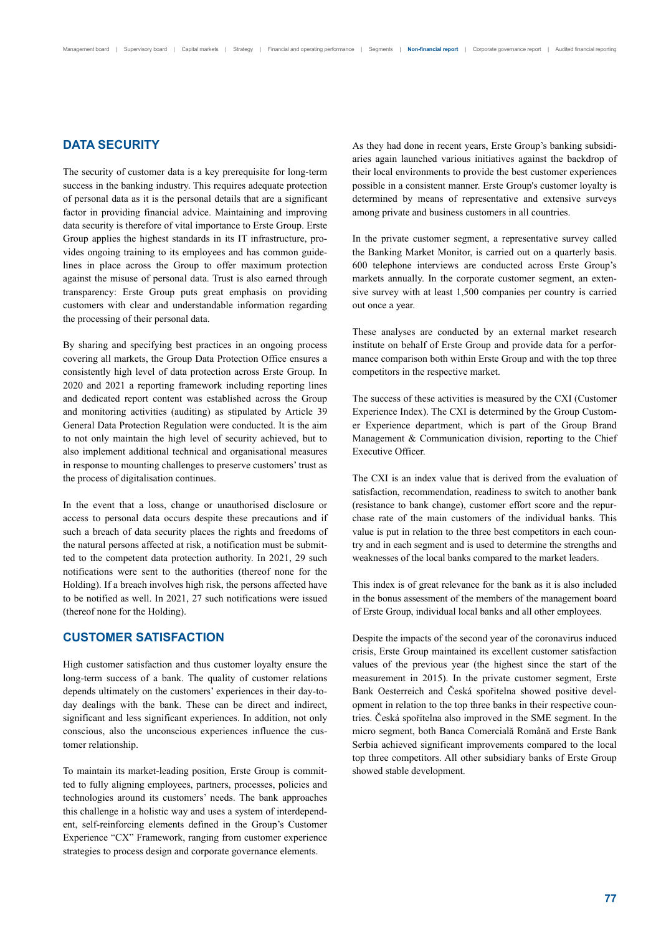## **DATA SECURITY**

The security of customer data is a key prerequisite for long-term success in the banking industry. This requires adequate protection of personal data as it is the personal details that are a significant factor in providing financial advice. Maintaining and improving data security is therefore of vital importance to Erste Group. Erste Group applies the highest standards in its IT infrastructure, provides ongoing training to its employees and has common guidelines in place across the Group to offer maximum protection against the misuse of personal data. Trust is also earned through transparency: Erste Group puts great emphasis on providing customers with clear and understandable information regarding the processing of their personal data.

By sharing and specifying best practices in an ongoing process covering all markets, the Group Data Protection Office ensures a consistently high level of data protection across Erste Group. In 2020 and 2021 a reporting framework including reporting lines and dedicated report content was established across the Group and monitoring activities (auditing) as stipulated by Article 39 General Data Protection Regulation were conducted. It is the aim to not only maintain the high level of security achieved, but to also implement additional technical and organisational measures in response to mounting challenges to preserve customers' trust as the process of digitalisation continues.

In the event that a loss, change or unauthorised disclosure or access to personal data occurs despite these precautions and if such a breach of data security places the rights and freedoms of the natural persons affected at risk, a notification must be submitted to the competent data protection authority. In 2021, 29 such notifications were sent to the authorities (thereof none for the Holding). If a breach involves high risk, the persons affected have to be notified as well. In 2021, 27 such notifications were issued (thereof none for the Holding).

## **CUSTOMER SATISFACTION**

High customer satisfaction and thus customer loyalty ensure the long-term success of a bank. The quality of customer relations depends ultimately on the customers' experiences in their day-today dealings with the bank. These can be direct and indirect, significant and less significant experiences. In addition, not only conscious, also the unconscious experiences influence the customer relationship.

To maintain its market-leading position, Erste Group is committed to fully aligning employees, partners, processes, policies and technologies around its customers' needs. The bank approaches this challenge in a holistic way and uses a system of interdependent, self-reinforcing elements defined in the Group's Customer Experience "CX" Framework, ranging from customer experience strategies to process design and corporate governance elements.

As they had done in recent years, Erste Group's banking subsidiaries again launched various initiatives against the backdrop of their local environments to provide the best customer experiences possible in a consistent manner. Erste Group's customer loyalty is determined by means of representative and extensive surveys among private and business customers in all countries.

In the private customer segment, a representative survey called the Banking Market Monitor, is carried out on a quarterly basis. 600 telephone interviews are conducted across Erste Group's markets annually. In the corporate customer segment, an extensive survey with at least 1,500 companies per country is carried out once a year.

These analyses are conducted by an external market research institute on behalf of Erste Group and provide data for a performance comparison both within Erste Group and with the top three competitors in the respective market.

The success of these activities is measured by the CXI (Customer Experience Index). The CXI is determined by the Group Customer Experience department, which is part of the Group Brand Management & Communication division, reporting to the Chief Executive Officer.

The CXI is an index value that is derived from the evaluation of satisfaction, recommendation, readiness to switch to another bank (resistance to bank change), customer effort score and the repurchase rate of the main customers of the individual banks. This value is put in relation to the three best competitors in each country and in each segment and is used to determine the strengths and weaknesses of the local banks compared to the market leaders.

This index is of great relevance for the bank as it is also included in the bonus assessment of the members of the management board of Erste Group, individual local banks and all other employees.

Despite the impacts of the second year of the coronavirus induced crisis, Erste Group maintained its excellent customer satisfaction values of the previous year (the highest since the start of the measurement in 2015). In the private customer segment, Erste Bank Oesterreich and Česká spořitelna showed positive development in relation to the top three banks in their respective countries. Česká spořitelna also improved in the SME segment. In the micro segment, both Banca Comercială Română and Erste Bank Serbia achieved significant improvements compared to the local top three competitors. All other subsidiary banks of Erste Group showed stable development.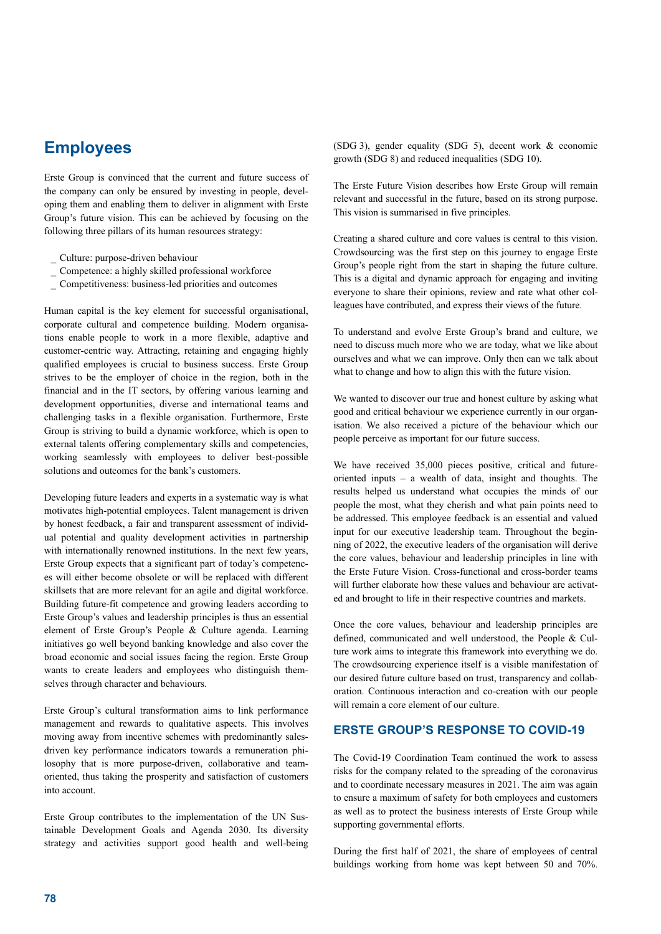## **Employees**

Erste Group is convinced that the current and future success of the company can only be ensured by investing in people, developing them and enabling them to deliver in alignment with Erste Group's future vision. This can be achieved by focusing on the following three pillars of its human resources strategy:

- \_ Culture: purpose-driven behaviour
- \_ Competence: a highly skilled professional workforce
- \_ Competitiveness: business-led priorities and outcomes

Human capital is the key element for successful organisational, corporate cultural and competence building. Modern organisations enable people to work in a more flexible, adaptive and customer-centric way. Attracting, retaining and engaging highly qualified employees is crucial to business success. Erste Group strives to be the employer of choice in the region, both in the financial and in the IT sectors, by offering various learning and development opportunities, diverse and international teams and challenging tasks in a flexible organisation. Furthermore, Erste Group is striving to build a dynamic workforce, which is open to external talents offering complementary skills and competencies, working seamlessly with employees to deliver best-possible solutions and outcomes for the bank's customers.

Developing future leaders and experts in a systematic way is what motivates high-potential employees. Talent management is driven by honest feedback, a fair and transparent assessment of individual potential and quality development activities in partnership with internationally renowned institutions. In the next few years, Erste Group expects that a significant part of today's competences will either become obsolete or will be replaced with different skillsets that are more relevant for an agile and digital workforce. Building future-fit competence and growing leaders according to Erste Group's values and leadership principles is thus an essential element of Erste Group's People & Culture agenda. Learning initiatives go well beyond banking knowledge and also cover the broad economic and social issues facing the region. Erste Group wants to create leaders and employees who distinguish themselves through character and behaviours.

Erste Group's cultural transformation aims to link performance management and rewards to qualitative aspects. This involves moving away from incentive schemes with predominantly salesdriven key performance indicators towards a remuneration philosophy that is more purpose-driven, collaborative and teamoriented, thus taking the prosperity and satisfaction of customers into account.

Erste Group contributes to the implementation of the UN Sustainable Development Goals and Agenda 2030. Its diversity strategy and activities support good health and well-being (SDG 3), gender equality (SDG 5), decent work & economic growth (SDG 8) and reduced inequalities (SDG 10).

The Erste Future Vision describes how Erste Group will remain relevant and successful in the future, based on its strong purpose. This vision is summarised in five principles.

Creating a shared culture and core values is central to this vision. Crowdsourcing was the first step on this journey to engage Erste Group's people right from the start in shaping the future culture. This is a digital and dynamic approach for engaging and inviting everyone to share their opinions, review and rate what other colleagues have contributed, and express their views of the future.

To understand and evolve Erste Group's brand and culture, we need to discuss much more who we are today, what we like about ourselves and what we can improve. Only then can we talk about what to change and how to align this with the future vision.

We wanted to discover our true and honest culture by asking what good and critical behaviour we experience currently in our organisation. We also received a picture of the behaviour which our people perceive as important for our future success.

We have received 35,000 pieces positive, critical and futureoriented inputs – a wealth of data, insight and thoughts. The results helped us understand what occupies the minds of our people the most, what they cherish and what pain points need to be addressed. This employee feedback is an essential and valued input for our executive leadership team. Throughout the beginning of 2022, the executive leaders of the organisation will derive the core values, behaviour and leadership principles in line with the Erste Future Vision. Cross-functional and cross-border teams will further elaborate how these values and behaviour are activated and brought to life in their respective countries and markets.

Once the core values, behaviour and leadership principles are defined, communicated and well understood, the People & Culture work aims to integrate this framework into everything we do. The crowdsourcing experience itself is a visible manifestation of our desired future culture based on trust, transparency and collaboration. Continuous interaction and co-creation with our people will remain a core element of our culture.

## **ERSTE GROUP'S RESPONSE TO COVID-19**

The Covid-19 Coordination Team continued the work to assess risks for the company related to the spreading of the coronavirus and to coordinate necessary measures in 2021. The aim was again to ensure a maximum of safety for both employees and customers as well as to protect the business interests of Erste Group while supporting governmental efforts.

During the first half of 2021, the share of employees of central buildings working from home was kept between 50 and 70%.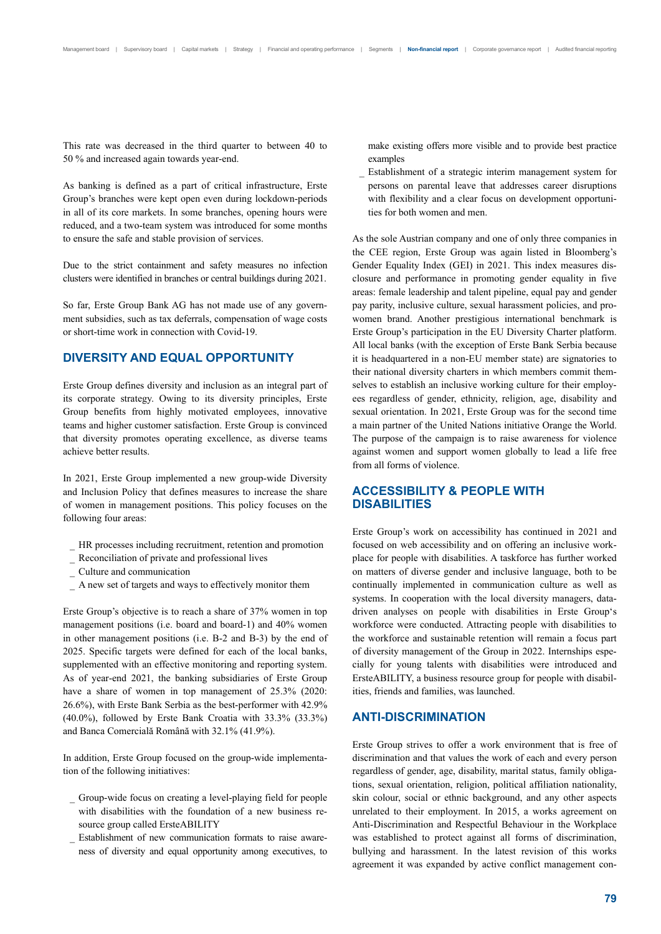This rate was decreased in the third quarter to between 40 to 50 % and increased again towards year-end.

As banking is defined as a part of critical infrastructure, Erste Group's branches were kept open even during lockdown-periods in all of its core markets. In some branches, opening hours were reduced, and a two-team system was introduced for some months to ensure the safe and stable provision of services.

Due to the strict containment and safety measures no infection clusters were identified in branches or central buildings during 2021.

So far, Erste Group Bank AG has not made use of any government subsidies, such as tax deferrals, compensation of wage costs or short-time work in connection with Covid-19.

## **DIVERSITY AND EQUAL OPPORTUNITY**

Erste Group defines diversity and inclusion as an integral part of its corporate strategy. Owing to its diversity principles, Erste Group benefits from highly motivated employees, innovative teams and higher customer satisfaction. Erste Group is convinced that diversity promotes operating excellence, as diverse teams achieve better results.

In 2021, Erste Group implemented a new group-wide Diversity and Inclusion Policy that defines measures to increase the share of women in management positions. This policy focuses on the following four areas:

- HR processes including recruitment, retention and promotion
- \_ Reconciliation of private and professional lives
- \_ Culture and communication
- \_ A new set of targets and ways to effectively monitor them

Erste Group's objective is to reach a share of 37% women in top management positions (i.e. board and board-1) and 40% women in other management positions (i.e. B-2 and B-3) by the end of 2025. Specific targets were defined for each of the local banks, supplemented with an effective monitoring and reporting system. As of year-end 2021, the banking subsidiaries of Erste Group have a share of women in top management of 25.3% (2020: 26.6%), with Erste Bank Serbia as the best-performer with 42.9% (40.0%), followed by Erste Bank Croatia with 33.3% (33.3%) and Banca Comercială Română with 32.1% (41.9%).

In addition, Erste Group focused on the group-wide implementation of the following initiatives:

- \_ Group-wide focus on creating a level-playing field for people with disabilities with the foundation of a new business resource group called ErsteABILITY
- Establishment of new communication formats to raise awareness of diversity and equal opportunity among executives, to

make existing offers more visible and to provide best practice examples

Establishment of a strategic interim management system for persons on parental leave that addresses career disruptions with flexibility and a clear focus on development opportunities for both women and men.

As the sole Austrian company and one of only three companies in the CEE region, Erste Group was again listed in Bloomberg's Gender Equality Index (GEI) in 2021. This index measures disclosure and performance in promoting gender equality in five areas: female leadership and talent pipeline, equal pay and gender pay parity, inclusive culture, sexual harassment policies, and prowomen brand. Another prestigious international benchmark is Erste Group's participation in the EU Diversity Charter platform. All local banks (with the exception of Erste Bank Serbia because it is headquartered in a non-EU member state) are signatories to their national diversity charters in which members commit themselves to establish an inclusive working culture for their employees regardless of gender, ethnicity, religion, age, disability and sexual orientation. In 2021, Erste Group was for the second time a main partner of the United Nations initiative Orange the World. The purpose of the campaign is to raise awareness for violence against women and support women globally to lead a life free from all forms of violence.

## **ACCESSIBILITY & PEOPLE WITH DISABILITIES**

Erste Group's work on accessibility has continued in 2021 and focused on web accessibility and on offering an inclusive workplace for people with disabilities. A taskforce has further worked on matters of diverse gender and inclusive language, both to be continually implemented in communication culture as well as systems. In cooperation with the local diversity managers, datadriven analyses on people with disabilities in Erste Group's workforce were conducted. Attracting people with disabilities to the workforce and sustainable retention will remain a focus part of diversity management of the Group in 2022. Internships especially for young talents with disabilities were introduced and ErsteABILITY, a business resource group for people with disabilities, friends and families, was launched.

### **ANTI-DISCRIMINATION**

Erste Group strives to offer a work environment that is free of discrimination and that values the work of each and every person regardless of gender, age, disability, marital status, family obligations, sexual orientation, religion, political affiliation nationality, skin colour, social or ethnic background, and any other aspects unrelated to their employment. In 2015, a works agreement on Anti-Discrimination and Respectful Behaviour in the Workplace was established to protect against all forms of discrimination, bullying and harassment. In the latest revision of this works agreement it was expanded by active conflict management con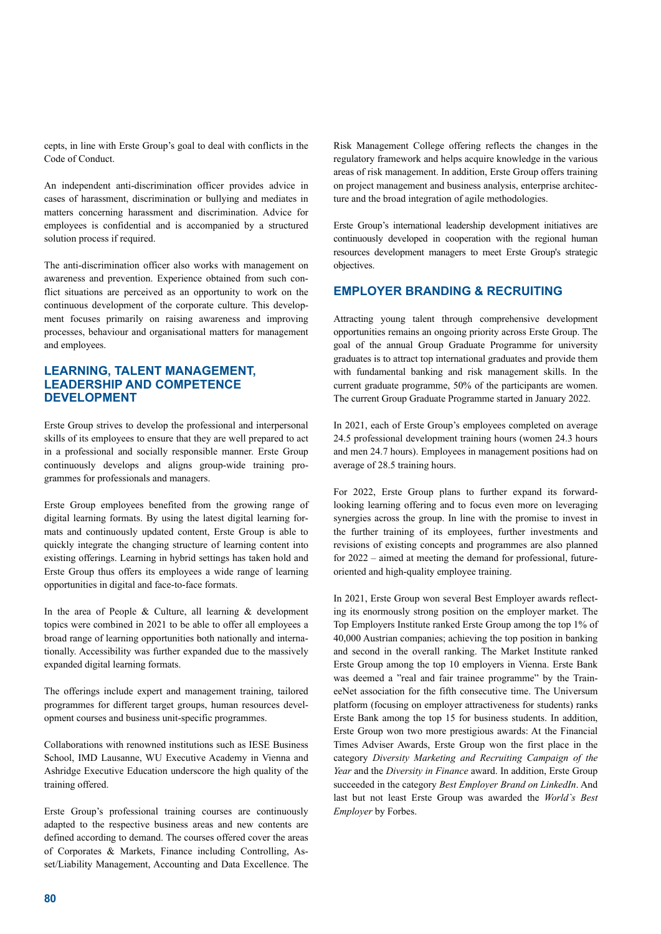cepts, in line with Erste Group's goal to deal with conflicts in the Code of Conduct.

An independent anti-discrimination officer provides advice in cases of harassment, discrimination or bullying and mediates in matters concerning harassment and discrimination. Advice for employees is confidential and is accompanied by a structured solution process if required.

The anti-discrimination officer also works with management on awareness and prevention. Experience obtained from such conflict situations are perceived as an opportunity to work on the continuous development of the corporate culture. This development focuses primarily on raising awareness and improving processes, behaviour and organisational matters for management and employees.

## **LEARNING, TALENT MANAGEMENT, LEADERSHIP AND COMPETENCE DEVELOPMENT**

Erste Group strives to develop the professional and interpersonal skills of its employees to ensure that they are well prepared to act in a professional and socially responsible manner. Erste Group continuously develops and aligns group-wide training programmes for professionals and managers.

Erste Group employees benefited from the growing range of digital learning formats. By using the latest digital learning formats and continuously updated content, Erste Group is able to quickly integrate the changing structure of learning content into existing offerings. Learning in hybrid settings has taken hold and Erste Group thus offers its employees a wide range of learning opportunities in digital and face-to-face formats.

In the area of People & Culture, all learning  $\&$  development topics were combined in 2021 to be able to offer all employees a broad range of learning opportunities both nationally and internationally. Accessibility was further expanded due to the massively expanded digital learning formats.

The offerings include expert and management training, tailored programmes for different target groups, human resources development courses and business unit-specific programmes.

Collaborations with renowned institutions such as IESE Business School, IMD Lausanne, WU Executive Academy in Vienna and Ashridge Executive Education underscore the high quality of the training offered.

Erste Group's professional training courses are continuously adapted to the respective business areas and new contents are defined according to demand. The courses offered cover the areas of Corporates & Markets, Finance including Controlling, Asset/Liability Management, Accounting and Data Excellence. The

Risk Management College offering reflects the changes in the regulatory framework and helps acquire knowledge in the various areas of risk management. In addition, Erste Group offers training on project management and business analysis, enterprise architecture and the broad integration of agile methodologies.

Erste Group's international leadership development initiatives are continuously developed in cooperation with the regional human resources development managers to meet Erste Group's strategic objectives.

## **EMPLOYER BRANDING & RECRUITING**

Attracting young talent through comprehensive development opportunities remains an ongoing priority across Erste Group. The goal of the annual Group Graduate Programme for university graduates is to attract top international graduates and provide them with fundamental banking and risk management skills. In the current graduate programme, 50% of the participants are women. The current Group Graduate Programme started in January 2022.

In 2021, each of Erste Group's employees completed on average 24.5 professional development training hours (women 24.3 hours and men 24.7 hours). Employees in management positions had on average of 28.5 training hours.

For 2022, Erste Group plans to further expand its forwardlooking learning offering and to focus even more on leveraging synergies across the group. In line with the promise to invest in the further training of its employees, further investments and revisions of existing concepts and programmes are also planned for 2022 – aimed at meeting the demand for professional, futureoriented and high-quality employee training.

In 2021, Erste Group won several Best Employer awards reflecting its enormously strong position on the employer market. The Top Employers Institute ranked Erste Group among the top 1% of 40,000 Austrian companies; achieving the top position in banking and second in the overall ranking. The Market Institute ranked Erste Group among the top 10 employers in Vienna. Erste Bank was deemed a "real and fair trainee programme" by the TraineeNet association for the fifth consecutive time. The Universum platform (focusing on employer attractiveness for students) ranks Erste Bank among the top 15 for business students. In addition, Erste Group won two more prestigious awards: At the Financial Times Adviser Awards, Erste Group won the first place in the category *Diversity Marketing and Recruiting Campaign of the Year* and the *Diversity in Finance* award. In addition, Erste Group succeeded in the category *Best Employer Brand on LinkedIn*. And last but not least Erste Group was awarded the *World`s Best Employer* by Forbes.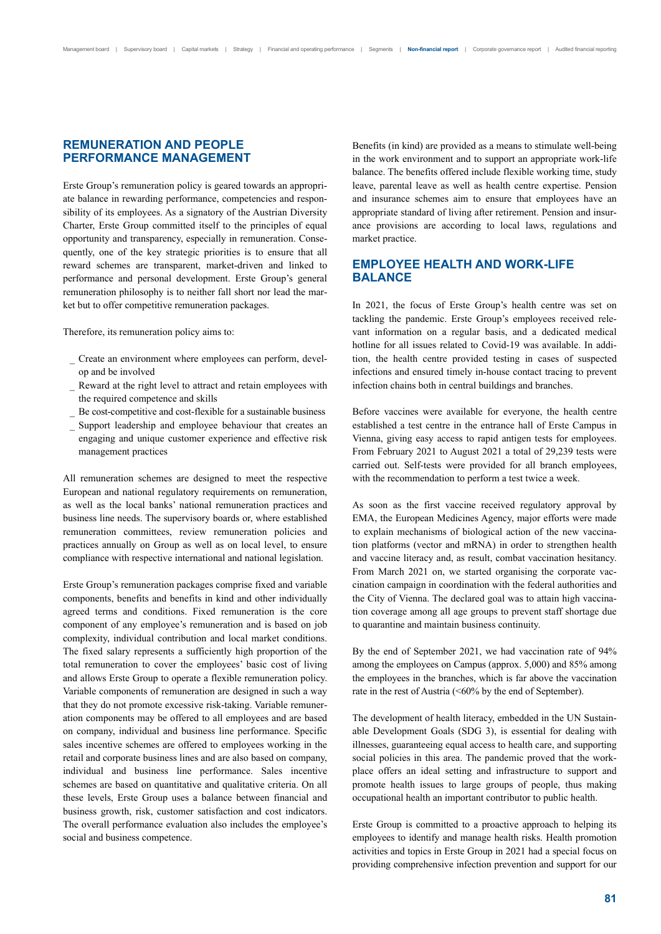## **REMUNERATION AND PEOPLE PERFORMANCE MANAGEMENT**

Erste Group's remuneration policy is geared towards an appropriate balance in rewarding performance, competencies and responsibility of its employees. As a signatory of the Austrian Diversity Charter, Erste Group committed itself to the principles of equal opportunity and transparency, especially in remuneration. Consequently, one of the key strategic priorities is to ensure that all reward schemes are transparent, market-driven and linked to performance and personal development. Erste Group's general remuneration philosophy is to neither fall short nor lead the market but to offer competitive remuneration packages.

Therefore, its remuneration policy aims to:

- \_ Create an environment where employees can perform, develop and be involved
- Reward at the right level to attract and retain employees with the required competence and skills
- Be cost-competitive and cost-flexible for a sustainable business
- Support leadership and employee behaviour that creates an engaging and unique customer experience and effective risk management practices

All remuneration schemes are designed to meet the respective European and national regulatory requirements on remuneration, as well as the local banks' national remuneration practices and business line needs. The supervisory boards or, where established remuneration committees, review remuneration policies and practices annually on Group as well as on local level, to ensure compliance with respective international and national legislation.

Erste Group's remuneration packages comprise fixed and variable components, benefits and benefits in kind and other individually agreed terms and conditions. Fixed remuneration is the core component of any employee's remuneration and is based on job complexity, individual contribution and local market conditions. The fixed salary represents a sufficiently high proportion of the total remuneration to cover the employees' basic cost of living and allows Erste Group to operate a flexible remuneration policy. Variable components of remuneration are designed in such a way that they do not promote excessive risk-taking. Variable remuneration components may be offered to all employees and are based on company, individual and business line performance. Specific sales incentive schemes are offered to employees working in the retail and corporate business lines and are also based on company, individual and business line performance. Sales incentive schemes are based on quantitative and qualitative criteria. On all these levels, Erste Group uses a balance between financial and business growth, risk, customer satisfaction and cost indicators. The overall performance evaluation also includes the employee's social and business competence.

Benefits (in kind) are provided as a means to stimulate well-being in the work environment and to support an appropriate work-life balance. The benefits offered include flexible working time, study leave, parental leave as well as health centre expertise. Pension and insurance schemes aim to ensure that employees have an appropriate standard of living after retirement. Pension and insurance provisions are according to local laws, regulations and market practice.

## **EMPLOYEE HEALTH AND WORK-LIFE BALANCE**

In 2021, the focus of Erste Group's health centre was set on tackling the pandemic. Erste Group's employees received relevant information on a regular basis, and a dedicated medical hotline for all issues related to Covid-19 was available. In addition, the health centre provided testing in cases of suspected infections and ensured timely in-house contact tracing to prevent infection chains both in central buildings and branches.

Before vaccines were available for everyone, the health centre established a test centre in the entrance hall of Erste Campus in Vienna, giving easy access to rapid antigen tests for employees. From February 2021 to August 2021 a total of 29,239 tests were carried out. Self-tests were provided for all branch employees, with the recommendation to perform a test twice a week.

As soon as the first vaccine received regulatory approval by EMA, the European Medicines Agency, major efforts were made to explain mechanisms of biological action of the new vaccination platforms (vector and mRNA) in order to strengthen health and vaccine literacy and, as result, combat vaccination hesitancy. From March 2021 on, we started organising the corporate vaccination campaign in coordination with the federal authorities and the City of Vienna. The declared goal was to attain high vaccination coverage among all age groups to prevent staff shortage due to quarantine and maintain business continuity.

By the end of September 2021, we had vaccination rate of 94% among the employees on Campus (approx. 5,000) and 85% among the employees in the branches, which is far above the vaccination rate in the rest of Austria (<60% by the end of September).

The development of health literacy, embedded in the UN Sustainable Development Goals (SDG 3), is essential for dealing with illnesses, guaranteeing equal access to health care, and supporting social policies in this area. The pandemic proved that the workplace offers an ideal setting and infrastructure to support and promote health issues to large groups of people, thus making occupational health an important contributor to public health.

Erste Group is committed to a proactive approach to helping its employees to identify and manage health risks. Health promotion activities and topics in Erste Group in 2021 had a special focus on providing comprehensive infection prevention and support for our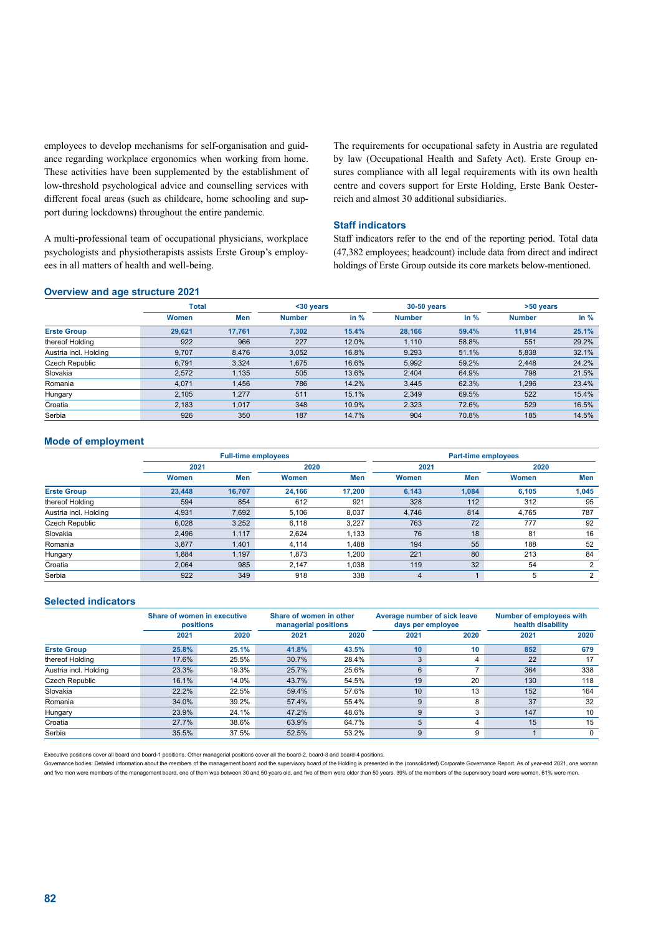employees to develop mechanisms for self-organisation and guidance regarding workplace ergonomics when working from home. These activities have been supplemented by the establishment of low-threshold psychological advice and counselling services with different focal areas (such as childcare, home schooling and support during lockdowns) throughout the entire pandemic.

A multi-professional team of occupational physicians, workplace psychologists and physiotherapists assists Erste Group's employees in all matters of health and well-being.

The requirements for occupational safety in Austria are regulated by law (Occupational Health and Safety Act). Erste Group ensures compliance with all legal requirements with its own health centre and covers support for Erste Holding, Erste Bank Oesterreich and almost 30 additional subsidiaries.

### **Staff indicators**

Staff indicators refer to the end of the reporting period. Total data (47,382 employees; headcount) include data from direct and indirect holdings of Erste Group outside its core markets below-mentioned.

### **Overview and age structure 2021**

| -                     |        |        |               |               |               |             |               |        |
|-----------------------|--------|--------|---------------|---------------|---------------|-------------|---------------|--------|
|                       | Total  |        |               | $30 \sqrt{2}$ |               | 30-50 years | >50 years     |        |
|                       | Women  | Men    | <b>Number</b> | in $%$        | <b>Number</b> | in $%$      | <b>Number</b> | in $%$ |
| <b>Erste Group</b>    | 29,621 | 17.761 | 7,302         | 15.4%         | 28,166        | 59.4%       | 11.914        | 25.1%  |
| thereof Holding       | 922    | 966    | 227           | 12.0%         | 1.110         | 58.8%       | 551           | 29.2%  |
| Austria incl. Holding | 9,707  | 8,476  | 3,052         | 16.8%         | 9,293         | 51.1%       | 5,838         | 32.1%  |
| Czech Republic        | 6,791  | 3,324  | 1,675         | 16.6%         | 5,992         | 59.2%       | 2,448         | 24.2%  |
| Slovakia              | 2.572  | 1,135  | 505           | 13.6%         | 2,404         | 64.9%       | 798           | 21.5%  |
| Romania               | 4,071  | 1,456  | 786           | 14.2%         | 3,445         | 62.3%       | 1,296         | 23.4%  |
| Hungary               | 2.105  | 1,277  | 511           | 15.1%         | 2,349         | 69.5%       | 522           | 15.4%  |
| Croatia               | 2.183  | 1.017  | 348           | 10.9%         | 2,323         | 72.6%       | 529           | 16.5%  |
| Serbia                | 926    | 350    | 187           | 14.7%         | 904           | 70.8%       | 185           | 14.5%  |

### **Mode of employment**

|                       |        | <b>Full-time employees</b> |        |        |       | <b>Part-time employees</b> |              |            |  |  |
|-----------------------|--------|----------------------------|--------|--------|-------|----------------------------|--------------|------------|--|--|
|                       | 2021   |                            | 2020   |        |       |                            | 2020         |            |  |  |
|                       | Women  | Men                        | Women  | Men    | Women | Men                        | <b>Women</b> | <b>Men</b> |  |  |
| <b>Erste Group</b>    | 23.448 | 16.707                     | 24.166 | 17.200 | 6,143 | 1.084                      | 6.105        | 1,045      |  |  |
| thereof Holding       | 594    | 854                        | 612    | 921    | 328   | 112                        | 312          | 95         |  |  |
| Austria incl. Holding | 4,931  | 7,692                      | 5.106  | 8.037  | 4.746 | 814                        | 4,765        | 787        |  |  |
| Czech Republic        | 6.028  | 3,252                      | 6.118  | 3,227  | 763   | 72                         | 777          | 92         |  |  |
| Slovakia              | 2,496  | 1,117                      | 2,624  | 1,133  | 76    | 18                         | 81           | 16         |  |  |
| Romania               | 3,877  | 1,401                      | 4.114  | 1.488  | 194   | 55                         | 188          | 52         |  |  |
| Hungary               | 1,884  | 1,197                      | 1,873  | 1,200  | 221   | 80                         | 213          | 84         |  |  |
| Croatia               | 2,064  | 985                        | 2.147  | 1.038  | 119   | 32                         | 54           | 2          |  |  |
| Serbia                | 922    | 349                        | 918    | 338    | 4     |                            | 5            | 2          |  |  |

### **Selected indicators**

|                       | Share of women in executive<br>positions |       |       | Share of women in other<br>managerial positions |      | Average number of sick leave<br>days per employee | <b>Number of employees with</b><br>health disability |          |
|-----------------------|------------------------------------------|-------|-------|-------------------------------------------------|------|---------------------------------------------------|------------------------------------------------------|----------|
|                       | 2021                                     | 2020  | 2021  | 2020                                            | 2021 | 2020                                              | 2021                                                 | 2020     |
| <b>Erste Group</b>    | 25.8%                                    | 25.1% | 41.8% | 43.5%                                           | 10   | 10                                                | 852                                                  | 679      |
| thereof Holding       | 17.6%                                    | 25.5% | 30.7% | 28.4%                                           | 3    | 4                                                 | 22                                                   | 17       |
| Austria incl. Holding | 23.3%                                    | 19.3% | 25.7% | 25.6%                                           | 6    | 7                                                 | 364                                                  | 338      |
| Czech Republic        | 16.1%                                    | 14.0% | 43.7% | 54.5%                                           | 19   | 20                                                | 130                                                  | 118      |
| Slovakia              | 22.2%                                    | 22.5% | 59.4% | 57.6%                                           | 10   | 13                                                | 152                                                  | 164      |
| Romania               | 34.0%                                    | 39.2% | 57.4% | 55.4%                                           | 9    | 8                                                 | 37                                                   | 32       |
| Hungary               | 23.9%                                    | 24.1% | 47.2% | 48.6%                                           | 9    | 3                                                 | 147                                                  | 10       |
| Croatia               | 27.7%                                    | 38.6% | 63.9% | 64.7%                                           | 5    | 4                                                 | 15                                                   | 15       |
| Serbia                | 35.5%                                    | 37.5% | 52.5% | 53.2%                                           | 9    | 9                                                 |                                                      | $\Omega$ |

Executive positions cover all board and board-1 positions. Other managerial positions cover all the board-2, board-3 and board-4 positions.

Governance bodies: Detailed information about the members of the management board and the supervisory board of the Holding is presented in the (consolidated) Corporate Governance Report. As of year-end 2021, one woman and five men were members of the management board, one of them was between 30 and 50 years old, and five of them were older than 50 years. 39% of the members of the supervisory board were women, 61% were men.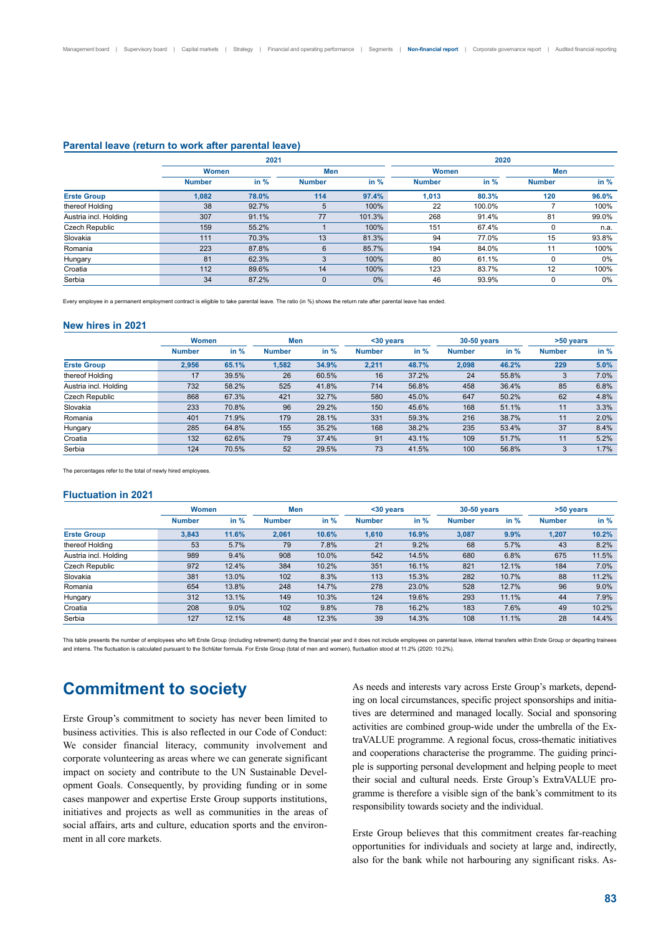### **Parental leave (return to work after parental leave)**

|                       |               | 2021   |               |        | 2020          |        |               |        |
|-----------------------|---------------|--------|---------------|--------|---------------|--------|---------------|--------|
|                       | <b>Women</b>  |        | Men           |        | Women         |        | Men           |        |
|                       | <b>Number</b> | in $%$ | <b>Number</b> | in $%$ | <b>Number</b> | in $%$ | <b>Number</b> | in $%$ |
| <b>Erste Group</b>    | 1,082         | 78.0%  | 114           | 97.4%  | 1,013         | 80.3%  | 120           | 96.0%  |
| thereof Holding       | 38            | 92.7%  | 5             | 100%   | 22            | 100.0% |               | 100%   |
| Austria incl. Holding | 307           | 91.1%  | 77            | 101.3% | 268           | 91.4%  | 81            | 99.0%  |
| Czech Republic        | 159           | 55.2%  |               | 100%   | 151           | 67.4%  | $\mathbf 0$   | n.a.   |
| Slovakia              | 111           | 70.3%  | 13            | 81.3%  | 94            | 77.0%  | 15            | 93.8%  |
| Romania               | 223           | 87.8%  | 6             | 85.7%  | 194           | 84.0%  | 11            | 100%   |
| Hungary               | 81            | 62.3%  | 3             | 100%   | 80            | 61.1%  | 0             | 0%     |
| Croatia               | 112           | 89.6%  | 14            | 100%   | 123           | 83.7%  | 12            | 100%   |
| Serbia                | 34            | 87.2%  | 0             | 0%     | 46            | 93.9%  | 0             | 0%     |

Every employee in a permanent employment contract is eligible to take parental leave. The ratio (in %) shows the return rate after parental leave has ended.

#### **New hires in 2021**

|                       | <b>Women</b>  |       | Men           | $30 years$ |               |        | 30-50 years   |        | >50 years     |        |
|-----------------------|---------------|-------|---------------|------------|---------------|--------|---------------|--------|---------------|--------|
|                       | <b>Number</b> | in %  | <b>Number</b> | in $%$     | <b>Number</b> | in $%$ | <b>Number</b> | in $%$ | <b>Number</b> | in $%$ |
| <b>Erste Group</b>    | 2,956         | 65.1% | 1,582         | 34.9%      | 2,211         | 48.7%  | 2,098         | 46.2%  | 229           | 5.0%   |
| thereof Holding       | 17            | 39.5% | 26            | 60.5%      | 16            | 37.2%  | 24            | 55.8%  | 3             | 7.0%   |
| Austria incl. Holding | 732           | 58.2% | 525           | 41.8%      | 714           | 56.8%  | 458           | 36.4%  | 85            | 6.8%   |
| Czech Republic        | 868           | 67.3% | 421           | 32.7%      | 580           | 45.0%  | 647           | 50.2%  | 62            | 4.8%   |
| Slovakia              | 233           | 70.8% | 96            | 29.2%      | 150           | 45.6%  | 168           | 51.1%  | 11            | 3.3%   |
| Romania               | 401           | 71.9% | 179           | 28.1%      | 331           | 59.3%  | 216           | 38.7%  | 11            | 2.0%   |
| Hungary               | 285           | 64.8% | 155           | 35.2%      | 168           | 38.2%  | 235           | 53.4%  | 37            | 8.4%   |
| Croatia               | 132           | 62.6% | 79            | 37.4%      | 91            | 43.1%  | 109           | 51.7%  | 11            | 5.2%   |
| Serbia                | 124           | 70.5% | 52            | 29.5%      | 73            | 41.5%  | 100           | 56.8%  | 3             | 1.7%   |

The percentages refer to the total of newly hired employees.

### **Fluctuation in 2021**

|                       | <b>Women</b>  |        | Men           |        |               | $30 years$ |               | 30-50 years |               | >50 years |  |
|-----------------------|---------------|--------|---------------|--------|---------------|------------|---------------|-------------|---------------|-----------|--|
|                       | <b>Number</b> | in $%$ | <b>Number</b> | in $%$ | <b>Number</b> | in $%$     | <b>Number</b> | in %        | <b>Number</b> | in $%$    |  |
| <b>Erste Group</b>    | 3,843         | 11.6%  | 2,061         | 10.6%  | 1.610         | 16.9%      | 3,087         | 9.9%        | 1,207         | 10.2%     |  |
| thereof Holding       | 53            | 5.7%   | 79            | 7.8%   | 21            | 9.2%       | 68            | 5.7%        | 43            | 8.2%      |  |
| Austria incl. Holding | 989           | 9.4%   | 908           | 10.0%  | 542           | 14.5%      | 680           | 6.8%        | 675           | 11.5%     |  |
| Czech Republic        | 972           | 12.4%  | 384           | 10.2%  | 351           | 16.1%      | 821           | 12.1%       | 184           | 7.0%      |  |
| Slovakia              | 381           | 13.0%  | 102           | 8.3%   | 113           | 15.3%      | 282           | 10.7%       | 88            | 11.2%     |  |
| Romania               | 654           | 13.8%  | 248           | 14.7%  | 278           | 23.0%      | 528           | 12.7%       | 96            | 9.0%      |  |
| Hungary               | 312           | 13.1%  | 149           | 10.3%  | 124           | 19.6%      | 293           | 11.1%       | 44            | 7.9%      |  |
| Croatia               | 208           | 9.0%   | 102           | 9.8%   | 78            | 16.2%      | 183           | 7.6%        | 49            | 10.2%     |  |
| Serbia                | 127           | 12.1%  | 48            | 12.3%  | 39            | 14.3%      | 108           | 11.1%       | 28            | 14.4%     |  |

This table presents the number of employees who left Erste Group (including retirement) during the financial year and it does not include employees on parental leave, internal transfers within Erste Group or departing trai and interns. The fluctuation is calculated pursuant to the Schlüter formula. For Erste Group (total of men and women), fluctuation stood at 11.2% (2020: 10.2%).

## **Commitment to society**

Erste Group's commitment to society has never been limited to business activities. This is also reflected in our Code of Conduct: We consider financial literacy, community involvement and corporate volunteering as areas where we can generate significant impact on society and contribute to the UN Sustainable Development Goals. Consequently, by providing funding or in some cases manpower and expertise Erste Group supports institutions, initiatives and projects as well as communities in the areas of social affairs, arts and culture, education sports and the environment in all core markets.

As needs and interests vary across Erste Group's markets, depending on local circumstances, specific project sponsorships and initiatives are determined and managed locally. Social and sponsoring activities are combined group-wide under the umbrella of the ExtraVALUE programme. A regional focus, cross-thematic initiatives and cooperations characterise the programme. The guiding principle is supporting personal development and helping people to meet their social and cultural needs. Erste Group's ExtraVALUE programme is therefore a visible sign of the bank's commitment to its responsibility towards society and the individual.

Erste Group believes that this commitment creates far-reaching opportunities for individuals and society at large and, indirectly, also for the bank while not harbouring any significant risks. As-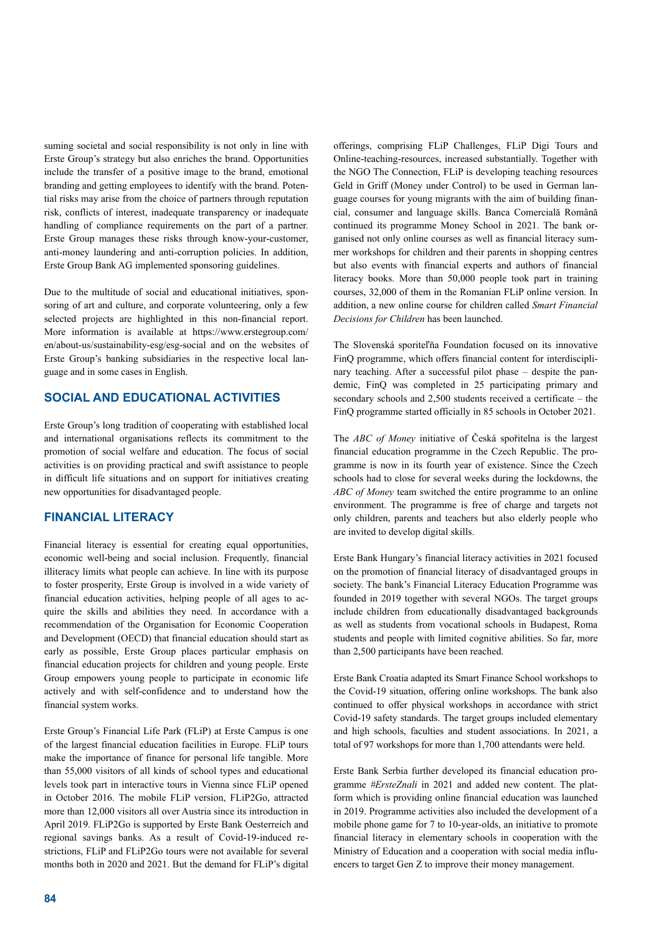suming societal and social responsibility is not only in line with Erste Group's strategy but also enriches the brand. Opportunities include the transfer of a positive image to the brand, emotional branding and getting employees to identify with the brand. Potential risks may arise from the choice of partners through reputation risk, conflicts of interest, inadequate transparency or inadequate handling of compliance requirements on the part of a partner. Erste Group manages these risks through know-your-customer, anti-money laundering and anti-corruption policies. In addition, Erste Group Bank AG implemented sponsoring guidelines.

Due to the multitude of social and educational initiatives, sponsoring of art and culture, and corporate volunteering, only a few selected projects are highlighted in this non-financial report. More information is available at https://www.erstegroup.com/ en/about-us/sustainability-esg/esg-social and on the websites of Erste Group's banking subsidiaries in the respective local language and in some cases in English.

## **SOCIAL AND EDUCATIONAL ACTIVITIES**

Erste Group's long tradition of cooperating with established local and international organisations reflects its commitment to the promotion of social welfare and education. The focus of social activities is on providing practical and swift assistance to people in difficult life situations and on support for initiatives creating new opportunities for disadvantaged people.

## **FINANCIAL LITERACY**

Financial literacy is essential for creating equal opportunities, economic well-being and social inclusion. Frequently, financial illiteracy limits what people can achieve. In line with its purpose to foster prosperity, Erste Group is involved in a wide variety of financial education activities, helping people of all ages to acquire the skills and abilities they need. In accordance with a recommendation of the Organisation for Economic Cooperation and Development (OECD) that financial education should start as early as possible, Erste Group places particular emphasis on financial education projects for children and young people. Erste Group empowers young people to participate in economic life actively and with self-confidence and to understand how the financial system works.

Erste Group's Financial Life Park (FLiP) at Erste Campus is one of the largest financial education facilities in Europe. FLiP tours make the importance of finance for personal life tangible. More than 55,000 visitors of all kinds of school types and educational levels took part in interactive tours in Vienna since FLiP opened in October 2016. The mobile FLiP version, FLiP2Go, attracted more than 12,000 visitors all over Austria since its introduction in April 2019. FLiP2Go is supported by Erste Bank Oesterreich and regional savings banks. As a result of Covid-19-induced restrictions, FLiP and FLiP2Go tours were not available for several months both in 2020 and 2021. But the demand for FLiP's digital

offerings, comprising FLiP Challenges, FLiP Digi Tours and Online-teaching-resources, increased substantially. Together with the NGO The Connection, FLiP is developing teaching resources Geld in Griff (Money under Control) to be used in German language courses for young migrants with the aim of building financial, consumer and language skills. Banca Comercială Română continued its programme Money School in 2021. The bank organised not only online courses as well as financial literacy summer workshops for children and their parents in shopping centres but also events with financial experts and authors of financial literacy books. More than 50,000 people took part in training courses, 32,000 of them in the Romanian FLiP online version. In addition, a new online course for children called *Smart Financial Decisions for Children* has been launched.

The Slovenská sporiteľňa Foundation focused on its innovative FinQ programme, which offers financial content for interdisciplinary teaching. After a successful pilot phase – despite the pandemic, FinQ was completed in 25 participating primary and secondary schools and 2,500 students received a certificate – the FinQ programme started officially in 85 schools in October 2021.

The *ABC of Money* initiative of Česká spořitelna is the largest financial education programme in the Czech Republic. The programme is now in its fourth year of existence. Since the Czech schools had to close for several weeks during the lockdowns, the *ABC of Money* team switched the entire programme to an online environment. The programme is free of charge and targets not only children, parents and teachers but also elderly people who are invited to develop digital skills.

Erste Bank Hungary's financial literacy activities in 2021 focused on the promotion of financial literacy of disadvantaged groups in society. The bank's Financial Literacy Education Programme was founded in 2019 together with several NGOs. The target groups include children from educationally disadvantaged backgrounds as well as students from vocational schools in Budapest, Roma students and people with limited cognitive abilities. So far, more than 2,500 participants have been reached.

Erste Bank Croatia adapted its Smart Finance School workshops to the Covid-19 situation, offering online workshops. The bank also continued to offer physical workshops in accordance with strict Covid-19 safety standards. The target groups included elementary and high schools, faculties and student associations. In 2021, a total of 97 workshops for more than 1,700 attendants were held.

Erste Bank Serbia further developed its financial education programme *#ErsteZnali* in 2021 and added new content. The platform which is providing online financial education was launched in 2019. Programme activities also included the development of a mobile phone game for 7 to 10-year-olds, an initiative to promote financial literacy in elementary schools in cooperation with the Ministry of Education and a cooperation with social media influencers to target Gen Z to improve their money management.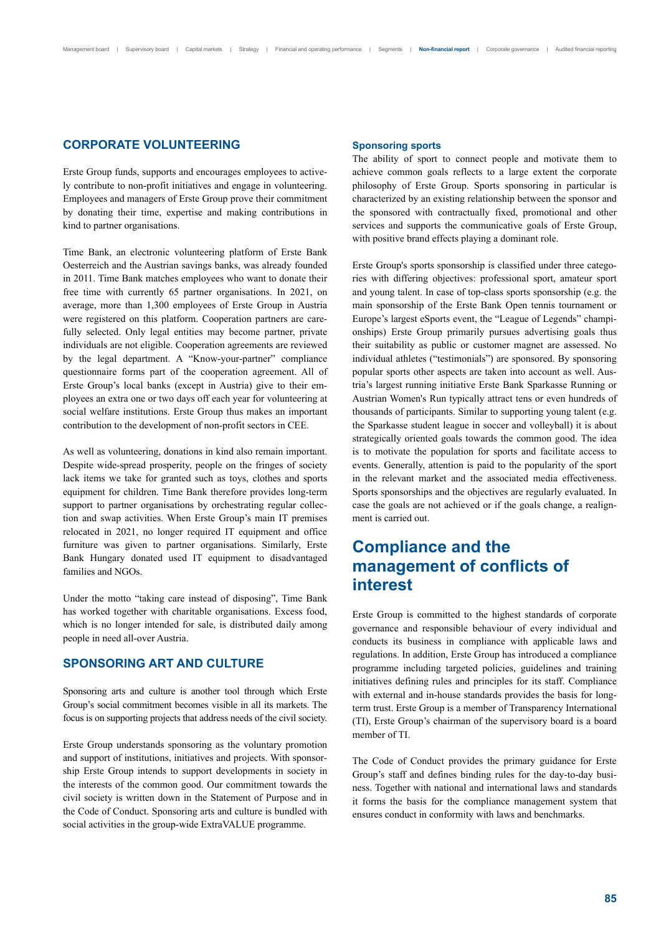## **CORPORATE VOLUNTEERING**

Erste Group funds, supports and encourages employees to actively contribute to non-profit initiatives and engage in volunteering. Employees and managers of Erste Group prove their commitment by donating their time, expertise and making contributions in kind to partner organisations.

Time Bank, an electronic volunteering platform of Erste Bank Oesterreich and the Austrian savings banks, was already founded in 2011. Time Bank matches employees who want to donate their free time with currently 65 partner organisations. In 2021, on average, more than 1,300 employees of Erste Group in Austria were registered on this platform. Cooperation partners are carefully selected. Only legal entities may become partner, private individuals are not eligible. Cooperation agreements are reviewed by the legal department. A "Know-your-partner" compliance questionnaire forms part of the cooperation agreement. All of Erste Group's local banks (except in Austria) give to their employees an extra one or two days off each year for volunteering at social welfare institutions. Erste Group thus makes an important contribution to the development of non-profit sectors in CEE.

As well as volunteering, donations in kind also remain important. Despite wide-spread prosperity, people on the fringes of society lack items we take for granted such as toys, clothes and sports equipment for children. Time Bank therefore provides long-term support to partner organisations by orchestrating regular collection and swap activities. When Erste Group's main IT premises relocated in 2021, no longer required IT equipment and office furniture was given to partner organisations. Similarly, Erste Bank Hungary donated used IT equipment to disadvantaged families and NGOs.

Under the motto "taking care instead of disposing", Time Bank has worked together with charitable organisations. Excess food, which is no longer intended for sale, is distributed daily among people in need all-over Austria.

### **SPONSORING ART AND CULTURE**

Sponsoring arts and culture is another tool through which Erste Group's social commitment becomes visible in all its markets. The focus is on supporting projects that address needs of the civil society.

Erste Group understands sponsoring as the voluntary promotion and support of institutions, initiatives and projects. With sponsorship Erste Group intends to support developments in society in the interests of the common good. Our commitment towards the civil society is written down in the Statement of Purpose and in the Code of Conduct. Sponsoring arts and culture is bundled with social activities in the group-wide ExtraVALUE programme.

### **Sponsoring sports**

The ability of sport to connect people and motivate them to achieve common goals reflects to a large extent the corporate philosophy of Erste Group. Sports sponsoring in particular is characterized by an existing relationship between the sponsor and the sponsored with contractually fixed, promotional and other services and supports the communicative goals of Erste Group, with positive brand effects playing a dominant role.

Erste Group's sports sponsorship is classified under three categories with differing objectives: professional sport, amateur sport and young talent. In case of top-class sports sponsorship (e.g. the main sponsorship of the Erste Bank Open tennis tournament or Europe's largest eSports event, the "League of Legends" championships) Erste Group primarily pursues advertising goals thus their suitability as public or customer magnet are assessed. No individual athletes ("testimonials") are sponsored. By sponsoring popular sports other aspects are taken into account as well. Austria's largest running initiative Erste Bank Sparkasse Running or Austrian Women's Run typically attract tens or even hundreds of thousands of participants. Similar to supporting young talent (e.g. the Sparkasse student league in soccer and volleyball) it is about strategically oriented goals towards the common good. The idea is to motivate the population for sports and facilitate access to events. Generally, attention is paid to the popularity of the sport in the relevant market and the associated media effectiveness. Sports sponsorships and the objectives are regularly evaluated. In case the goals are not achieved or if the goals change, a realignment is carried out.

## **Compliance and the management of conflicts of interest**

Erste Group is committed to the highest standards of corporate governance and responsible behaviour of every individual and conducts its business in compliance with applicable laws and regulations. In addition, Erste Group has introduced a compliance programme including targeted policies, guidelines and training initiatives defining rules and principles for its staff. Compliance with external and in-house standards provides the basis for longterm trust. Erste Group is a member of Transparency International (TI), Erste Group's chairman of the supervisory board is a board member of TI.

The Code of Conduct provides the primary guidance for Erste Group's staff and defines binding rules for the day-to-day business. Together with national and international laws and standards it forms the basis for the compliance management system that ensures conduct in conformity with laws and benchmarks.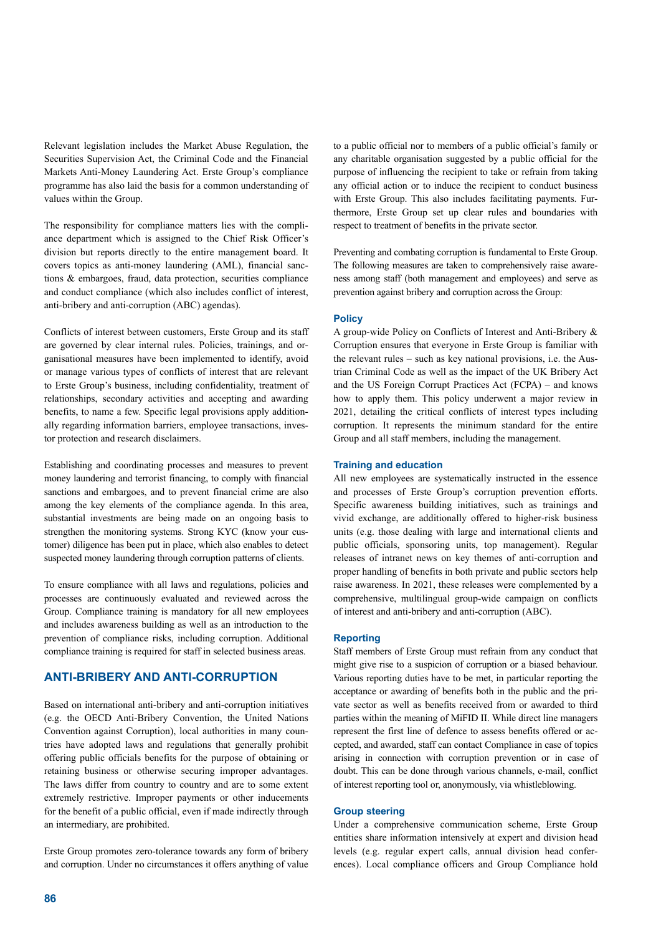Relevant legislation includes the Market Abuse Regulation, the Securities Supervision Act, the Criminal Code and the Financial Markets Anti-Money Laundering Act. Erste Group's compliance programme has also laid the basis for a common understanding of values within the Group.

The responsibility for compliance matters lies with the compliance department which is assigned to the Chief Risk Officer's division but reports directly to the entire management board. It covers topics as anti-money laundering (AML), financial sanctions & embargoes, fraud, data protection, securities compliance and conduct compliance (which also includes conflict of interest, anti-bribery and anti-corruption (ABC) agendas).

Conflicts of interest between customers, Erste Group and its staff are governed by clear internal rules. Policies, trainings, and organisational measures have been implemented to identify, avoid or manage various types of conflicts of interest that are relevant to Erste Group's business, including confidentiality, treatment of relationships, secondary activities and accepting and awarding benefits, to name a few. Specific legal provisions apply additionally regarding information barriers, employee transactions, investor protection and research disclaimers.

Establishing and coordinating processes and measures to prevent money laundering and terrorist financing, to comply with financial sanctions and embargoes, and to prevent financial crime are also among the key elements of the compliance agenda. In this area, substantial investments are being made on an ongoing basis to strengthen the monitoring systems. Strong KYC (know your customer) diligence has been put in place, which also enables to detect suspected money laundering through corruption patterns of clients.

To ensure compliance with all laws and regulations, policies and processes are continuously evaluated and reviewed across the Group. Compliance training is mandatory for all new employees and includes awareness building as well as an introduction to the prevention of compliance risks, including corruption. Additional compliance training is required for staff in selected business areas.

## **ANTI-BRIBERY AND ANTI-CORRUPTION**

Based on international anti-bribery and anti-corruption initiatives (e.g. the OECD Anti-Bribery Convention, the United Nations Convention against Corruption), local authorities in many countries have adopted laws and regulations that generally prohibit offering public officials benefits for the purpose of obtaining or retaining business or otherwise securing improper advantages. The laws differ from country to country and are to some extent extremely restrictive. Improper payments or other inducements for the benefit of a public official, even if made indirectly through an intermediary, are prohibited.

Erste Group promotes zero-tolerance towards any form of bribery and corruption. Under no circumstances it offers anything of value to a public official nor to members of a public official's family or any charitable organisation suggested by a public official for the purpose of influencing the recipient to take or refrain from taking any official action or to induce the recipient to conduct business with Erste Group. This also includes facilitating payments. Furthermore, Erste Group set up clear rules and boundaries with respect to treatment of benefits in the private sector.

Preventing and combating corruption is fundamental to Erste Group. The following measures are taken to comprehensively raise awareness among staff (both management and employees) and serve as prevention against bribery and corruption across the Group:

### **Policy**

A group-wide Policy on Conflicts of Interest and Anti-Bribery & Corruption ensures that everyone in Erste Group is familiar with the relevant rules – such as key national provisions, i.e. the Austrian Criminal Code as well as the impact of the UK Bribery Act and the US Foreign Corrupt Practices Act (FCPA) – and knows how to apply them. This policy underwent a major review in 2021, detailing the critical conflicts of interest types including corruption. It represents the minimum standard for the entire Group and all staff members, including the management.

### **Training and education**

All new employees are systematically instructed in the essence and processes of Erste Group's corruption prevention efforts. Specific awareness building initiatives, such as trainings and vivid exchange, are additionally offered to higher-risk business units (e.g. those dealing with large and international clients and public officials, sponsoring units, top management). Regular releases of intranet news on key themes of anti-corruption and proper handling of benefits in both private and public sectors help raise awareness. In 2021, these releases were complemented by a comprehensive, multilingual group-wide campaign on conflicts of interest and anti-bribery and anti-corruption (ABC).

### **Reporting**

Staff members of Erste Group must refrain from any conduct that might give rise to a suspicion of corruption or a biased behaviour. Various reporting duties have to be met, in particular reporting the acceptance or awarding of benefits both in the public and the private sector as well as benefits received from or awarded to third parties within the meaning of MiFID II. While direct line managers represent the first line of defence to assess benefits offered or accepted, and awarded, staff can contact Compliance in case of topics arising in connection with corruption prevention or in case of doubt. This can be done through various channels, e-mail, conflict of interest reporting tool or, anonymously, via whistleblowing.

### **Group steering**

Under a comprehensive communication scheme, Erste Group entities share information intensively at expert and division head levels (e.g. regular expert calls, annual division head conferences). Local compliance officers and Group Compliance hold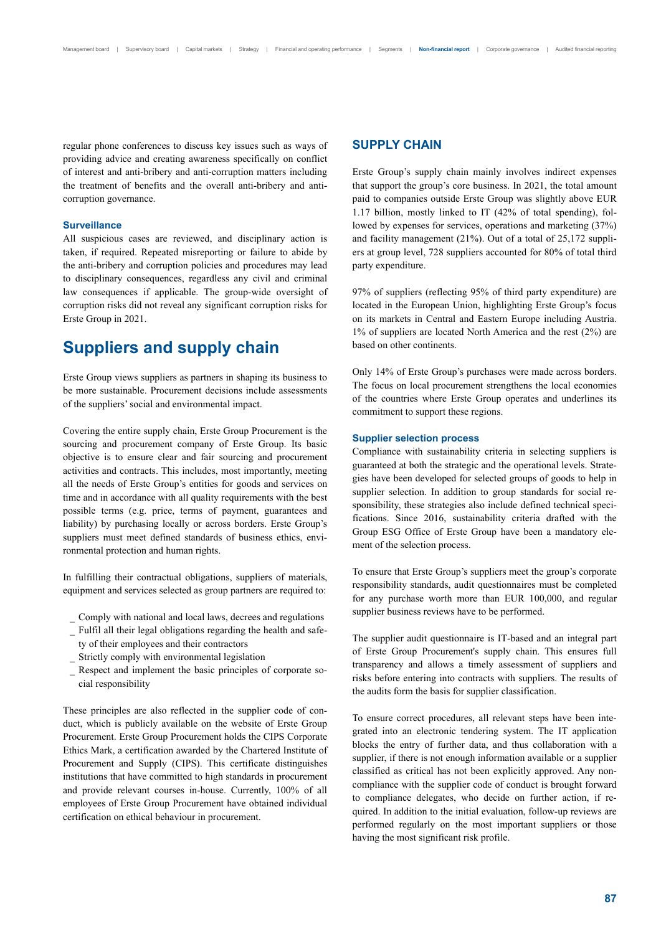regular phone conferences to discuss key issues such as ways of providing advice and creating awareness specifically on conflict of interest and anti-bribery and anti-corruption matters including the treatment of benefits and the overall anti-bribery and anticorruption governance.

### **Surveillance**

All suspicious cases are reviewed, and disciplinary action is taken, if required. Repeated misreporting or failure to abide by the anti-bribery and corruption policies and procedures may lead to disciplinary consequences, regardless any civil and criminal law consequences if applicable. The group-wide oversight of corruption risks did not reveal any significant corruption risks for Erste Group in 2021.

## **Suppliers and supply chain**

Erste Group views suppliers as partners in shaping its business to be more sustainable. Procurement decisions include assessments of the suppliers' social and environmental impact.

Covering the entire supply chain, Erste Group Procurement is the sourcing and procurement company of Erste Group. Its basic objective is to ensure clear and fair sourcing and procurement activities and contracts. This includes, most importantly, meeting all the needs of Erste Group's entities for goods and services on time and in accordance with all quality requirements with the best possible terms (e.g. price, terms of payment, guarantees and liability) by purchasing locally or across borders. Erste Group's suppliers must meet defined standards of business ethics, environmental protection and human rights.

In fulfilling their contractual obligations, suppliers of materials, equipment and services selected as group partners are required to:

- \_ Comply with national and local laws, decrees and regulations
- \_ Fulfil all their legal obligations regarding the health and safe-
- ty of their employees and their contractors \_ Strictly comply with environmental legislation
- \_ Respect and implement the basic principles of corporate social responsibility

These principles are also reflected in the supplier code of conduct, which is publicly available on the website of Erste Group Procurement. Erste Group Procurement holds the CIPS Corporate Ethics Mark, a certification awarded by the Chartered Institute of Procurement and Supply (CIPS). This certificate distinguishes institutions that have committed to high standards in procurement and provide relevant courses in-house. Currently, 100% of all employees of Erste Group Procurement have obtained individual certification on ethical behaviour in procurement.

## **SUPPLY CHAIN**

Erste Group's supply chain mainly involves indirect expenses that support the group's core business. In 2021, the total amount paid to companies outside Erste Group was slightly above EUR 1.17 billion, mostly linked to IT (42% of total spending), followed by expenses for services, operations and marketing (37%) and facility management (21%). Out of a total of 25,172 suppliers at group level, 728 suppliers accounted for 80% of total third party expenditure.

97% of suppliers (reflecting 95% of third party expenditure) are located in the European Union, highlighting Erste Group's focus on its markets in Central and Eastern Europe including Austria. 1% of suppliers are located North America and the rest (2%) are based on other continents.

Only 14% of Erste Group's purchases were made across borders. The focus on local procurement strengthens the local economies of the countries where Erste Group operates and underlines its commitment to support these regions.

#### **Supplier selection process**

Compliance with sustainability criteria in selecting suppliers is guaranteed at both the strategic and the operational levels. Strategies have been developed for selected groups of goods to help in supplier selection. In addition to group standards for social responsibility, these strategies also include defined technical specifications. Since 2016, sustainability criteria drafted with the Group ESG Office of Erste Group have been a mandatory element of the selection process.

To ensure that Erste Group's suppliers meet the group's corporate responsibility standards, audit questionnaires must be completed for any purchase worth more than EUR 100,000, and regular supplier business reviews have to be performed.

The supplier audit questionnaire is IT-based and an integral part of Erste Group Procurement's supply chain. This ensures full transparency and allows a timely assessment of suppliers and risks before entering into contracts with suppliers. The results of the audits form the basis for supplier classification.

To ensure correct procedures, all relevant steps have been integrated into an electronic tendering system. The IT application blocks the entry of further data, and thus collaboration with a supplier, if there is not enough information available or a supplier classified as critical has not been explicitly approved. Any noncompliance with the supplier code of conduct is brought forward to compliance delegates, who decide on further action, if required. In addition to the initial evaluation, follow-up reviews are performed regularly on the most important suppliers or those having the most significant risk profile.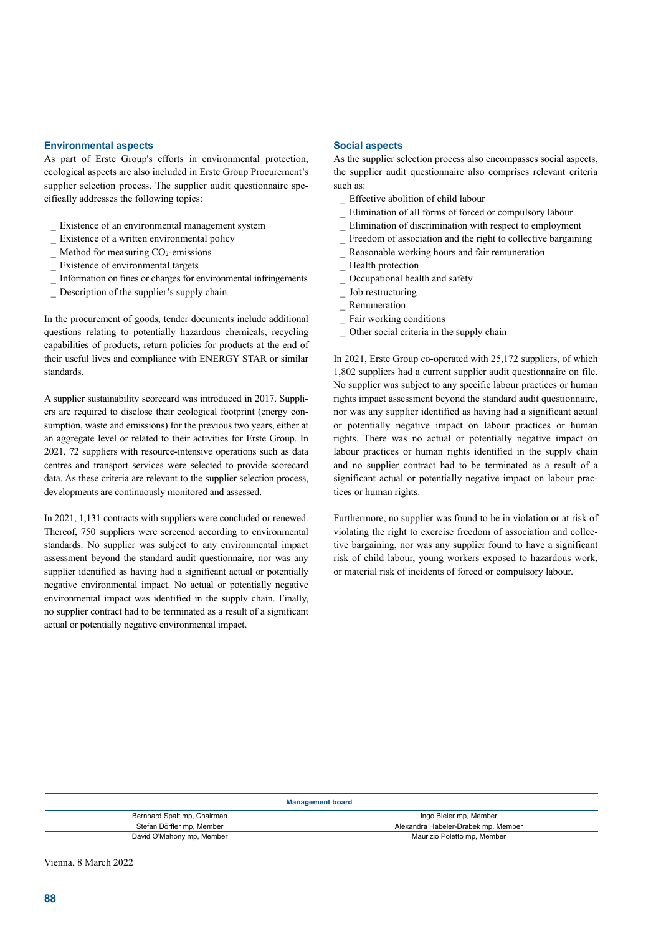### **Environmental aspects**

As part of Erste Group's efforts in environmental protection, ecological aspects are also included in Erste Group Procurement's supplier selection process. The supplier audit questionnaire specifically addresses the following topics:

- Existence of an environmental management system
- Existence of a written environmental policy
- Method for measuring  $CO<sub>2</sub>$ -emissions
- Existence of environmental targets
- \_ Information on fines or charges for environmental infringements
- Description of the supplier's supply chain

In the procurement of goods, tender documents include additional questions relating to potentially hazardous chemicals, recycling capabilities of products, return policies for products at the end of their useful lives and compliance with ENERGY STAR or similar standards.

A supplier sustainability scorecard was introduced in 2017. Suppliers are required to disclose their ecological footprint (energy consumption, waste and emissions) for the previous two years, either at an aggregate level or related to their activities for Erste Group. In 2021, 72 suppliers with resource-intensive operations such as data centres and transport services were selected to provide scorecard data. As these criteria are relevant to the supplier selection process, developments are continuously monitored and assessed.

In 2021, 1,131 contracts with suppliers were concluded or renewed. Thereof, 750 suppliers were screened according to environmental standards. No supplier was subject to any environmental impact assessment beyond the standard audit questionnaire, nor was any supplier identified as having had a significant actual or potentially negative environmental impact. No actual or potentially negative environmental impact was identified in the supply chain. Finally, no supplier contract had to be terminated as a result of a significant actual or potentially negative environmental impact.

#### **Social aspects**

As the supplier selection process also encompasses social aspects, the supplier audit questionnaire also comprises relevant criteria such as:

- Effective abolition of child labour
- \_ Elimination of all forms of forced or compulsory labour
- \_ Elimination of discrimination with respect to employment
- Freedom of association and the right to collective bargaining
- Reasonable working hours and fair remuneration
- Health protection
- Occupational health and safety
- Job restructuring
- \_ Remuneration
- Fair working conditions
- Other social criteria in the supply chain

In 2021, Erste Group co-operated with 25,172 suppliers, of which 1,802 suppliers had a current supplier audit questionnaire on file. No supplier was subject to any specific labour practices or human rights impact assessment beyond the standard audit questionnaire, nor was any supplier identified as having had a significant actual or potentially negative impact on labour practices or human rights. There was no actual or potentially negative impact on labour practices or human rights identified in the supply chain and no supplier contract had to be terminated as a result of a significant actual or potentially negative impact on labour practices or human rights.

Furthermore, no supplier was found to be in violation or at risk of violating the right to exercise freedom of association and collective bargaining, nor was any supplier found to have a significant risk of child labour, young workers exposed to hazardous work, or material risk of incidents of forced or compulsory labour.

#### **Management board**

| Ingo Bleier mp. Member              |  |  |  |
|-------------------------------------|--|--|--|
| Alexandra Habeler-Drabek mp. Member |  |  |  |
| Maurizio Poletto mp, Member         |  |  |  |
|                                     |  |  |  |

Vienna, 8 March 2022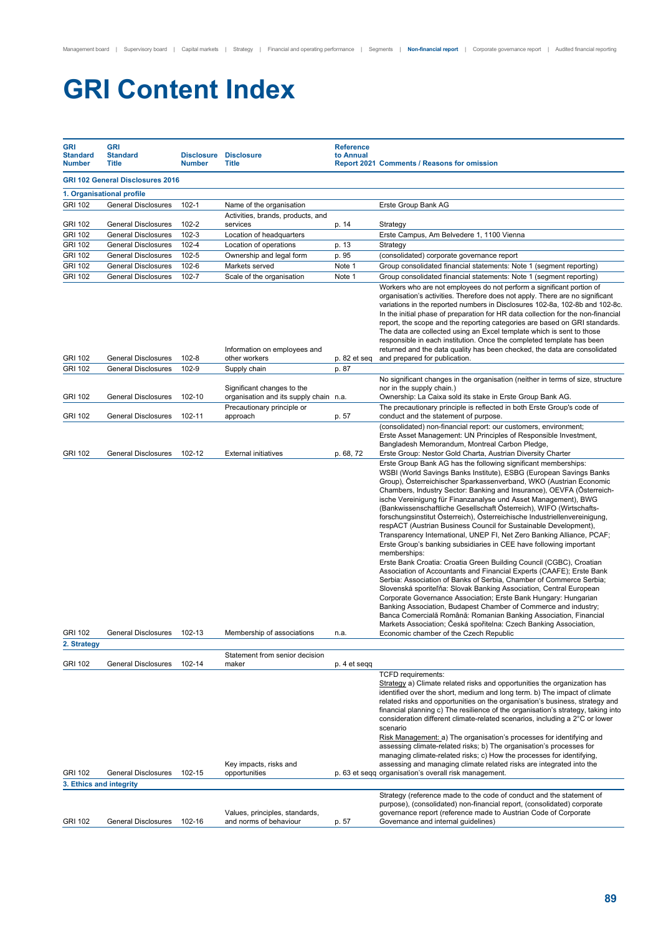# **GRI Content Index**

| GRI<br><b>Standard</b><br><b>Number</b> | <b>GRI</b><br><b>Standard</b><br><b>Title</b> | <b>Disclosure</b><br><b>Number</b> | <b>Disclosure</b><br><b>Title</b>                                    | <b>Reference</b><br>to Annual | Report 2021 Comments / Reasons for omission                                                                                                                                                                                                                                                                                                                                                                                                                                                                                                                                                                                                                                                                                                                                                                                                                                                                                                                                                                                                                                                                                                                                                                                                                                                                                                                       |
|-----------------------------------------|-----------------------------------------------|------------------------------------|----------------------------------------------------------------------|-------------------------------|-------------------------------------------------------------------------------------------------------------------------------------------------------------------------------------------------------------------------------------------------------------------------------------------------------------------------------------------------------------------------------------------------------------------------------------------------------------------------------------------------------------------------------------------------------------------------------------------------------------------------------------------------------------------------------------------------------------------------------------------------------------------------------------------------------------------------------------------------------------------------------------------------------------------------------------------------------------------------------------------------------------------------------------------------------------------------------------------------------------------------------------------------------------------------------------------------------------------------------------------------------------------------------------------------------------------------------------------------------------------|
|                                         | <b>GRI 102 General Disclosures 2016</b>       |                                    |                                                                      |                               |                                                                                                                                                                                                                                                                                                                                                                                                                                                                                                                                                                                                                                                                                                                                                                                                                                                                                                                                                                                                                                                                                                                                                                                                                                                                                                                                                                   |
|                                         | 1. Organisational profile                     |                                    |                                                                      |                               |                                                                                                                                                                                                                                                                                                                                                                                                                                                                                                                                                                                                                                                                                                                                                                                                                                                                                                                                                                                                                                                                                                                                                                                                                                                                                                                                                                   |
| <b>GRI 102</b>                          | <b>General Disclosures</b>                    | $102 - 1$                          | Name of the organisation                                             |                               | Erste Group Bank AG                                                                                                                                                                                                                                                                                                                                                                                                                                                                                                                                                                                                                                                                                                                                                                                                                                                                                                                                                                                                                                                                                                                                                                                                                                                                                                                                               |
| <b>GRI 102</b>                          | General Disclosures                           | 102-2                              | Activities, brands, products, and<br>services                        | p. 14                         | Strategy                                                                                                                                                                                                                                                                                                                                                                                                                                                                                                                                                                                                                                                                                                                                                                                                                                                                                                                                                                                                                                                                                                                                                                                                                                                                                                                                                          |
| <b>GRI 102</b>                          | <b>General Disclosures</b>                    | $102 - 3$                          | Location of headquarters                                             |                               | Erste Campus, Am Belvedere 1, 1100 Vienna                                                                                                                                                                                                                                                                                                                                                                                                                                                                                                                                                                                                                                                                                                                                                                                                                                                                                                                                                                                                                                                                                                                                                                                                                                                                                                                         |
| <b>GRI 102</b>                          | <b>General Disclosures</b>                    | 102-4                              | Location of operations                                               | p. 13                         | Strategy                                                                                                                                                                                                                                                                                                                                                                                                                                                                                                                                                                                                                                                                                                                                                                                                                                                                                                                                                                                                                                                                                                                                                                                                                                                                                                                                                          |
| <b>GRI 102</b>                          | <b>General Disclosures</b>                    | $102 - 5$                          | Ownership and legal form                                             | p. 95                         | (consolidated) corporate governance report                                                                                                                                                                                                                                                                                                                                                                                                                                                                                                                                                                                                                                                                                                                                                                                                                                                                                                                                                                                                                                                                                                                                                                                                                                                                                                                        |
| <b>GRI 102</b>                          | <b>General Disclosures</b>                    | $102 - 6$                          | Markets served                                                       | Note 1                        | Group consolidated financial statements: Note 1 (segment reporting)                                                                                                                                                                                                                                                                                                                                                                                                                                                                                                                                                                                                                                                                                                                                                                                                                                                                                                                                                                                                                                                                                                                                                                                                                                                                                               |
| <b>GRI 102</b>                          | <b>General Disclosures</b>                    | 102-7                              | Scale of the organisation                                            | Note 1                        | Group consolidated financial statements: Note 1 (segment reporting)                                                                                                                                                                                                                                                                                                                                                                                                                                                                                                                                                                                                                                                                                                                                                                                                                                                                                                                                                                                                                                                                                                                                                                                                                                                                                               |
| <b>GRI 102</b>                          | <b>General Disclosures</b>                    | 102-8                              | Information on employees and<br>other workers                        | p. 82 et seq                  | Workers who are not employees do not perform a significant portion of<br>organisation's activities. Therefore does not apply. There are no significant<br>variations in the reported numbers in Disclosures 102-8a, 102-8b and 102-8c.<br>In the initial phase of preparation for HR data collection for the non-financial<br>report, the scope and the reporting categories are based on GRI standards.<br>The data are collected using an Excel template which is sent to those<br>responsible in each institution. Once the completed template has been<br>returned and the data quality has been checked, the data are consolidated<br>and prepared for publication.                                                                                                                                                                                                                                                                                                                                                                                                                                                                                                                                                                                                                                                                                          |
| <b>GRI 102</b>                          | <b>General Disclosures</b>                    | 102-9                              | Supply chain                                                         | p. 87                         |                                                                                                                                                                                                                                                                                                                                                                                                                                                                                                                                                                                                                                                                                                                                                                                                                                                                                                                                                                                                                                                                                                                                                                                                                                                                                                                                                                   |
| <b>GRI 102</b>                          | <b>General Disclosures</b>                    | 102-10                             | Significant changes to the<br>organisation and its supply chain n.a. |                               | No significant changes in the organisation (neither in terms of size, structure<br>nor in the supply chain.)<br>Ownership: La Caixa sold its stake in Erste Group Bank AG.                                                                                                                                                                                                                                                                                                                                                                                                                                                                                                                                                                                                                                                                                                                                                                                                                                                                                                                                                                                                                                                                                                                                                                                        |
| <b>GRI 102</b>                          | <b>General Disclosures</b>                    | 102-11                             | Precautionary principle or<br>approach                               |                               | The precautionary principle is reflected in both Erste Group's code of<br>conduct and the statement of purpose.                                                                                                                                                                                                                                                                                                                                                                                                                                                                                                                                                                                                                                                                                                                                                                                                                                                                                                                                                                                                                                                                                                                                                                                                                                                   |
| <b>GRI 102</b>                          | <b>General Disclosures</b>                    | 102-12                             | <b>External initiatives</b>                                          | p. 57<br>p. 68, 72            | (consolidated) non-financial report: our customers, environment;<br>Erste Asset Management: UN Principles of Responsible Investment,<br>Bangladesh Memorandum, Montreal Carbon Pledge,<br>Erste Group: Nestor Gold Charta, Austrian Diversity Charter                                                                                                                                                                                                                                                                                                                                                                                                                                                                                                                                                                                                                                                                                                                                                                                                                                                                                                                                                                                                                                                                                                             |
| <b>GRI 102</b><br>2. Strategy           | General Disclosures                           | 102-13                             | Membership of associations                                           | 11.d.                         | Erste Group Bank AG has the following significant memberships:<br>WSBI (World Savings Banks Institute), ESBG (European Savings Banks<br>Group), Österreichischer Sparkassenverband, WKO (Austrian Economic<br>Chambers, Industry Sector: Banking and Insurance), OEVFA (Österreich-<br>ische Vereinigung für Finanzanalyse und Asset Management), BWG<br>(Bankwissenschaftliche Gesellschaft Österreich), WIFO (Wirtschafts-<br>forschungsinstitut Österreich), Österreichische Industriellenvereinigung,<br>respACT (Austrian Business Council for Sustainable Development),<br>Transparency International, UNEP FI, Net Zero Banking Alliance, PCAF;<br>Erste Group's banking subsidiaries in CEE have following important<br>memberships:<br>Erste Bank Croatia: Croatia Green Building Council (CGBC), Croatian<br>Association of Accountants and Financial Experts (CAAFE); Erste Bank<br>Serbia: Association of Banks of Serbia, Chamber of Commerce Serbia;<br>Slovenská sporiteľňa: Slovak Banking Association, Central European<br>Corporate Governance Association; Erste Bank Hungary: Hungarian<br>Banking Association, Budapest Chamber of Commerce and industry;<br>Banca Comercială Română: Romanian Banking Association, Financial<br>Markets Association; Česká spořitelna: Czech Banking Association,<br>Economic chamber of the Czech Republic |
|                                         |                                               |                                    | Statement from senior decision                                       |                               |                                                                                                                                                                                                                                                                                                                                                                                                                                                                                                                                                                                                                                                                                                                                                                                                                                                                                                                                                                                                                                                                                                                                                                                                                                                                                                                                                                   |
| <b>GRI 102</b>                          | <b>General Disclosures</b>                    | 102-14                             | maker                                                                | p. 4 et segg                  |                                                                                                                                                                                                                                                                                                                                                                                                                                                                                                                                                                                                                                                                                                                                                                                                                                                                                                                                                                                                                                                                                                                                                                                                                                                                                                                                                                   |
| <b>GRI 102</b>                          | <b>General Disclosures</b>                    | 102-15                             | Key impacts, risks and<br>opportunities                              |                               | <b>TCFD</b> requirements:<br>Strategy a) Climate related risks and opportunities the organization has<br>identified over the short, medium and long term. b) The impact of climate<br>related risks and opportunities on the organisation's business, strategy and<br>financial planning c) The resilience of the organisation's strategy, taking into<br>consideration different climate-related scenarios, including a 2°C or lower<br>scenario<br>Risk Management: a) The organisation's processes for identifying and<br>assessing climate-related risks; b) The organisation's processes for<br>managing climate-related risks; c) How the processes for identifying,<br>assessing and managing climate related risks are integrated into the<br>p. 63 et segg organisation's overall risk management.                                                                                                                                                                                                                                                                                                                                                                                                                                                                                                                                                       |
| 3. Ethics and integrity                 |                                               |                                    |                                                                      |                               |                                                                                                                                                                                                                                                                                                                                                                                                                                                                                                                                                                                                                                                                                                                                                                                                                                                                                                                                                                                                                                                                                                                                                                                                                                                                                                                                                                   |
| GRI 102                                 | General Disclosures                           | 102-16                             | Values, principles, standards,<br>and norms of behaviour             | p. 57                         | Strategy (reference made to the code of conduct and the statement of<br>purpose), (consolidated) non-financial report, (consolidated) corporate<br>governance report (reference made to Austrian Code of Corporate<br>Governance and internal guidelines)                                                                                                                                                                                                                                                                                                                                                                                                                                                                                                                                                                                                                                                                                                                                                                                                                                                                                                                                                                                                                                                                                                         |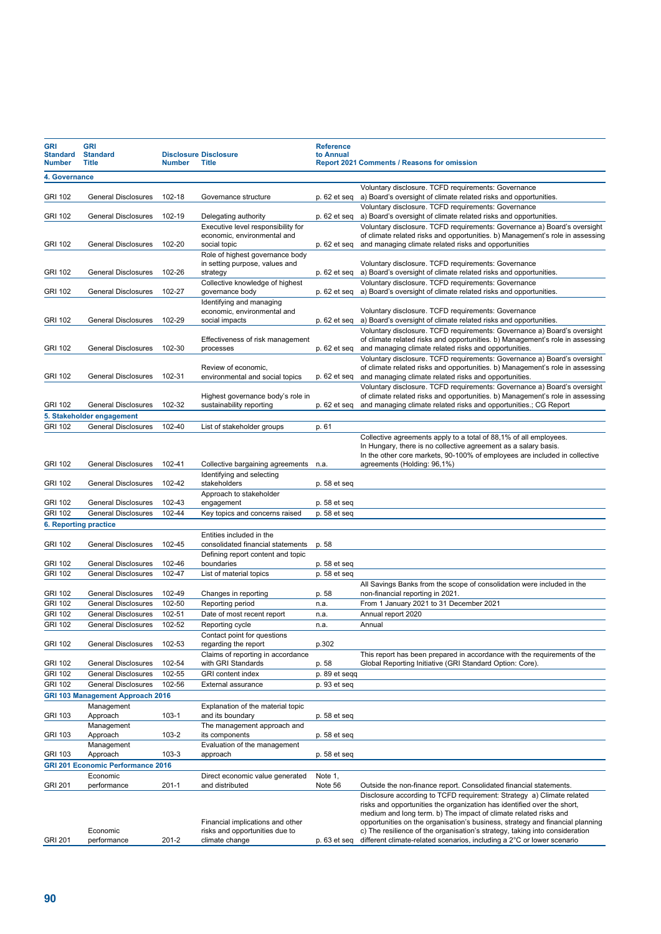| <b>GRI</b><br><b>Standard</b><br><b>Number</b> | <b>GRI</b><br><b>Standard</b><br><b>Title</b> | <b>Number</b> | <b>Disclosure Disclosure</b><br><b>Title</b>                                         | <b>Reference</b><br>to Annual | <b>Report 2021 Comments / Reasons for omission</b>                                                                                                                                                                                                                                                                                                                                                                                                             |
|------------------------------------------------|-----------------------------------------------|---------------|--------------------------------------------------------------------------------------|-------------------------------|----------------------------------------------------------------------------------------------------------------------------------------------------------------------------------------------------------------------------------------------------------------------------------------------------------------------------------------------------------------------------------------------------------------------------------------------------------------|
| 4. Governance                                  |                                               |               |                                                                                      |                               |                                                                                                                                                                                                                                                                                                                                                                                                                                                                |
| <b>GRI 102</b>                                 | <b>General Disclosures</b>                    | 102-18        | Governance structure                                                                 | p. 62 et seq                  | Voluntary disclosure. TCFD requirements: Governance<br>a) Board's oversight of climate related risks and opportunities.                                                                                                                                                                                                                                                                                                                                        |
| <b>GRI 102</b>                                 | <b>General Disclosures</b>                    | 102-19        | Delegating authority                                                                 | p. 62 et seq                  | Voluntary disclosure. TCFD requirements: Governance<br>a) Board's oversight of climate related risks and opportunities.                                                                                                                                                                                                                                                                                                                                        |
|                                                |                                               |               | Executive level responsibility for                                                   |                               | Voluntary disclosure. TCFD requirements: Governance a) Board's oversight                                                                                                                                                                                                                                                                                                                                                                                       |
| <b>GRI 102</b>                                 | <b>General Disclosures</b>                    | 102-20        | economic, environmental and<br>social topic                                          | p. 62 et seq                  | of climate related risks and opportunities. b) Management's role in assessing<br>and managing climate related risks and opportunities                                                                                                                                                                                                                                                                                                                          |
|                                                |                                               |               | Role of highest governance body                                                      |                               |                                                                                                                                                                                                                                                                                                                                                                                                                                                                |
| <b>GRI 102</b>                                 | <b>General Disclosures</b>                    | 102-26        | in setting purpose, values and<br>strategy                                           | p. 62 et seq                  | Voluntary disclosure. TCFD requirements: Governance<br>a) Board's oversight of climate related risks and opportunities.                                                                                                                                                                                                                                                                                                                                        |
|                                                |                                               |               | Collective knowledge of highest                                                      |                               | Voluntary disclosure. TCFD requirements: Governance                                                                                                                                                                                                                                                                                                                                                                                                            |
| <b>GRI 102</b>                                 | <b>General Disclosures</b>                    | 102-27        | governance body                                                                      | p. 62 et seg                  | a) Board's oversight of climate related risks and opportunities.                                                                                                                                                                                                                                                                                                                                                                                               |
| <b>GRI 102</b>                                 | <b>General Disclosures</b>                    | 102-29        | Identifying and managing<br>economic, environmental and<br>social impacts            | p. 62 et seq                  | Voluntary disclosure. TCFD requirements: Governance<br>a) Board's oversight of climate related risks and opportunities.                                                                                                                                                                                                                                                                                                                                        |
|                                                |                                               |               | Effectiveness of risk management                                                     |                               | Voluntary disclosure. TCFD requirements: Governance a) Board's oversight<br>of climate related risks and opportunities. b) Management's role in assessing                                                                                                                                                                                                                                                                                                      |
| <b>GRI 102</b>                                 | <b>General Disclosures</b>                    | 102-30        | processes                                                                            | p. 62 et seq                  | and managing climate related risks and opportunities.                                                                                                                                                                                                                                                                                                                                                                                                          |
|                                                |                                               |               | Review of economic,                                                                  |                               | Voluntary disclosure. TCFD requirements: Governance a) Board's oversight<br>of climate related risks and opportunities. b) Management's role in assessing                                                                                                                                                                                                                                                                                                      |
| <b>GRI 102</b>                                 | <b>General Disclosures</b>                    | 102-31        | environmental and social topics                                                      | p. 62 et seq                  | and managing climate related risks and opportunities.<br>Voluntary disclosure. TCFD requirements: Governance a) Board's oversight                                                                                                                                                                                                                                                                                                                              |
| <b>GRI 102</b>                                 | <b>General Disclosures</b>                    | 102-32        | Highest governance body's role in<br>sustainability reporting                        | p. 62 et seq                  | of climate related risks and opportunities. b) Management's role in assessing<br>and managing climate related risks and opportunities.; CG Report                                                                                                                                                                                                                                                                                                              |
|                                                | 5. Stakeholder engagement                     |               |                                                                                      |                               |                                                                                                                                                                                                                                                                                                                                                                                                                                                                |
| <b>GRI 102</b>                                 | <b>General Disclosures</b>                    | 102-40        | List of stakeholder groups                                                           | p. 61                         |                                                                                                                                                                                                                                                                                                                                                                                                                                                                |
|                                                |                                               |               |                                                                                      |                               | Collective agreements apply to a total of 88,1% of all employees.<br>In Hungary, there is no collective agreement as a salary basis.<br>In the other core markets, 90-100% of employees are included in collective                                                                                                                                                                                                                                             |
| <b>GRI 102</b>                                 | <b>General Disclosures</b>                    | 102-41        | Collective bargaining agreements                                                     | n.a.                          | agreements (Holding: 96,1%)                                                                                                                                                                                                                                                                                                                                                                                                                                    |
| GRI 102                                        | <b>General Disclosures</b>                    | 102-42        | Identifying and selecting<br>stakeholders                                            | p. 58 et seq                  |                                                                                                                                                                                                                                                                                                                                                                                                                                                                |
| <b>GRI 102</b>                                 | <b>General Disclosures</b>                    | 102-43        | Approach to stakeholder<br>engagement                                                | p. 58 et seq                  |                                                                                                                                                                                                                                                                                                                                                                                                                                                                |
| <b>GRI 102</b>                                 | <b>General Disclosures</b>                    | 102-44        | Key topics and concerns raised                                                       | p. 58 et seq                  |                                                                                                                                                                                                                                                                                                                                                                                                                                                                |
|                                                | 6. Reporting practice                         |               |                                                                                      |                               |                                                                                                                                                                                                                                                                                                                                                                                                                                                                |
|                                                |                                               |               | Entities included in the                                                             |                               |                                                                                                                                                                                                                                                                                                                                                                                                                                                                |
| <b>GRI 102</b>                                 | General Disclosures                           | 102-45        | consolidated financial statements<br>Defining report content and topic               | p. 58                         |                                                                                                                                                                                                                                                                                                                                                                                                                                                                |
| <b>GRI 102</b>                                 | <b>General Disclosures</b>                    | 102-46        | boundaries                                                                           | p. 58 et seq                  |                                                                                                                                                                                                                                                                                                                                                                                                                                                                |
| <b>GRI 102</b>                                 | <b>General Disclosures</b>                    | 102-47        | List of material topics                                                              | p. 58 et seq                  |                                                                                                                                                                                                                                                                                                                                                                                                                                                                |
| <b>GRI 102</b>                                 | <b>General Disclosures</b>                    | 102-49        | Changes in reporting                                                                 | p. 58                         | All Savings Banks from the scope of consolidation were included in the<br>non-financial reporting in 2021.                                                                                                                                                                                                                                                                                                                                                     |
| <b>GRI 102</b>                                 | <b>General Disclosures</b>                    | 102-50        | Reporting period                                                                     | n.a.                          | From 1 January 2021 to 31 December 2021                                                                                                                                                                                                                                                                                                                                                                                                                        |
| <b>GRI 102</b>                                 | <b>General Disclosures</b>                    | 102-51        | Date of most recent report                                                           | n.a.                          | Annual report 2020                                                                                                                                                                                                                                                                                                                                                                                                                                             |
| <b>GRI 102</b>                                 | <b>General Disclosures</b>                    | 102-52        | Reporting cycle<br>Contact point for questions                                       | n.a.                          | Annual                                                                                                                                                                                                                                                                                                                                                                                                                                                         |
| <b>GRI 102</b>                                 | General Disclosures                           | 102-53        | regarding the report<br>Claims of reporting in accordance                            | p.302                         | This report has been prepared in accordance with the requirements of the                                                                                                                                                                                                                                                                                                                                                                                       |
| <b>GRI 102</b>                                 | General Disclosures                           | 102-54        | with GRI Standards                                                                   | p. 58                         | Global Reporting Initiative (GRI Standard Option: Core).                                                                                                                                                                                                                                                                                                                                                                                                       |
| <b>GRI 102</b>                                 | General Disclosures                           | 102-55        | <b>GRI</b> content index                                                             | p. 89 et seqq                 |                                                                                                                                                                                                                                                                                                                                                                                                                                                                |
| <b>GRI 102</b>                                 | <b>General Disclosures</b>                    | 102-56        | External assurance                                                                   | p. 93 et seq                  |                                                                                                                                                                                                                                                                                                                                                                                                                                                                |
|                                                | <b>GRI 103 Management Approach 2016</b>       |               |                                                                                      |                               |                                                                                                                                                                                                                                                                                                                                                                                                                                                                |
| GRI 103                                        | Management<br>Approach                        | $103 - 1$     | Explanation of the material topic<br>and its boundary                                | p. 58 et seq                  |                                                                                                                                                                                                                                                                                                                                                                                                                                                                |
| GRI 103                                        | Management<br>Approach                        | 103-2         | The management approach and<br>its components                                        | p. 58 et seq                  |                                                                                                                                                                                                                                                                                                                                                                                                                                                                |
|                                                | Management                                    |               | Evaluation of the management                                                         |                               |                                                                                                                                                                                                                                                                                                                                                                                                                                                                |
| GRI 103                                        | Approach                                      | 103-3         | approach                                                                             | p. 58 et seq                  |                                                                                                                                                                                                                                                                                                                                                                                                                                                                |
|                                                | <b>GRI 201 Economic Performance 2016</b>      |               |                                                                                      |                               |                                                                                                                                                                                                                                                                                                                                                                                                                                                                |
| <b>GRI 201</b>                                 | Economic<br>performance                       | $201 - 1$     | Direct economic value generated<br>and distributed                                   | Note 1,<br>Note 56            | Outside the non-finance report. Consolidated financial statements.                                                                                                                                                                                                                                                                                                                                                                                             |
| <b>GRI 201</b>                                 | Economic<br>performance                       | 201-2         | Financial implications and other<br>risks and opportunities due to<br>climate change | p. 63 et seq                  | Disclosure according to TCFD requirement: Strategy a) Climate related<br>risks and opportunities the organization has identified over the short,<br>medium and long term. b) The impact of climate related risks and<br>opportunities on the organisation's business, strategy and financial planning<br>c) The resilience of the organisation's strategy, taking into consideration<br>different climate-related scenarios, including a 2°C or lower scenario |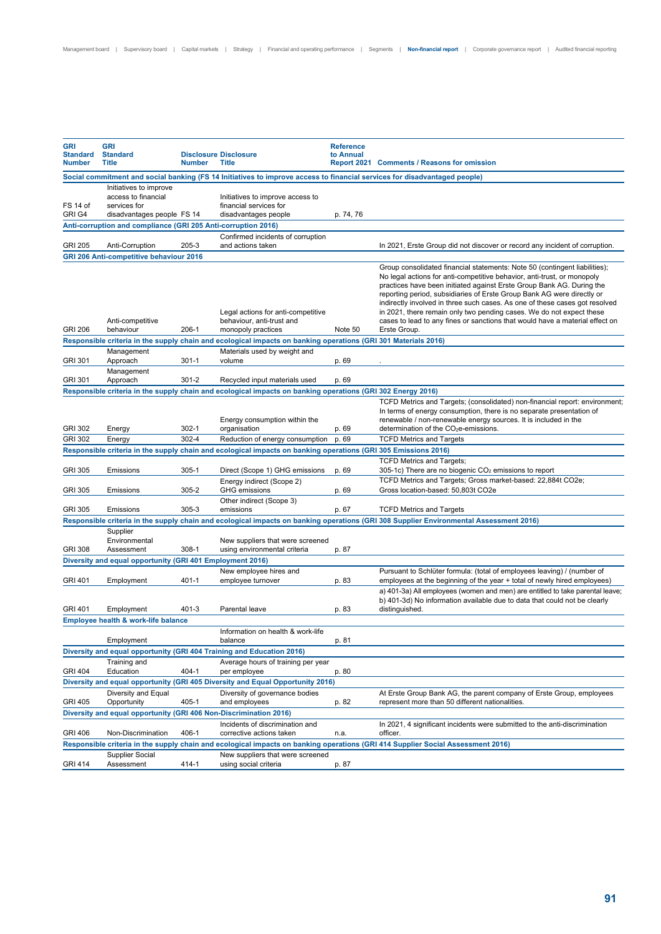| <b>GRI</b><br><b>Standard</b><br><b>Number</b> | <b>GRI</b><br><b>Standard</b><br><b>Title</b>                                               | <b>Number</b> | <b>Disclosure Disclosure</b><br><b>Title</b>                                                                              | <b>Reference</b><br>to Annual | Report 2021 Comments / Reasons for omission                                                                                                                                                                                                                                                                                                                                                                                                                                                                                                                     |
|------------------------------------------------|---------------------------------------------------------------------------------------------|---------------|---------------------------------------------------------------------------------------------------------------------------|-------------------------------|-----------------------------------------------------------------------------------------------------------------------------------------------------------------------------------------------------------------------------------------------------------------------------------------------------------------------------------------------------------------------------------------------------------------------------------------------------------------------------------------------------------------------------------------------------------------|
|                                                |                                                                                             |               | Social commitment and social banking (FS 14 Initiatives to improve access to financial services for disadvantaged people) |                               |                                                                                                                                                                                                                                                                                                                                                                                                                                                                                                                                                                 |
| FS 14 of<br>GRI G4                             | Initiatives to improve<br>access to financial<br>services for<br>disadvantages people FS 14 |               | Initiatives to improve access to<br>financial services for<br>disadvantages people                                        | p. 74, 76                     |                                                                                                                                                                                                                                                                                                                                                                                                                                                                                                                                                                 |
|                                                | Anti-corruption and compliance (GRI 205 Anti-corruption 2016)                               |               |                                                                                                                           |                               |                                                                                                                                                                                                                                                                                                                                                                                                                                                                                                                                                                 |
| <b>GRI 205</b>                                 | Anti-Corruption                                                                             | 205-3         | Confirmed incidents of corruption<br>and actions taken                                                                    |                               | In 2021, Erste Group did not discover or record any incident of corruption.                                                                                                                                                                                                                                                                                                                                                                                                                                                                                     |
|                                                | <b>GRI 206 Anti-competitive behaviour 2016</b>                                              |               |                                                                                                                           |                               |                                                                                                                                                                                                                                                                                                                                                                                                                                                                                                                                                                 |
| <b>GRI 206</b>                                 | Anti-competitive<br>behaviour                                                               | 206-1         | Legal actions for anti-competitive<br>behaviour, anti-trust and<br>monopoly practices                                     | Note 50                       | Group consolidated financial statements: Note 50 (contingent liabilities);<br>No legal actions for anti-competitive behavior, anti-trust, or monopoly<br>practices have been initiated against Erste Group Bank AG. During the<br>reporting period, subsidiaries of Erste Group Bank AG were directly or<br>indirectly involved in three such cases. As one of these cases got resolved<br>in 2021, there remain only two pending cases. We do not expect these<br>cases to lead to any fines or sanctions that would have a material effect on<br>Erste Group. |
|                                                |                                                                                             |               | Responsible criteria in the supply chain and ecological impacts on banking operations (GRI 301 Materials 2016)            |                               |                                                                                                                                                                                                                                                                                                                                                                                                                                                                                                                                                                 |
| GRI 301                                        | Management<br>Approach                                                                      | $301 - 1$     | Materials used by weight and<br>volume                                                                                    | p. 69                         |                                                                                                                                                                                                                                                                                                                                                                                                                                                                                                                                                                 |
| <b>GRI 301</b>                                 | Management<br>Approach                                                                      | 301-2         | Recycled input materials used                                                                                             | p. 69                         |                                                                                                                                                                                                                                                                                                                                                                                                                                                                                                                                                                 |
|                                                |                                                                                             |               | Responsible criteria in the supply chain and ecological impacts on banking operations (GRI 302 Energy 2016)               |                               |                                                                                                                                                                                                                                                                                                                                                                                                                                                                                                                                                                 |
| <b>GRI 302</b>                                 | Energy                                                                                      | 302-1         | Energy consumption within the<br>organisation                                                                             | p. 69                         | TCFD Metrics and Targets; (consolidated) non-financial report: environment;<br>In terms of energy consumption, there is no separate presentation of<br>renewable / non-renewable energy sources. It is included in the<br>determination of the CO <sub>2</sub> e-emissions.                                                                                                                                                                                                                                                                                     |
| <b>GRI 302</b>                                 | Energy                                                                                      | 302-4         | Reduction of energy consumption                                                                                           | p. 69                         | <b>TCFD Metrics and Targets</b>                                                                                                                                                                                                                                                                                                                                                                                                                                                                                                                                 |
|                                                |                                                                                             |               | Responsible criteria in the supply chain and ecological impacts on banking operations (GRI 305 Emissions 2016)            |                               |                                                                                                                                                                                                                                                                                                                                                                                                                                                                                                                                                                 |
| <b>GRI 305</b>                                 | Emissions                                                                                   | 305-1         | Direct (Scope 1) GHG emissions                                                                                            | p. 69                         | <b>TCFD Metrics and Targets;</b><br>305-1c) There are no biogenic CO <sub>2</sub> emissions to report                                                                                                                                                                                                                                                                                                                                                                                                                                                           |
| <b>GRI 305</b>                                 | Emissions                                                                                   | 305-2         | Energy indirect (Scope 2)<br><b>GHG</b> emissions                                                                         | p. 69                         | TCFD Metrics and Targets; Gross market-based: 22,884t CO2e;<br>Gross location-based: 50,803t CO2e                                                                                                                                                                                                                                                                                                                                                                                                                                                               |
| <b>GRI 305</b>                                 | Emissions                                                                                   | 305-3         | Other indirect (Scope 3)<br>emissions                                                                                     | p. 67                         | <b>TCFD Metrics and Targets</b>                                                                                                                                                                                                                                                                                                                                                                                                                                                                                                                                 |
|                                                |                                                                                             |               |                                                                                                                           |                               | Responsible criteria in the supply chain and ecological impacts on banking operations (GRI 308 Supplier Environmental Assessment 2016)                                                                                                                                                                                                                                                                                                                                                                                                                          |
| <b>GRI 308</b>                                 | Supplier<br>Environmental<br>Assessment                                                     | 308-1         | New suppliers that were screened<br>using environmental criteria                                                          | p. 87                         |                                                                                                                                                                                                                                                                                                                                                                                                                                                                                                                                                                 |
|                                                | Diversity and equal opportunity (GRI 401 Employment 2016)                                   |               |                                                                                                                           |                               |                                                                                                                                                                                                                                                                                                                                                                                                                                                                                                                                                                 |
| <b>GRI 401</b>                                 | Employment                                                                                  | 401-1         | New employee hires and<br>employee turnover                                                                               | p. 83                         | Pursuant to Schlüter formula: (total of employees leaving) / (number of<br>employees at the beginning of the year + total of newly hired employees)<br>a) 401-3a) All employees (women and men) are entitled to take parental leave;                                                                                                                                                                                                                                                                                                                            |
| <b>GRI 401</b>                                 | Employment                                                                                  | 401-3         | Parental leave                                                                                                            | p. 83                         | b) 401-3d) No information available due to data that could not be clearly<br>distinguished.                                                                                                                                                                                                                                                                                                                                                                                                                                                                     |
|                                                | Employee health & work-life balance                                                         |               |                                                                                                                           |                               |                                                                                                                                                                                                                                                                                                                                                                                                                                                                                                                                                                 |
|                                                | Employment                                                                                  |               | Information on health & work-life<br>balance                                                                              | p. 81                         |                                                                                                                                                                                                                                                                                                                                                                                                                                                                                                                                                                 |
|                                                |                                                                                             |               | Diversity and equal opportunity (GRI 404 Training and Education 2016)                                                     |                               |                                                                                                                                                                                                                                                                                                                                                                                                                                                                                                                                                                 |
|                                                | Training and                                                                                |               | Average hours of training per year                                                                                        |                               |                                                                                                                                                                                                                                                                                                                                                                                                                                                                                                                                                                 |
| <b>GRI 404</b>                                 | Education                                                                                   | 404-1         | per employee                                                                                                              | p. 80                         |                                                                                                                                                                                                                                                                                                                                                                                                                                                                                                                                                                 |
|                                                | Diversity and Equal                                                                         |               | Diversity and equal opportunity (GRI 405 Diversity and Equal Opportunity 2016)<br>Diversity of governance bodies          |                               | At Erste Group Bank AG, the parent company of Erste Group, employees                                                                                                                                                                                                                                                                                                                                                                                                                                                                                            |
| <b>GRI 405</b>                                 | Opportunity                                                                                 | 405-1         | and employees                                                                                                             | p. 82                         | represent more than 50 different nationalities.                                                                                                                                                                                                                                                                                                                                                                                                                                                                                                                 |
|                                                | Diversity and equal opportunity (GRI 406 Non-Discrimination 2016)                           |               |                                                                                                                           |                               |                                                                                                                                                                                                                                                                                                                                                                                                                                                                                                                                                                 |
| <b>GRI 406</b>                                 | Non-Discrimination                                                                          | 406-1         | Incidents of discrimination and<br>corrective actions taken                                                               | n.a.                          | In 2021, 4 significant incidents were submitted to the anti-discrimination<br>officer.                                                                                                                                                                                                                                                                                                                                                                                                                                                                          |
|                                                |                                                                                             |               |                                                                                                                           |                               | Responsible criteria in the supply chain and ecological impacts on banking operations (GRI 414 Supplier Social Assessment 2016)                                                                                                                                                                                                                                                                                                                                                                                                                                 |
|                                                | Supplier Social                                                                             |               | New suppliers that were screened                                                                                          |                               |                                                                                                                                                                                                                                                                                                                                                                                                                                                                                                                                                                 |
| <b>GRI 414</b>                                 | Assessment                                                                                  | 414-1         | using social criteria                                                                                                     | p. 87                         |                                                                                                                                                                                                                                                                                                                                                                                                                                                                                                                                                                 |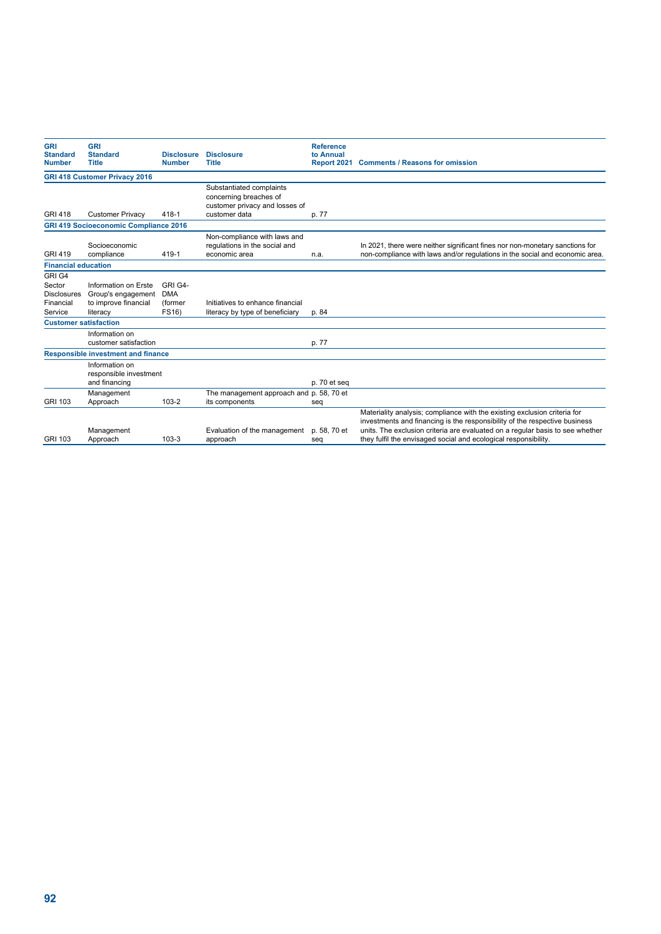| <b>GRI</b>                   | <b>GRI</b>                                   |                   |                                          | <b>Reference</b> |                                                                               |
|------------------------------|----------------------------------------------|-------------------|------------------------------------------|------------------|-------------------------------------------------------------------------------|
| <b>Standard</b>              | <b>Standard</b>                              | <b>Disclosure</b> | <b>Disclosure</b>                        | to Annual        |                                                                               |
| <b>Number</b>                | <b>Title</b>                                 | <b>Number</b>     | <b>Title</b>                             |                  | Report 2021 Comments / Reasons for omission                                   |
|                              | <b>GRI 418 Customer Privacy 2016</b>         |                   |                                          |                  |                                                                               |
|                              |                                              |                   | Substantiated complaints                 |                  |                                                                               |
|                              |                                              |                   | concerning breaches of                   |                  |                                                                               |
|                              |                                              |                   | customer privacy and losses of           |                  |                                                                               |
| <b>GRI 418</b>               | <b>Customer Privacy</b>                      | 418-1             | customer data                            | p. 77            |                                                                               |
|                              | <b>GRI 419 Socioeconomic Compliance 2016</b> |                   |                                          |                  |                                                                               |
|                              |                                              |                   | Non-compliance with laws and             |                  |                                                                               |
|                              | Socioeconomic                                |                   | regulations in the social and            |                  | In 2021, there were neither significant fines nor non-monetary sanctions for  |
| <b>GRI 419</b>               | compliance                                   | 419-1             | economic area                            | n.a.             | non-compliance with laws and/or regulations in the social and economic area.  |
| <b>Financial education</b>   |                                              |                   |                                          |                  |                                                                               |
| GRI G4                       |                                              |                   |                                          |                  |                                                                               |
| Sector                       | Information on Erste                         | GRI G4-           |                                          |                  |                                                                               |
| <b>Disclosures</b>           | Group's engagement                           | <b>DMA</b>        |                                          |                  |                                                                               |
| Financial                    | to improve financial                         | (former           | Initiatives to enhance financial         |                  |                                                                               |
| Service                      | literacy                                     | FS16)             | literacy by type of beneficiary          | p. 84            |                                                                               |
| <b>Customer satisfaction</b> |                                              |                   |                                          |                  |                                                                               |
|                              | Information on                               |                   |                                          |                  |                                                                               |
|                              | customer satisfaction                        |                   |                                          | p. 77            |                                                                               |
|                              | <b>Responsible investment and finance</b>    |                   |                                          |                  |                                                                               |
|                              | Information on                               |                   |                                          |                  |                                                                               |
|                              | responsible investment                       |                   |                                          |                  |                                                                               |
|                              | and financing                                |                   |                                          | p. 70 et seg     |                                                                               |
|                              | Management                                   |                   | The management approach and p. 58, 70 et |                  |                                                                               |
| GRI 103                      | Approach                                     | 103-2             | its components                           | seq              |                                                                               |
|                              |                                              |                   |                                          |                  | Materiality analysis; compliance with the existing exclusion criteria for     |
|                              |                                              |                   |                                          |                  | investments and financing is the responsibility of the respective business    |
|                              | Management                                   |                   | Evaluation of the management             | p. 58, 70 et     | units. The exclusion criteria are evaluated on a regular basis to see whether |
| GRI 103                      | Approach                                     | $103 - 3$         | approach                                 | seq              | they fulfil the envisaged social and ecological responsibility.               |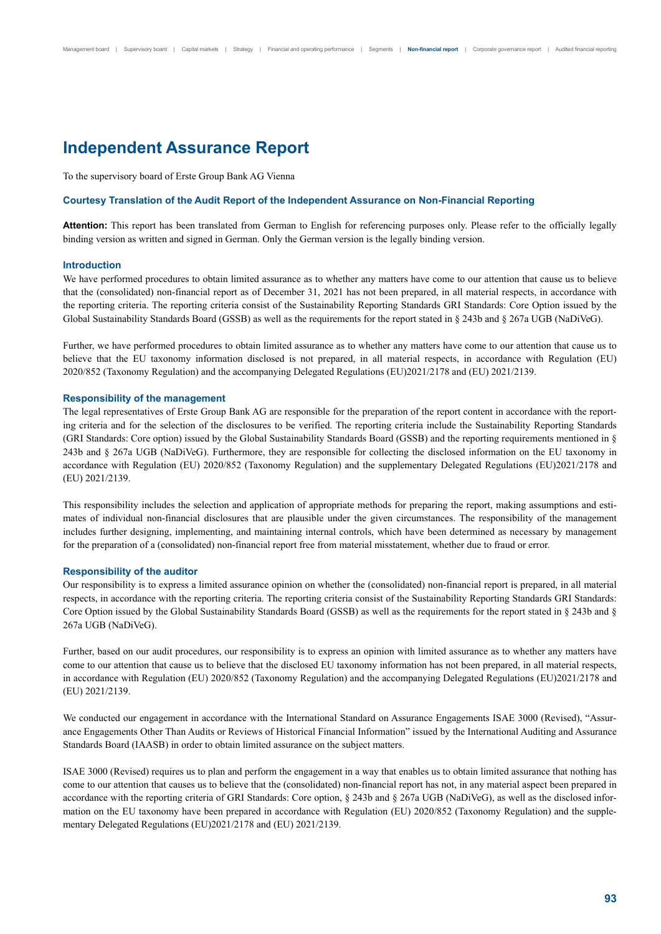## **Independent Assurance Report**

To the supervisory board of Erste Group Bank AG Vienna

### **Courtesy Translation of the Audit Report of the Independent Assurance on Non-Financial Reporting**

**Attention:** This report has been translated from German to English for referencing purposes only. Please refer to the officially legally binding version as written and signed in German. Only the German version is the legally binding version.

### **Introduction**

We have performed procedures to obtain limited assurance as to whether any matters have come to our attention that cause us to believe that the (consolidated) non-financial report as of December 31, 2021 has not been prepared, in all material respects, in accordance with the reporting criteria. The reporting criteria consist of the Sustainability Reporting Standards GRI Standards: Core Option issued by the Global Sustainability Standards Board (GSSB) as well as the requirements for the report stated in § 243b and § 267a UGB (NaDiVeG).

Further, we have performed procedures to obtain limited assurance as to whether any matters have come to our attention that cause us to believe that the EU taxonomy information disclosed is not prepared, in all material respects, in accordance with Regulation (EU) 2020/852 (Taxonomy Regulation) and the accompanying Delegated Regulations (EU)2021/2178 and (EU) 2021/2139.

### **Responsibility of the management**

The legal representatives of Erste Group Bank AG are responsible for the preparation of the report content in accordance with the reporting criteria and for the selection of the disclosures to be verified. The reporting criteria include the Sustainability Reporting Standards (GRI Standards: Core option) issued by the Global Sustainability Standards Board (GSSB) and the reporting requirements mentioned in § 243b and § 267a UGB (NaDiVeG). Furthermore, they are responsible for collecting the disclosed information on the EU taxonomy in accordance with Regulation (EU) 2020/852 (Taxonomy Regulation) and the supplementary Delegated Regulations (EU)2021/2178 and (EU) 2021/2139.

This responsibility includes the selection and application of appropriate methods for preparing the report, making assumptions and estimates of individual non-financial disclosures that are plausible under the given circumstances. The responsibility of the management includes further designing, implementing, and maintaining internal controls, which have been determined as necessary by management for the preparation of a (consolidated) non-financial report free from material misstatement, whether due to fraud or error.

#### **Responsibility of the auditor**

Our responsibility is to express a limited assurance opinion on whether the (consolidated) non-financial report is prepared, in all material respects, in accordance with the reporting criteria. The reporting criteria consist of the Sustainability Reporting Standards GRI Standards: Core Option issued by the Global Sustainability Standards Board (GSSB) as well as the requirements for the report stated in § 243b and § 267a UGB (NaDiVeG).

Further, based on our audit procedures, our responsibility is to express an opinion with limited assurance as to whether any matters have come to our attention that cause us to believe that the disclosed EU taxonomy information has not been prepared, in all material respects, in accordance with Regulation (EU) 2020/852 (Taxonomy Regulation) and the accompanying Delegated Regulations (EU)2021/2178 and (EU) 2021/2139.

We conducted our engagement in accordance with the International Standard on Assurance Engagements ISAE 3000 (Revised), "Assurance Engagements Other Than Audits or Reviews of Historical Financial Information" issued by the International Auditing and Assurance Standards Board (IAASB) in order to obtain limited assurance on the subject matters.

ISAE 3000 (Revised) requires us to plan and perform the engagement in a way that enables us to obtain limited assurance that nothing has come to our attention that causes us to believe that the (consolidated) non-financial report has not, in any material aspect been prepared in accordance with the reporting criteria of GRI Standards: Core option, § 243b and § 267a UGB (NaDiVeG), as well as the disclosed information on the EU taxonomy have been prepared in accordance with Regulation (EU) 2020/852 (Taxonomy Regulation) and the supplementary Delegated Regulations (EU)2021/2178 and (EU) 2021/2139.